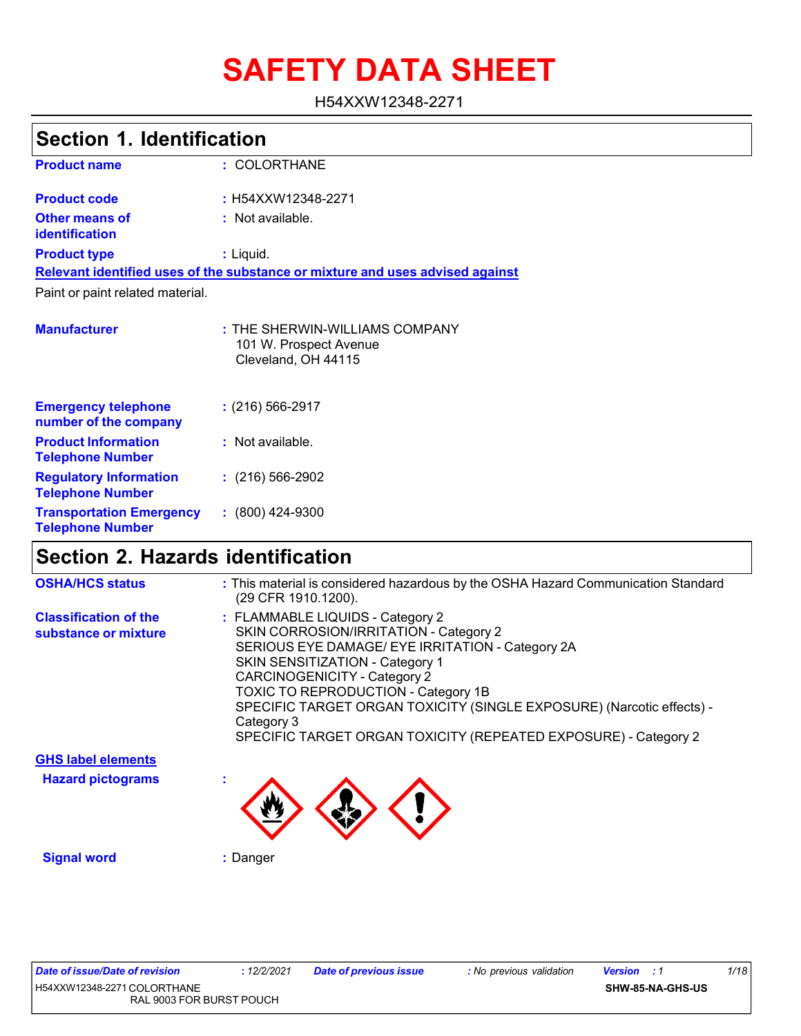# **SAFETY DATA SHEET**

H54XXW12348-2271

| <b>Section 1. Identification</b>                         |                                                                                 |  |
|----------------------------------------------------------|---------------------------------------------------------------------------------|--|
| <b>Product name</b>                                      | : COLORTHANE                                                                    |  |
| <b>Product code</b>                                      | : H54XXW12348-2271                                                              |  |
| Other means of<br><i>identification</i>                  | : Not available.                                                                |  |
| <b>Product type</b>                                      | : Liquid.                                                                       |  |
|                                                          | Relevant identified uses of the substance or mixture and uses advised against   |  |
| Paint or paint related material.                         |                                                                                 |  |
| <b>Manufacturer</b>                                      | : THE SHERWIN-WILLIAMS COMPANY<br>101 W. Prospect Avenue<br>Cleveland, OH 44115 |  |
| <b>Emergency telephone</b><br>number of the company      | $: (216) 566 - 2917$                                                            |  |
| <b>Product Information</b><br><b>Telephone Number</b>    | $:$ Not available.                                                              |  |
| <b>Regulatory Information</b><br><b>Telephone Number</b> | $: (216) 566 - 2902$                                                            |  |
| <b>Transportation Emergency</b>                          | $: (800)$ 424-9300                                                              |  |

# **Section 2. Hazards identification**

| <b>OSHA/HCS status</b>                                | : This material is considered hazardous by the OSHA Hazard Communication Standard<br>(29 CFR 1910.1200).                                                                                                                                                                                                                                                                                                                |
|-------------------------------------------------------|-------------------------------------------------------------------------------------------------------------------------------------------------------------------------------------------------------------------------------------------------------------------------------------------------------------------------------------------------------------------------------------------------------------------------|
| <b>Classification of the</b><br>substance or mixture  | : FLAMMABLE LIQUIDS - Category 2<br>SKIN CORROSION/IRRITATION - Category 2<br>SERIOUS EYE DAMAGE/ EYE IRRITATION - Category 2A<br><b>SKIN SENSITIZATION - Category 1</b><br><b>CARCINOGENICITY - Category 2</b><br><b>TOXIC TO REPRODUCTION - Category 1B</b><br>SPECIFIC TARGET ORGAN TOXICITY (SINGLE EXPOSURE) (Narcotic effects) -<br>Category 3<br>SPECIFIC TARGET ORGAN TOXICITY (REPEATED EXPOSURE) - Category 2 |
| <b>GHS label elements</b><br><b>Hazard pictograms</b> |                                                                                                                                                                                                                                                                                                                                                                                                                         |
|                                                       |                                                                                                                                                                                                                                                                                                                                                                                                                         |

**Telephone Number**

**Signal word :** Danger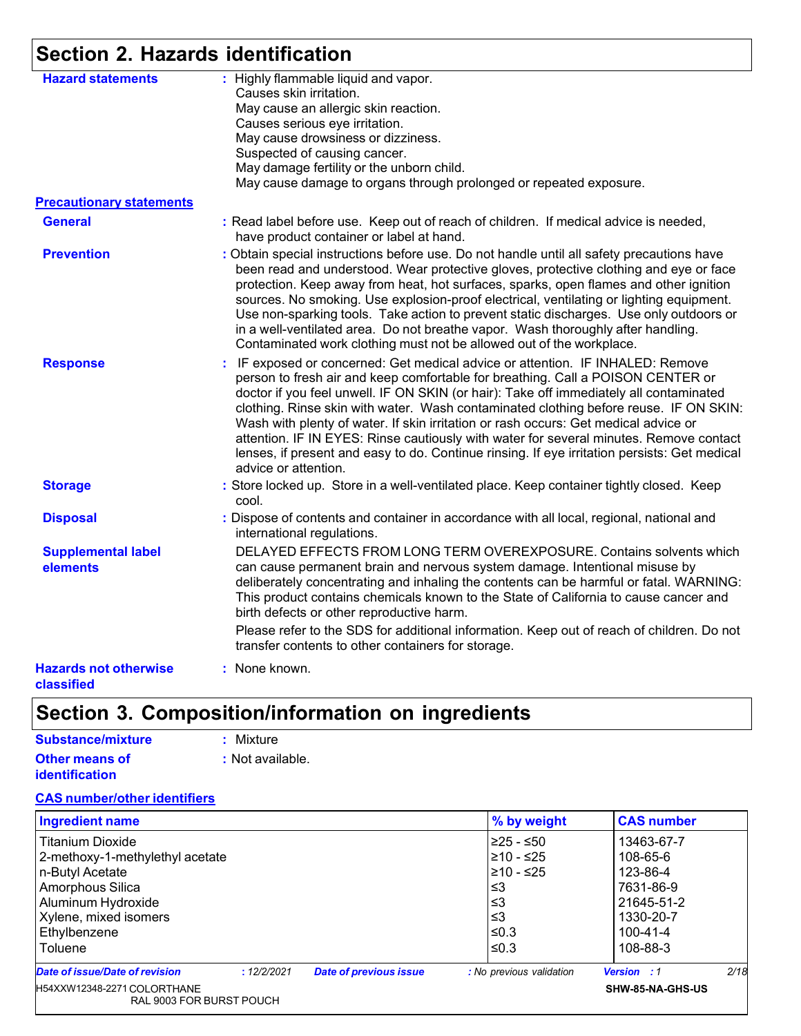# **Section 2. Hazards identification**

| <b>Hazard statements</b>                   | : Highly flammable liquid and vapor.<br>Causes skin irritation.<br>May cause an allergic skin reaction.<br>Causes serious eye irritation.<br>May cause drowsiness or dizziness.<br>Suspected of causing cancer.<br>May damage fertility or the unborn child.<br>May cause damage to organs through prolonged or repeated exposure.                                                                                                                                                                                                                                                                                                                            |
|--------------------------------------------|---------------------------------------------------------------------------------------------------------------------------------------------------------------------------------------------------------------------------------------------------------------------------------------------------------------------------------------------------------------------------------------------------------------------------------------------------------------------------------------------------------------------------------------------------------------------------------------------------------------------------------------------------------------|
| <b>Precautionary statements</b>            |                                                                                                                                                                                                                                                                                                                                                                                                                                                                                                                                                                                                                                                               |
| <b>General</b>                             | : Read label before use. Keep out of reach of children. If medical advice is needed,<br>have product container or label at hand.                                                                                                                                                                                                                                                                                                                                                                                                                                                                                                                              |
| <b>Prevention</b>                          | : Obtain special instructions before use. Do not handle until all safety precautions have<br>been read and understood. Wear protective gloves, protective clothing and eye or face<br>protection. Keep away from heat, hot surfaces, sparks, open flames and other ignition<br>sources. No smoking. Use explosion-proof electrical, ventilating or lighting equipment.<br>Use non-sparking tools. Take action to prevent static discharges. Use only outdoors or<br>in a well-ventilated area. Do not breathe vapor. Wash thoroughly after handling.<br>Contaminated work clothing must not be allowed out of the workplace.                                  |
| <b>Response</b>                            | : IF exposed or concerned: Get medical advice or attention. IF INHALED: Remove<br>person to fresh air and keep comfortable for breathing. Call a POISON CENTER or<br>doctor if you feel unwell. IF ON SKIN (or hair): Take off immediately all contaminated<br>clothing. Rinse skin with water. Wash contaminated clothing before reuse. IF ON SKIN:<br>Wash with plenty of water. If skin irritation or rash occurs: Get medical advice or<br>attention. IF IN EYES: Rinse cautiously with water for several minutes. Remove contact<br>lenses, if present and easy to do. Continue rinsing. If eye irritation persists: Get medical<br>advice or attention. |
| <b>Storage</b>                             | : Store locked up. Store in a well-ventilated place. Keep container tightly closed. Keep<br>cool.                                                                                                                                                                                                                                                                                                                                                                                                                                                                                                                                                             |
| <b>Disposal</b>                            | : Dispose of contents and container in accordance with all local, regional, national and<br>international regulations.                                                                                                                                                                                                                                                                                                                                                                                                                                                                                                                                        |
| <b>Supplemental label</b><br>elements      | DELAYED EFFECTS FROM LONG TERM OVEREXPOSURE. Contains solvents which<br>can cause permanent brain and nervous system damage. Intentional misuse by<br>deliberately concentrating and inhaling the contents can be harmful or fatal. WARNING:<br>This product contains chemicals known to the State of California to cause cancer and<br>birth defects or other reproductive harm.                                                                                                                                                                                                                                                                             |
|                                            | Please refer to the SDS for additional information. Keep out of reach of children. Do not<br>transfer contents to other containers for storage.                                                                                                                                                                                                                                                                                                                                                                                                                                                                                                               |
| <b>Hazards not otherwise</b><br>classified | : None known.                                                                                                                                                                                                                                                                                                                                                                                                                                                                                                                                                                                                                                                 |

# **Section 3. Composition/information on ingredients**

| Substance/mixture     | : Mixture        |
|-----------------------|------------------|
| <b>Other means of</b> | : Not available. |
| <b>identification</b> |                  |

### **CAS number/other identifiers**

| <b>Ingredient name</b>                                    |             | % by weight                   | <b>CAS number</b>                     |                                                              |      |
|-----------------------------------------------------------|-------------|-------------------------------|---------------------------------------|--------------------------------------------------------------|------|
| l Titanium Dioxide                                        |             |                               | 225 - ≤50                             | 13463-67-7                                                   |      |
| 2-methoxy-1-methylethyl acetate                           |             |                               | $≥10 - ≤25$                           | 108-65-6                                                     |      |
| n-Butyl Acetate<br>Amorphous Silica<br>Aluminum Hydroxide |             |                               | $≥10 - ≤25$<br>≤3<br>≤3<br>≤3<br>≤0.3 | 123-86-4<br>7631-86-9<br>21645-51-2<br>1330-20-7<br>100-41-4 |      |
|                                                           |             |                               |                                       |                                                              |      |
|                                                           |             |                               |                                       |                                                              |      |
| Xylene, mixed isomers<br>Ethylbenzene                     |             |                               |                                       |                                                              |      |
|                                                           |             |                               |                                       |                                                              |      |
| Toluene                                                   |             |                               | ≤0.3                                  | 108-88-3                                                     |      |
| <b>Date of issue/Date of revision</b>                     | : 12/2/2021 | <b>Date of previous issue</b> | : No previous validation              | <b>Version</b> : 1                                           | 2/18 |
| H54XXW12348-2271 COLORTHANE<br>RAL 9003 FOR BURST POUCH   |             |                               | SHW-85-NA-GHS-US                      |                                                              |      |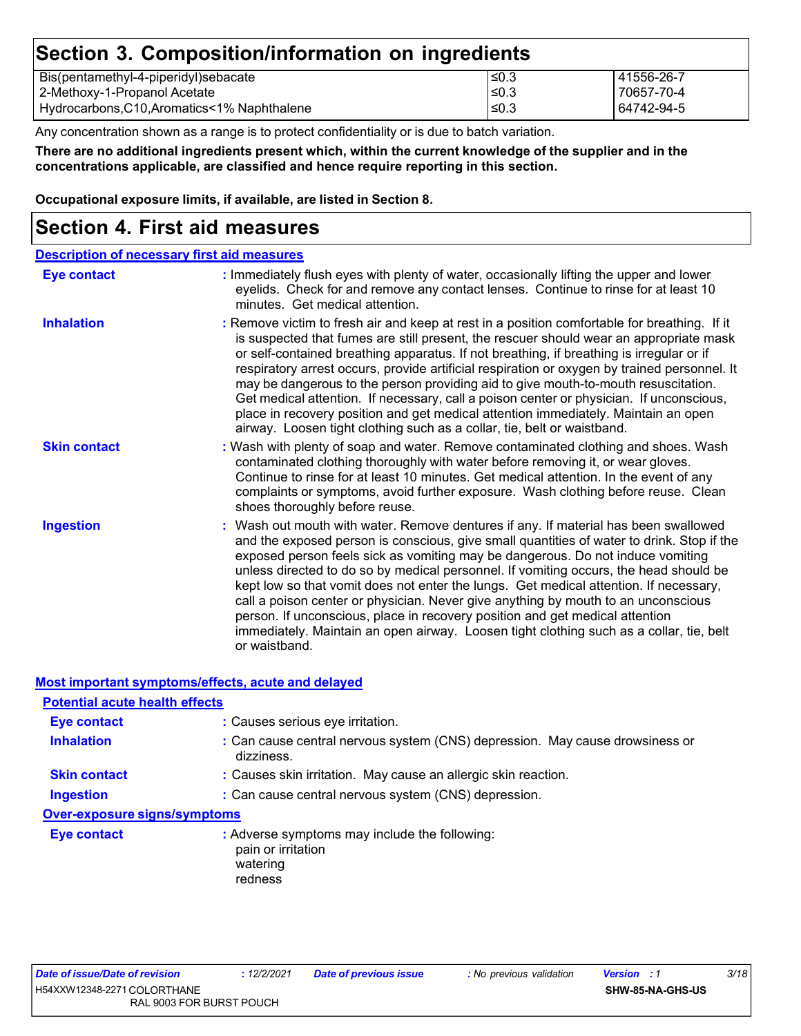### **Section 3. Composition/information on ingredients**

| Bis(pentamethyl-4-piperidyl)sebacate          | '≤0.3      | 41556-26-7 |
|-----------------------------------------------|------------|------------|
| 2-Methoxy-1-Propanol Acetate                  | !≤0.3      | 70657-70-4 |
| Hydrocarbons, C10, Aromatics < 1% Naphthalene | $\leq$ 0.3 | 64742-94-5 |

Any concentration shown as a range is to protect confidentiality or is due to batch variation.

There are no additional ingredients present which, within the current knowledge of the supplier and in the **concentrations applicable, are classified and hence require reporting in this section.**

**Occupational exposure limits, if available, are listed in Section 8.**

### **Section 4. First aid measures**

| <b>Description of necessary first aid measures</b> |                                                                                                                                                                                                                                                                                                                                                                                                                                                                                                                                                                                                                                                                                                                                       |
|----------------------------------------------------|---------------------------------------------------------------------------------------------------------------------------------------------------------------------------------------------------------------------------------------------------------------------------------------------------------------------------------------------------------------------------------------------------------------------------------------------------------------------------------------------------------------------------------------------------------------------------------------------------------------------------------------------------------------------------------------------------------------------------------------|
| Eye contact                                        | : Immediately flush eyes with plenty of water, occasionally lifting the upper and lower<br>eyelids. Check for and remove any contact lenses. Continue to rinse for at least 10<br>minutes. Get medical attention.                                                                                                                                                                                                                                                                                                                                                                                                                                                                                                                     |
| <b>Inhalation</b>                                  | : Remove victim to fresh air and keep at rest in a position comfortable for breathing. If it<br>is suspected that fumes are still present, the rescuer should wear an appropriate mask<br>or self-contained breathing apparatus. If not breathing, if breathing is irregular or if<br>respiratory arrest occurs, provide artificial respiration or oxygen by trained personnel. It<br>may be dangerous to the person providing aid to give mouth-to-mouth resuscitation.<br>Get medical attention. If necessary, call a poison center or physician. If unconscious,<br>place in recovery position and get medical attention immediately. Maintain an open<br>airway. Loosen tight clothing such as a collar, tie, belt or waistband.  |
| <b>Skin contact</b>                                | : Wash with plenty of soap and water. Remove contaminated clothing and shoes. Wash<br>contaminated clothing thoroughly with water before removing it, or wear gloves.<br>Continue to rinse for at least 10 minutes. Get medical attention. In the event of any<br>complaints or symptoms, avoid further exposure. Wash clothing before reuse. Clean<br>shoes thoroughly before reuse.                                                                                                                                                                                                                                                                                                                                                 |
| <b>Ingestion</b>                                   | : Wash out mouth with water. Remove dentures if any. If material has been swallowed<br>and the exposed person is conscious, give small quantities of water to drink. Stop if the<br>exposed person feels sick as vomiting may be dangerous. Do not induce vomiting<br>unless directed to do so by medical personnel. If vomiting occurs, the head should be<br>kept low so that vomit does not enter the lungs. Get medical attention. If necessary,<br>call a poison center or physician. Never give anything by mouth to an unconscious<br>person. If unconscious, place in recovery position and get medical attention<br>immediately. Maintain an open airway. Loosen tight clothing such as a collar, tie, belt<br>or waistband. |

**Most important symptoms/effects, acute and delayed**

| <b>Potential acute health effects</b> |                                                                                            |
|---------------------------------------|--------------------------------------------------------------------------------------------|
| <b>Eye contact</b>                    | : Causes serious eye irritation.                                                           |
| <b>Inhalation</b>                     | : Can cause central nervous system (CNS) depression. May cause drowsiness or<br>dizziness. |
| <b>Skin contact</b>                   | : Causes skin irritation. May cause an allergic skin reaction.                             |
| <b>Ingestion</b>                      | : Can cause central nervous system (CNS) depression.                                       |
| <b>Over-exposure signs/symptoms</b>   |                                                                                            |
| <b>Eye contact</b>                    | : Adverse symptoms may include the following:<br>pain or irritation<br>watering<br>redness |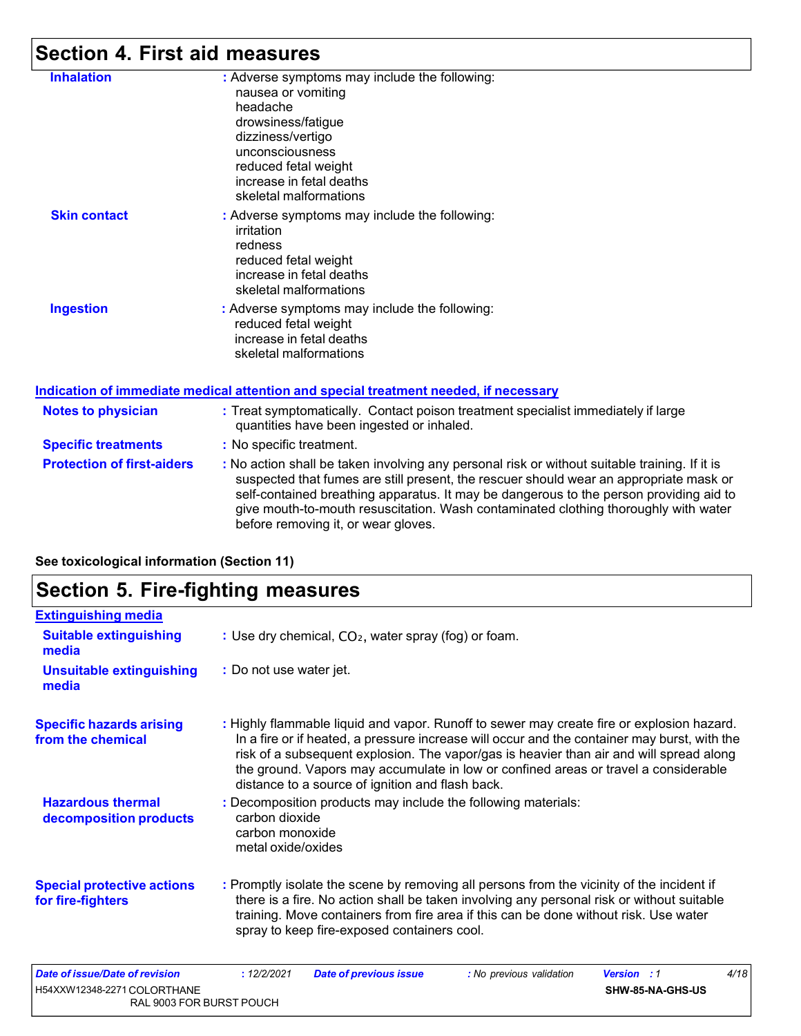# **Section 4. First aid measures**

| <b>Inhalation</b>                 | : Adverse symptoms may include the following:<br>nausea or vomiting<br>headache<br>drowsiness/fatigue<br>dizziness/vertigo<br>unconsciousness<br>reduced fetal weight                                                                                                                                                                                                                                           |
|-----------------------------------|-----------------------------------------------------------------------------------------------------------------------------------------------------------------------------------------------------------------------------------------------------------------------------------------------------------------------------------------------------------------------------------------------------------------|
|                                   | increase in fetal deaths<br>skeletal malformations                                                                                                                                                                                                                                                                                                                                                              |
| <b>Skin contact</b>               | : Adverse symptoms may include the following:<br>irritation<br>redness<br>reduced fetal weight<br>increase in fetal deaths<br>skeletal malformations                                                                                                                                                                                                                                                            |
| <b>Ingestion</b>                  | : Adverse symptoms may include the following:<br>reduced fetal weight<br>increase in fetal deaths<br>skeletal malformations                                                                                                                                                                                                                                                                                     |
|                                   | Indication of immediate medical attention and special treatment needed, if necessary                                                                                                                                                                                                                                                                                                                            |
| <b>Notes to physician</b>         | : Treat symptomatically. Contact poison treatment specialist immediately if large<br>quantities have been ingested or inhaled.                                                                                                                                                                                                                                                                                  |
| <b>Specific treatments</b>        | : No specific treatment.                                                                                                                                                                                                                                                                                                                                                                                        |
| <b>Protection of first-aiders</b> | : No action shall be taken involving any personal risk or without suitable training. If it is<br>suspected that fumes are still present, the rescuer should wear an appropriate mask or<br>self-contained breathing apparatus. It may be dangerous to the person providing aid to<br>give mouth-to-mouth resuscitation. Wash contaminated clothing thoroughly with water<br>before removing it, or wear gloves. |
|                                   |                                                                                                                                                                                                                                                                                                                                                                                                                 |

**See toxicological information (Section 11)**

# **Section 5. Fire-fighting measures**

| <b>Extinguishing media</b>                                           |                                                         |                                                                  |                                                                                                                                                                                                                                                                                                                                                                             |                                        |      |
|----------------------------------------------------------------------|---------------------------------------------------------|------------------------------------------------------------------|-----------------------------------------------------------------------------------------------------------------------------------------------------------------------------------------------------------------------------------------------------------------------------------------------------------------------------------------------------------------------------|----------------------------------------|------|
| <b>Suitable extinguishing</b><br>media                               |                                                         | : Use dry chemical, CO <sub>2</sub> , water spray (fog) or foam. |                                                                                                                                                                                                                                                                                                                                                                             |                                        |      |
| <b>Unsuitable extinguishing</b><br>media                             | : Do not use water jet.                                 |                                                                  |                                                                                                                                                                                                                                                                                                                                                                             |                                        |      |
| <b>Specific hazards arising</b><br>from the chemical                 |                                                         | distance to a source of ignition and flash back.                 | : Highly flammable liquid and vapor. Runoff to sewer may create fire or explosion hazard.<br>In a fire or if heated, a pressure increase will occur and the container may burst, with the<br>risk of a subsequent explosion. The vapor/gas is heavier than air and will spread along<br>the ground. Vapors may accumulate in low or confined areas or travel a considerable |                                        |      |
| <b>Hazardous thermal</b><br>decomposition products                   | carbon dioxide<br>carbon monoxide<br>metal oxide/oxides | : Decomposition products may include the following materials:    |                                                                                                                                                                                                                                                                                                                                                                             |                                        |      |
| <b>Special protective actions</b><br>for fire-fighters               |                                                         | spray to keep fire-exposed containers cool.                      | : Promptly isolate the scene by removing all persons from the vicinity of the incident if<br>there is a fire. No action shall be taken involving any personal risk or without suitable<br>training. Move containers from fire area if this can be done without risk. Use water                                                                                              |                                        |      |
| <b>Date of issue/Date of revision</b><br>H54XXW12348-2271 COLORTHANE | : 12/2/2021                                             | <b>Date of previous issue</b>                                    | : No previous validation                                                                                                                                                                                                                                                                                                                                                    | <b>Version</b> : 1<br>SHW-85-NA-GHS-US | 4/18 |

RAL 9003 FOR BURST POUCH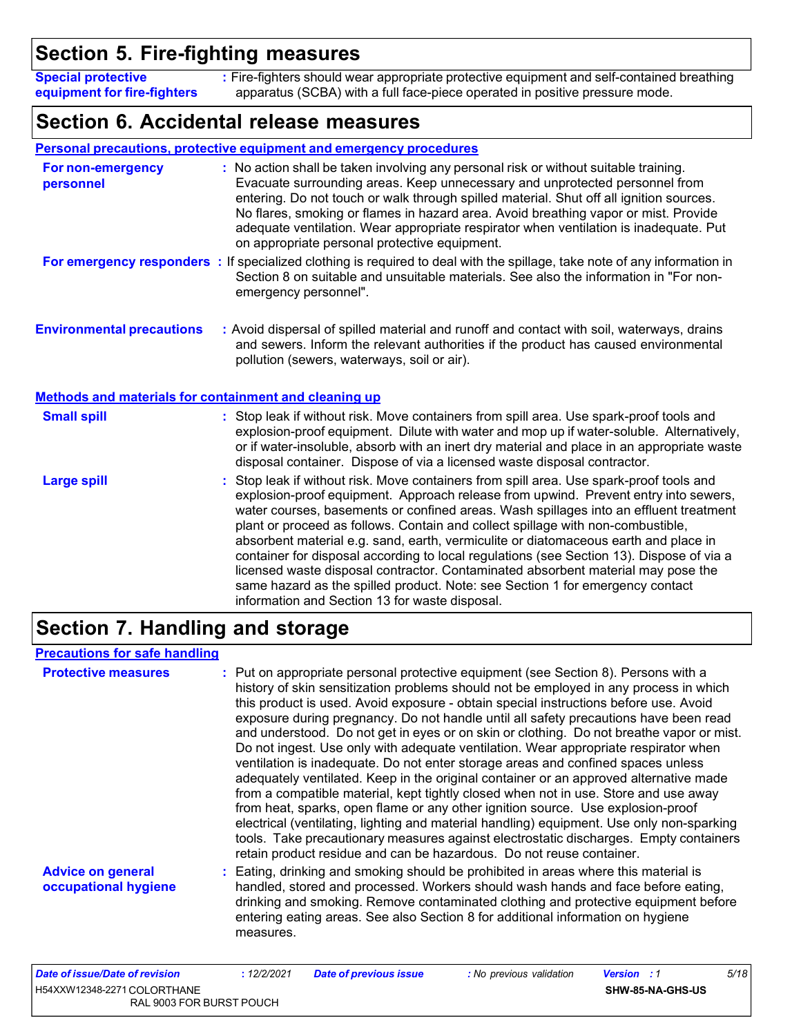# **Section 5. Fire-fighting measures**

**Special protective equipment for fire-fighters :** Fire-fighters should wear appropriate protective equipment and self-contained breathing apparatus (SCBA) with a full face-piece operated in positive pressure mode.

### **Section 6. Accidental release measures**

|                                                       | <b>Personal precautions, protective equipment and emergency procedures</b>                                                                                                                                                                                                                                                                                                                                                                                                                                                                                                                                                                                                                                                                                           |
|-------------------------------------------------------|----------------------------------------------------------------------------------------------------------------------------------------------------------------------------------------------------------------------------------------------------------------------------------------------------------------------------------------------------------------------------------------------------------------------------------------------------------------------------------------------------------------------------------------------------------------------------------------------------------------------------------------------------------------------------------------------------------------------------------------------------------------------|
| <b>For non-emergency</b><br>personnel                 | : No action shall be taken involving any personal risk or without suitable training.<br>Evacuate surrounding areas. Keep unnecessary and unprotected personnel from<br>entering. Do not touch or walk through spilled material. Shut off all ignition sources.<br>No flares, smoking or flames in hazard area. Avoid breathing vapor or mist. Provide<br>adequate ventilation. Wear appropriate respirator when ventilation is inadequate. Put<br>on appropriate personal protective equipment.                                                                                                                                                                                                                                                                      |
|                                                       | For emergency responders : If specialized clothing is required to deal with the spillage, take note of any information in<br>Section 8 on suitable and unsuitable materials. See also the information in "For non-<br>emergency personnel".                                                                                                                                                                                                                                                                                                                                                                                                                                                                                                                          |
| <b>Environmental precautions</b>                      | : Avoid dispersal of spilled material and runoff and contact with soil, waterways, drains<br>and sewers. Inform the relevant authorities if the product has caused environmental<br>pollution (sewers, waterways, soil or air).                                                                                                                                                                                                                                                                                                                                                                                                                                                                                                                                      |
| Methods and materials for containment and cleaning up |                                                                                                                                                                                                                                                                                                                                                                                                                                                                                                                                                                                                                                                                                                                                                                      |
| <b>Small spill</b>                                    | : Stop leak if without risk. Move containers from spill area. Use spark-proof tools and<br>explosion-proof equipment. Dilute with water and mop up if water-soluble. Alternatively,<br>or if water-insoluble, absorb with an inert dry material and place in an appropriate waste<br>disposal container. Dispose of via a licensed waste disposal contractor.                                                                                                                                                                                                                                                                                                                                                                                                        |
| <b>Large spill</b>                                    | : Stop leak if without risk. Move containers from spill area. Use spark-proof tools and<br>explosion-proof equipment. Approach release from upwind. Prevent entry into sewers,<br>water courses, basements or confined areas. Wash spillages into an effluent treatment<br>plant or proceed as follows. Contain and collect spillage with non-combustible,<br>absorbent material e.g. sand, earth, vermiculite or diatomaceous earth and place in<br>container for disposal according to local regulations (see Section 13). Dispose of via a<br>licensed waste disposal contractor. Contaminated absorbent material may pose the<br>same hazard as the spilled product. Note: see Section 1 for emergency contact<br>information and Section 13 for waste disposal. |

# **Section 7. Handling and storage**

### **Precautions for safe handling**

| <b>Protective measures</b>                       | : Put on appropriate personal protective equipment (see Section 8). Persons with a<br>history of skin sensitization problems should not be employed in any process in which<br>this product is used. Avoid exposure - obtain special instructions before use. Avoid<br>exposure during pregnancy. Do not handle until all safety precautions have been read<br>and understood. Do not get in eyes or on skin or clothing. Do not breathe vapor or mist.<br>Do not ingest. Use only with adequate ventilation. Wear appropriate respirator when<br>ventilation is inadequate. Do not enter storage areas and confined spaces unless<br>adequately ventilated. Keep in the original container or an approved alternative made<br>from a compatible material, kept tightly closed when not in use. Store and use away<br>from heat, sparks, open flame or any other ignition source. Use explosion-proof<br>electrical (ventilating, lighting and material handling) equipment. Use only non-sparking<br>tools. Take precautionary measures against electrostatic discharges. Empty containers<br>retain product residue and can be hazardous. Do not reuse container. |
|--------------------------------------------------|---------------------------------------------------------------------------------------------------------------------------------------------------------------------------------------------------------------------------------------------------------------------------------------------------------------------------------------------------------------------------------------------------------------------------------------------------------------------------------------------------------------------------------------------------------------------------------------------------------------------------------------------------------------------------------------------------------------------------------------------------------------------------------------------------------------------------------------------------------------------------------------------------------------------------------------------------------------------------------------------------------------------------------------------------------------------------------------------------------------------------------------------------------------------|
| <b>Advice on general</b><br>occupational hygiene | : Eating, drinking and smoking should be prohibited in areas where this material is<br>handled, stored and processed. Workers should wash hands and face before eating,<br>drinking and smoking. Remove contaminated clothing and protective equipment before<br>entering eating areas. See also Section 8 for additional information on hygiene<br>measures.                                                                                                                                                                                                                                                                                                                                                                                                                                                                                                                                                                                                                                                                                                                                                                                                       |

| Date of issue/Date of revision | : 12/2/2021 | <b>Date of previous issue</b> | : No previous validation | <b>Version</b> : 1      | 5/18 |
|--------------------------------|-------------|-------------------------------|--------------------------|-------------------------|------|
| H54XXW12348-2271 COLORTHANE    |             |                               |                          | <b>SHW-85-NA-GHS-US</b> |      |
| RAL 9003 FOR BURST POUCH       |             |                               |                          |                         |      |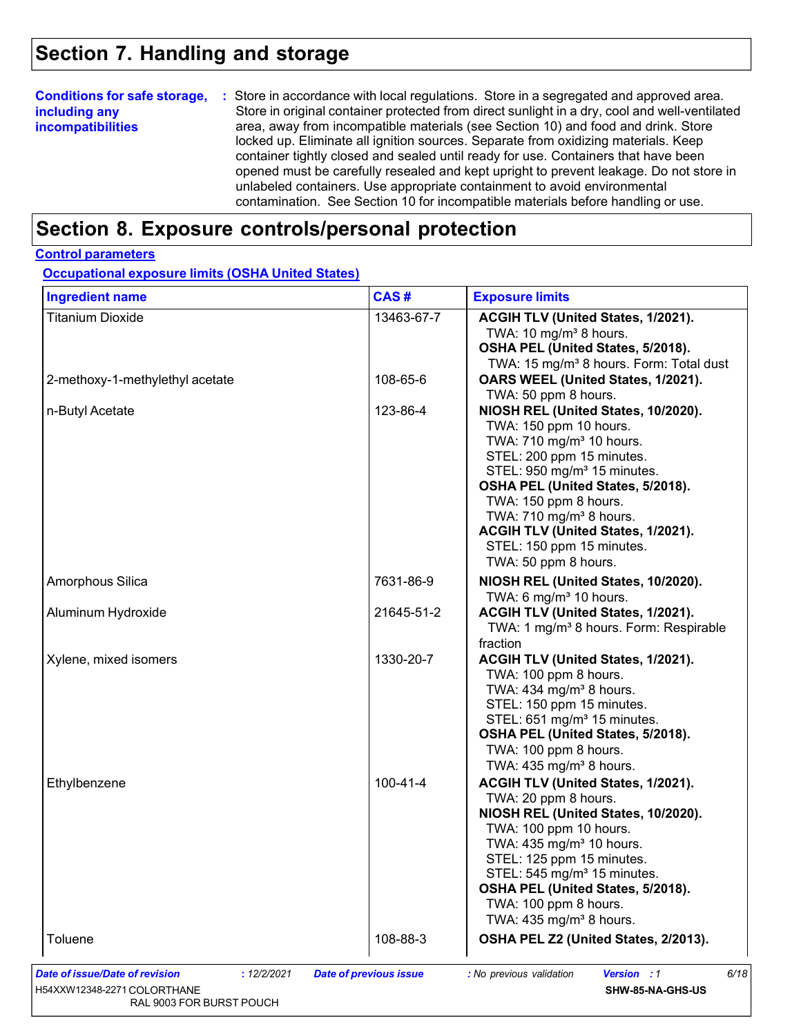### **Section 7. Handling and storage**

#### **Conditions for safe storage, including any incompatibilities :** Store in accordance with local regulations. Store in a segregated and approved area. Store in original container protected from direct sunlight in a dry, cool and well-ventilated area, away from incompatible materials (see Section 10) and food and drink. Store locked up. Eliminate all ignition sources. Separate from oxidizing materials. Keep container tightly closed and sealed until ready for use. Containers that have been opened must be carefully resealed and kept upright to prevent leakage. Do not store in unlabeled containers. Use appropriate containment to avoid environmental contamination. See Section 10 for incompatible materials before handling or use.

### **Section 8. Exposure controls/personal protection**

### **Control parameters**

**Occupational exposure limits (OSHA United States)**

| <b>Ingredient name</b>          | CAS#           | <b>Exposure limits</b>                                                                                                                                                                                                                                                                                                                                                        |
|---------------------------------|----------------|-------------------------------------------------------------------------------------------------------------------------------------------------------------------------------------------------------------------------------------------------------------------------------------------------------------------------------------------------------------------------------|
| <b>Titanium Dioxide</b>         | 13463-67-7     | ACGIH TLV (United States, 1/2021).<br>TWA: $10 \text{ mg/m}^3$ 8 hours.<br>OSHA PEL (United States, 5/2018).<br>TWA: 15 mg/m <sup>3</sup> 8 hours. Form: Total dust                                                                                                                                                                                                           |
| 2-methoxy-1-methylethyl acetate | 108-65-6       | OARS WEEL (United States, 1/2021).<br>TWA: 50 ppm 8 hours.                                                                                                                                                                                                                                                                                                                    |
| n-Butyl Acetate                 | 123-86-4       | NIOSH REL (United States, 10/2020).<br>TWA: 150 ppm 10 hours.<br>TWA: 710 mg/m <sup>3</sup> 10 hours.<br>STEL: 200 ppm 15 minutes.<br>STEL: 950 mg/m <sup>3</sup> 15 minutes.<br>OSHA PEL (United States, 5/2018).<br>TWA: 150 ppm 8 hours.<br>TWA: 710 mg/m <sup>3</sup> 8 hours.<br>ACGIH TLV (United States, 1/2021).<br>STEL: 150 ppm 15 minutes.<br>TWA: 50 ppm 8 hours. |
| Amorphous Silica                | 7631-86-9      | NIOSH REL (United States, 10/2020).<br>TWA: 6 mg/m <sup>3</sup> 10 hours.                                                                                                                                                                                                                                                                                                     |
| Aluminum Hydroxide              | 21645-51-2     | ACGIH TLV (United States, 1/2021).<br>TWA: 1 mg/m <sup>3</sup> 8 hours. Form: Respirable<br>fraction                                                                                                                                                                                                                                                                          |
| Xylene, mixed isomers           | 1330-20-7      | ACGIH TLV (United States, 1/2021).<br>TWA: 100 ppm 8 hours.<br>TWA: 434 mg/m <sup>3</sup> 8 hours.<br>STEL: 150 ppm 15 minutes.<br>STEL: 651 mg/m <sup>3</sup> 15 minutes.<br>OSHA PEL (United States, 5/2018).<br>TWA: 100 ppm 8 hours.<br>TWA: 435 mg/m <sup>3</sup> 8 hours.                                                                                               |
| Ethylbenzene                    | $100 - 41 - 4$ | ACGIH TLV (United States, 1/2021).<br>TWA: 20 ppm 8 hours.<br>NIOSH REL (United States, 10/2020).<br>TWA: 100 ppm 10 hours.<br>TWA: 435 mg/m <sup>3</sup> 10 hours.<br>STEL: 125 ppm 15 minutes.<br>$STEL: 545 mg/m3 15 minutes.$<br>OSHA PEL (United States, 5/2018).<br>TWA: 100 ppm 8 hours.<br>TWA: $435 \text{ mg/m}^3$ 8 hours.                                         |
|                                 |                |                                                                                                                                                                                                                                                                                                                                                                               |

H54XXW12348-2271 COLORTHANE RAL 9003 FOR BURST POUCH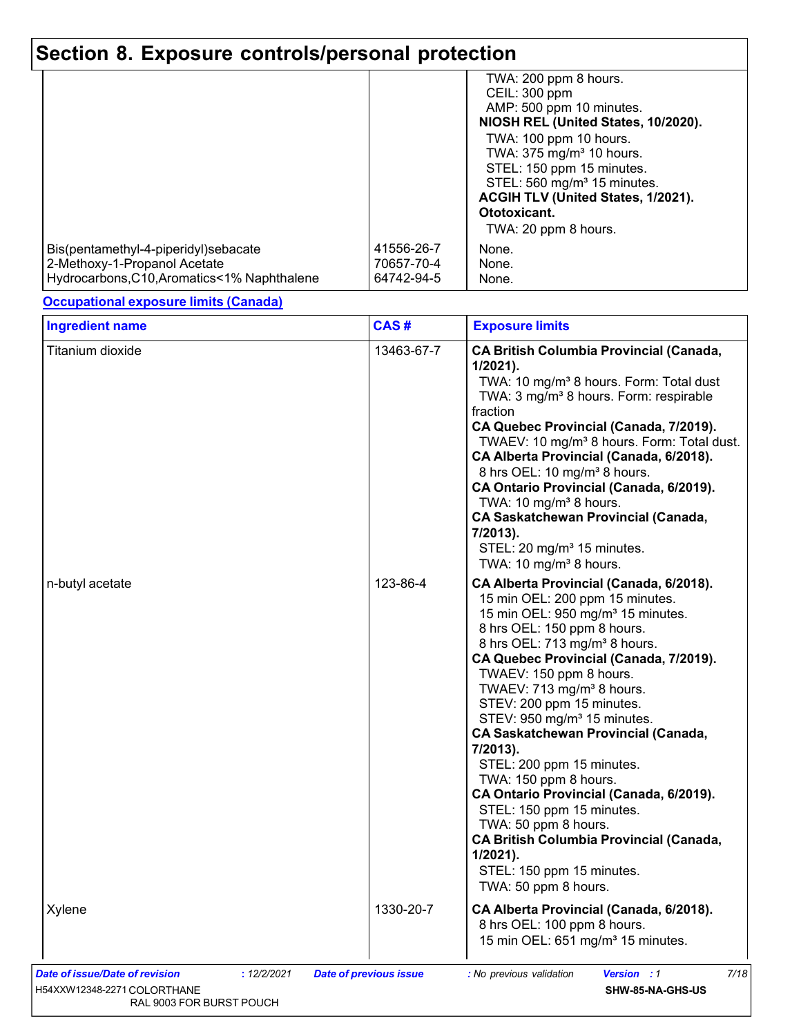|                                             |            | TWA: 200 ppm 8 hours.                   |
|---------------------------------------------|------------|-----------------------------------------|
|                                             |            | CEIL: 300 ppm                           |
|                                             |            | AMP: 500 ppm 10 minutes.                |
|                                             |            | NIOSH REL (United States, 10/2020).     |
|                                             |            | TWA: 100 ppm 10 hours.                  |
|                                             |            | TWA: 375 mg/m <sup>3</sup> 10 hours.    |
|                                             |            | STEL: 150 ppm 15 minutes.               |
|                                             |            | STEL: 560 mg/m <sup>3</sup> 15 minutes. |
|                                             |            | ACGIH TLV (United States, 1/2021).      |
|                                             |            | Ototoxicant.                            |
|                                             |            | TWA: 20 ppm 8 hours.                    |
| Bis(pentamethyl-4-piperidyl)sebacate        | 41556-26-7 | None.                                   |
| 2-Methoxy-1-Propanol Acetate                | 70657-70-4 | None.                                   |
| Hydrocarbons, C10, Aromatics<1% Naphthalene | 64742-94-5 | None.                                   |
|                                             |            |                                         |

### **Occupational exposure limits (Canada)**

| Titanium dioxide                                                             | 13463-67-7                    | <b>CA British Columbia Provincial (Canada,</b><br>$1/2021$ ).<br>TWA: 10 mg/m <sup>3</sup> 8 hours. Form: Total dust<br>TWA: 3 mg/m <sup>3</sup> 8 hours. Form: respirable<br>fraction<br>CA Quebec Provincial (Canada, 7/2019).<br>TWAEV: 10 mg/m <sup>3</sup> 8 hours. Form: Total dust.<br>CA Alberta Provincial (Canada, 6/2018).<br>8 hrs OEL: 10 mg/m <sup>3</sup> 8 hours.<br>CA Ontario Provincial (Canada, 6/2019).<br>TWA: 10 mg/m <sup>3</sup> 8 hours.<br><b>CA Saskatchewan Provincial (Canada,</b><br>7/2013).<br>STEL: 20 mg/m <sup>3</sup> 15 minutes.<br>TWA: 10 mg/m <sup>3</sup> 8 hours.                                                                                                                        |
|------------------------------------------------------------------------------|-------------------------------|-------------------------------------------------------------------------------------------------------------------------------------------------------------------------------------------------------------------------------------------------------------------------------------------------------------------------------------------------------------------------------------------------------------------------------------------------------------------------------------------------------------------------------------------------------------------------------------------------------------------------------------------------------------------------------------------------------------------------------------|
| n-butyl acetate                                                              | 123-86-4                      | CA Alberta Provincial (Canada, 6/2018).<br>15 min OEL: 200 ppm 15 minutes.<br>15 min OEL: 950 mg/m <sup>3</sup> 15 minutes.<br>8 hrs OEL: 150 ppm 8 hours.<br>8 hrs OEL: 713 mg/m <sup>3</sup> 8 hours.<br>CA Quebec Provincial (Canada, 7/2019).<br>TWAEV: 150 ppm 8 hours.<br>TWAEV: 713 mg/m <sup>3</sup> 8 hours.<br>STEV: 200 ppm 15 minutes.<br>STEV: 950 mg/m <sup>3</sup> 15 minutes.<br><b>CA Saskatchewan Provincial (Canada,</b><br>7/2013).<br>STEL: 200 ppm 15 minutes.<br>TWA: 150 ppm 8 hours.<br>CA Ontario Provincial (Canada, 6/2019).<br>STEL: 150 ppm 15 minutes.<br>TWA: 50 ppm 8 hours.<br><b>CA British Columbia Provincial (Canada,</b><br>$1/2021$ ).<br>STEL: 150 ppm 15 minutes.<br>TWA: 50 ppm 8 hours. |
| Xylene                                                                       | 1330-20-7                     | CA Alberta Provincial (Canada, 6/2018).<br>8 hrs OEL: 100 ppm 8 hours.<br>15 min OEL: 651 mg/m <sup>3</sup> 15 minutes.                                                                                                                                                                                                                                                                                                                                                                                                                                                                                                                                                                                                             |
| Date of issue/Date of revision<br>: 12/2/2021<br>H54XXW12348-2271 COLORTHANE | <b>Date of previous issue</b> | Version : 1<br>: No previous validation<br>7/18<br>SHW-85-NA-GHS-US                                                                                                                                                                                                                                                                                                                                                                                                                                                                                                                                                                                                                                                                 |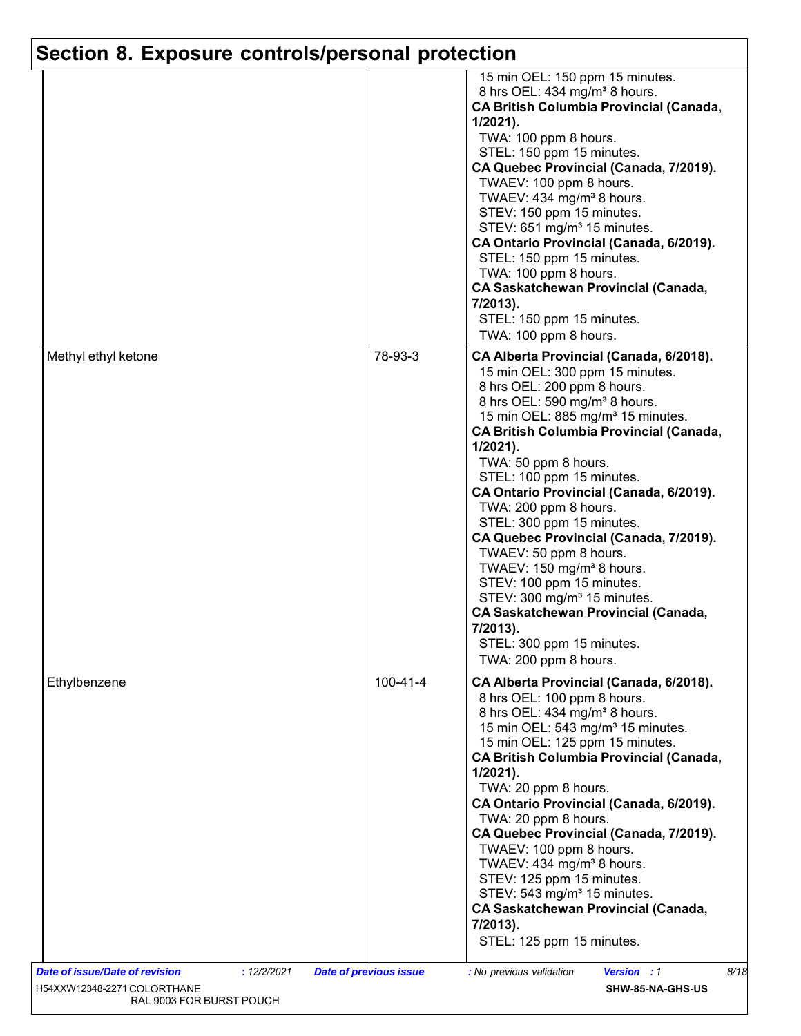| Methyl ethyl ketone            |                                              | 78-93-3        | 15 min OEL: 150 ppm 15 minutes.<br>8 hrs OEL: 434 mg/m <sup>3</sup> 8 hours.<br><b>CA British Columbia Provincial (Canada,</b><br>$1/2021$ ).<br>TWA: 100 ppm 8 hours.<br>STEL: 150 ppm 15 minutes.<br>CA Quebec Provincial (Canada, 7/2019).<br>TWAEV: 100 ppm 8 hours.<br>TWAEV: 434 mg/m <sup>3</sup> 8 hours.<br>STEV: 150 ppm 15 minutes.<br>STEV: 651 mg/m <sup>3</sup> 15 minutes.<br>CA Ontario Provincial (Canada, 6/2019).<br>STEL: 150 ppm 15 minutes.<br>TWA: 100 ppm 8 hours.<br><b>CA Saskatchewan Provincial (Canada,</b><br>7/2013).<br>STEL: 150 ppm 15 minutes.<br>TWA: 100 ppm 8 hours.<br>CA Alberta Provincial (Canada, 6/2018).<br>15 min OEL: 300 ppm 15 minutes.<br>8 hrs OEL: 200 ppm 8 hours.<br>8 hrs OEL: 590 mg/m <sup>3</sup> 8 hours.<br>15 min OEL: 885 mg/m <sup>3</sup> 15 minutes.<br><b>CA British Columbia Provincial (Canada,</b><br>1/2021).<br>TWA: 50 ppm 8 hours.<br>STEL: 100 ppm 15 minutes.<br>CA Ontario Provincial (Canada, 6/2019).<br>TWA: 200 ppm 8 hours.<br>STEL: 300 ppm 15 minutes.<br>CA Quebec Provincial (Canada, 7/2019).<br>TWAEV: 50 ppm 8 hours.<br>TWAEV: 150 mg/m <sup>3</sup> 8 hours.<br>STEV: 100 ppm 15 minutes.<br>STEV: 300 mg/m <sup>3</sup> 15 minutes.<br><b>CA Saskatchewan Provincial (Canada,</b><br>7/2013).<br>STEL: 300 ppm 15 minutes.<br>TWA: 200 ppm 8 hours. |
|--------------------------------|----------------------------------------------|----------------|------------------------------------------------------------------------------------------------------------------------------------------------------------------------------------------------------------------------------------------------------------------------------------------------------------------------------------------------------------------------------------------------------------------------------------------------------------------------------------------------------------------------------------------------------------------------------------------------------------------------------------------------------------------------------------------------------------------------------------------------------------------------------------------------------------------------------------------------------------------------------------------------------------------------------------------------------------------------------------------------------------------------------------------------------------------------------------------------------------------------------------------------------------------------------------------------------------------------------------------------------------------------------------------------------------------------------------------------|
| Ethylbenzene                   |                                              | $100 - 41 - 4$ | CA Alberta Provincial (Canada, 6/2018).<br>8 hrs OEL: 100 ppm 8 hours.<br>8 hrs OEL: 434 mg/m <sup>3</sup> 8 hours.<br>15 min OEL: 543 mg/m <sup>3</sup> 15 minutes.<br>15 min OEL: 125 ppm 15 minutes.<br><b>CA British Columbia Provincial (Canada,</b><br>$1/2021$ ).<br>TWA: 20 ppm 8 hours.<br>CA Ontario Provincial (Canada, 6/2019).<br>TWA: 20 ppm 8 hours.<br>CA Quebec Provincial (Canada, 7/2019).<br>TWAEV: 100 ppm 8 hours.<br>TWAEV: 434 mg/m <sup>3</sup> 8 hours.<br>STEV: 125 ppm 15 minutes.<br>STEV: 543 mg/m <sup>3</sup> 15 minutes.<br><b>CA Saskatchewan Provincial (Canada,</b><br>7/2013).<br>STEL: 125 ppm 15 minutes.                                                                                                                                                                                                                                                                                                                                                                                                                                                                                                                                                                                                                                                                                               |
| Date of issue/Date of revision | : 12/2/2021<br><b>Date of previous issue</b> |                | : No previous validation<br><b>Version : 1</b><br>8/18                                                                                                                                                                                                                                                                                                                                                                                                                                                                                                                                                                                                                                                                                                                                                                                                                                                                                                                                                                                                                                                                                                                                                                                                                                                                                         |
| H54XXW12348-2271 COLORTHANE    |                                              |                | SHW-85-NA-GHS-US                                                                                                                                                                                                                                                                                                                                                                                                                                                                                                                                                                                                                                                                                                                                                                                                                                                                                                                                                                                                                                                                                                                                                                                                                                                                                                                               |
| RAL 9003 FOR BURST POUCH       |                                              |                |                                                                                                                                                                                                                                                                                                                                                                                                                                                                                                                                                                                                                                                                                                                                                                                                                                                                                                                                                                                                                                                                                                                                                                                                                                                                                                                                                |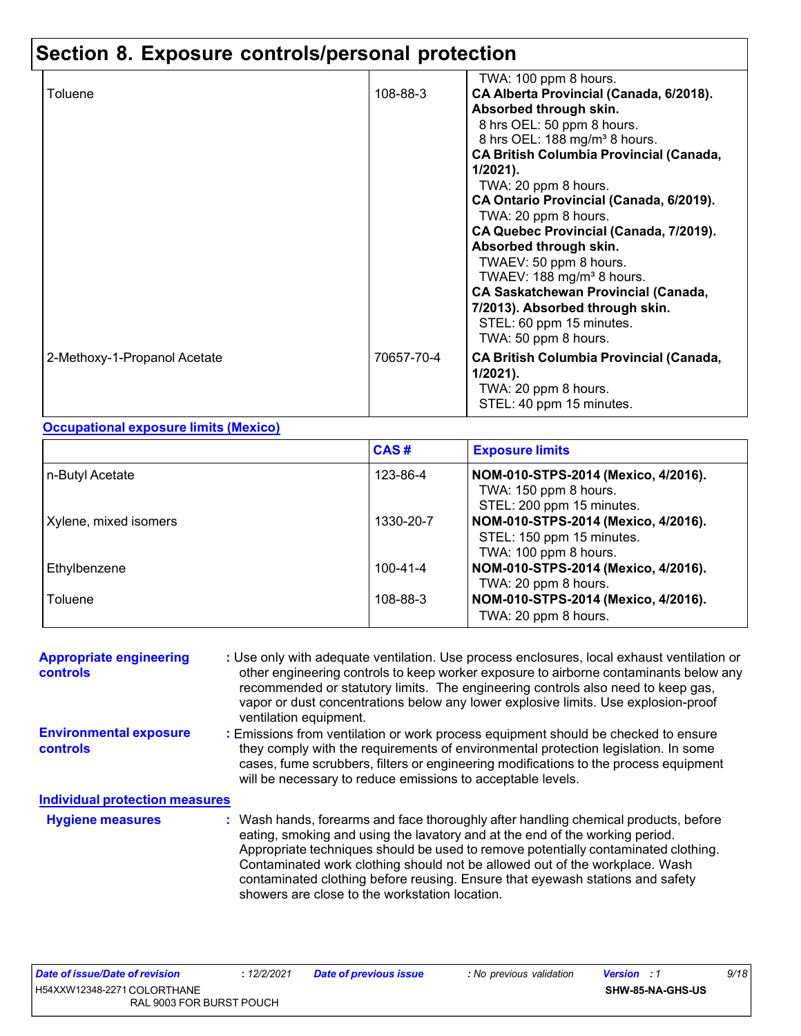|                              |            | TWA: 100 ppm 8 hours.                          |
|------------------------------|------------|------------------------------------------------|
| Toluene                      | 108-88-3   | CA Alberta Provincial (Canada, 6/2018).        |
|                              |            | Absorbed through skin.                         |
|                              |            | 8 hrs OEL: 50 ppm 8 hours.                     |
|                              |            | 8 hrs OEL: 188 mg/m <sup>3</sup> 8 hours.      |
|                              |            | <b>CA British Columbia Provincial (Canada,</b> |
|                              |            | $1/2021$ ).                                    |
|                              |            | TWA: 20 ppm 8 hours.                           |
|                              |            | CA Ontario Provincial (Canada, 6/2019).        |
|                              |            | TWA: 20 ppm 8 hours.                           |
|                              |            | CA Quebec Provincial (Canada, 7/2019).         |
|                              |            | Absorbed through skin.                         |
|                              |            |                                                |
|                              |            | TWAEV: 50 ppm 8 hours.                         |
|                              |            | TWAEV: $188 \text{ mg/m}^3 8 \text{ hours}$ .  |
|                              |            | <b>CA Saskatchewan Provincial (Canada,</b>     |
|                              |            | 7/2013). Absorbed through skin.                |
|                              |            | STEL: 60 ppm 15 minutes.                       |
|                              |            | TWA: 50 ppm 8 hours.                           |
| 2-Methoxy-1-Propanol Acetate | 70657-70-4 | <b>CA British Columbia Provincial (Canada,</b> |
|                              |            | $1/2021$ ).                                    |
|                              |            |                                                |
|                              |            | TWA: 20 ppm 8 hours.                           |
|                              |            | STEL: 40 ppm 15 minutes.                       |

#### **Occupational exposure limits (Mexico)**

|                       | CAS#           | <b>Exposure limits</b>                                                                    |
|-----------------------|----------------|-------------------------------------------------------------------------------------------|
| n-Butyl Acetate       | 123-86-4       | NOM-010-STPS-2014 (Mexico, 4/2016).<br>TWA: 150 ppm 8 hours.<br>STEL: 200 ppm 15 minutes. |
| Xylene, mixed isomers | 1330-20-7      | NOM-010-STPS-2014 (Mexico, 4/2016).<br>STEL: 150 ppm 15 minutes.<br>TWA: 100 ppm 8 hours. |
| Ethylbenzene          | $100 - 41 - 4$ | NOM-010-STPS-2014 (Mexico, 4/2016).<br>TWA: 20 ppm 8 hours.                               |
| Toluene               | 108-88-3       | NOM-010-STPS-2014 (Mexico, 4/2016).<br>TWA: 20 ppm 8 hours.                               |

| <b>Appropriate engineering</b><br><b>controls</b> | : Use only with adequate ventilation. Use process enclosures, local exhaust ventilation or<br>other engineering controls to keep worker exposure to airborne contaminants below any<br>recommended or statutory limits. The engineering controls also need to keep gas,<br>vapor or dust concentrations below any lower explosive limits. Use explosion-proof<br>ventilation equipment.                                                                                     |
|---------------------------------------------------|-----------------------------------------------------------------------------------------------------------------------------------------------------------------------------------------------------------------------------------------------------------------------------------------------------------------------------------------------------------------------------------------------------------------------------------------------------------------------------|
| <b>Environmental exposure</b><br><b>controls</b>  | : Emissions from ventilation or work process equipment should be checked to ensure<br>they comply with the requirements of environmental protection legislation. In some<br>cases, fume scrubbers, filters or engineering modifications to the process equipment<br>will be necessary to reduce emissions to acceptable levels.                                                                                                                                             |
| <b>Individual protection measures</b>             |                                                                                                                                                                                                                                                                                                                                                                                                                                                                             |
| <b>Hygiene measures</b>                           | : Wash hands, forearms and face thoroughly after handling chemical products, before<br>eating, smoking and using the lavatory and at the end of the working period.<br>Appropriate techniques should be used to remove potentially contaminated clothing.<br>Contaminated work clothing should not be allowed out of the workplace. Wash<br>contaminated clothing before reusing. Ensure that eyewash stations and safety<br>showers are close to the workstation location. |

**:** *12/2/2021 Date of previous issue : No previous validation Version : 1*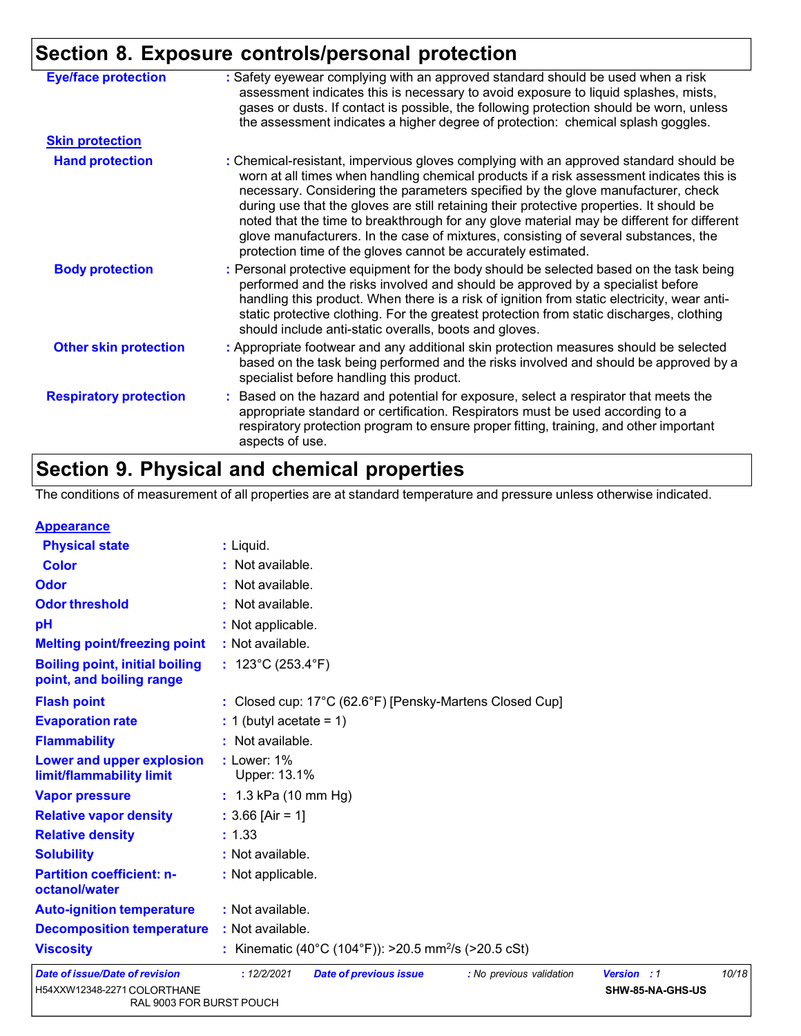|                               | $P = 1$                                                                                                                                                                                                                                                                                                                                                                                                                                                                                                                                                                                                                |
|-------------------------------|------------------------------------------------------------------------------------------------------------------------------------------------------------------------------------------------------------------------------------------------------------------------------------------------------------------------------------------------------------------------------------------------------------------------------------------------------------------------------------------------------------------------------------------------------------------------------------------------------------------------|
| <b>Eye/face protection</b>    | : Safety eyewear complying with an approved standard should be used when a risk<br>assessment indicates this is necessary to avoid exposure to liquid splashes, mists,<br>gases or dusts. If contact is possible, the following protection should be worn, unless<br>the assessment indicates a higher degree of protection: chemical splash goggles.                                                                                                                                                                                                                                                                  |
| <b>Skin protection</b>        |                                                                                                                                                                                                                                                                                                                                                                                                                                                                                                                                                                                                                        |
| <b>Hand protection</b>        | : Chemical-resistant, impervious gloves complying with an approved standard should be<br>worn at all times when handling chemical products if a risk assessment indicates this is<br>necessary. Considering the parameters specified by the glove manufacturer, check<br>during use that the gloves are still retaining their protective properties. It should be<br>noted that the time to breakthrough for any glove material may be different for different<br>glove manufacturers. In the case of mixtures, consisting of several substances, the<br>protection time of the gloves cannot be accurately estimated. |
| <b>Body protection</b>        | : Personal protective equipment for the body should be selected based on the task being<br>performed and the risks involved and should be approved by a specialist before<br>handling this product. When there is a risk of ignition from static electricity, wear anti-<br>static protective clothing. For the greatest protection from static discharges, clothing<br>should include anti-static overalls, boots and gloves.                                                                                                                                                                                         |
| <b>Other skin protection</b>  | : Appropriate footwear and any additional skin protection measures should be selected<br>based on the task being performed and the risks involved and should be approved by a<br>specialist before handling this product.                                                                                                                                                                                                                                                                                                                                                                                              |
| <b>Respiratory protection</b> | : Based on the hazard and potential for exposure, select a respirator that meets the<br>appropriate standard or certification. Respirators must be used according to a<br>respiratory protection program to ensure proper fitting, training, and other important<br>aspects of use.                                                                                                                                                                                                                                                                                                                                    |

# **Section 9. Physical and chemical properties**

The conditions of measurement of all properties are at standard temperature and pressure unless otherwise indicated.

| <b>Appearance</b> |
|-------------------|
|-------------------|

| $\sim$ $\sim$ $\sim$ $\sim$ $\sim$ $\sim$ $\sim$                  |                                                                          |                    |       |
|-------------------------------------------------------------------|--------------------------------------------------------------------------|--------------------|-------|
| <b>Physical state</b>                                             | : Liquid.                                                                |                    |       |
| <b>Color</b>                                                      | : Not available.                                                         |                    |       |
| <b>Odor</b>                                                       | : Not available.                                                         |                    |       |
| <b>Odor threshold</b>                                             | : Not available.                                                         |                    |       |
| pH                                                                | : Not applicable.                                                        |                    |       |
| <b>Melting point/freezing point</b>                               | : Not available.                                                         |                    |       |
| <b>Boiling point, initial boiling</b><br>point, and boiling range | : $123^{\circ}$ C (253.4 $^{\circ}$ F)                                   |                    |       |
| <b>Flash point</b>                                                | : Closed cup: 17°C (62.6°F) [Pensky-Martens Closed Cup]                  |                    |       |
| <b>Evaporation rate</b>                                           | $: 1$ (butyl acetate = 1)                                                |                    |       |
| <b>Flammability</b>                                               | : Not available.                                                         |                    |       |
| Lower and upper explosion<br>limit/flammability limit             | $:$ Lower: 1%<br>Upper: 13.1%                                            |                    |       |
| <b>Vapor pressure</b>                                             | : $1.3$ kPa (10 mm Hg)                                                   |                    |       |
| <b>Relative vapor density</b>                                     | : $3.66$ [Air = 1]                                                       |                    |       |
| <b>Relative density</b>                                           | : 1.33                                                                   |                    |       |
| <b>Solubility</b>                                                 | : Not available.                                                         |                    |       |
| <b>Partition coefficient: n-</b><br>octanol/water                 | : Not applicable.                                                        |                    |       |
| <b>Auto-ignition temperature</b>                                  | : Not available.                                                         |                    |       |
| <b>Decomposition temperature</b>                                  | : Not available.                                                         |                    |       |
| <b>Viscosity</b>                                                  | : Kinematic (40°C (104°F)): >20.5 mm <sup>2</sup> /s (>20.5 cSt)         |                    |       |
| <b>Date of issue/Date of revision</b>                             | : 12/2/2021<br><b>Date of previous issue</b><br>: No previous validation | <b>Version</b> : 1 | 10/18 |
| H54XXW12348-2271 COLORTHANE                                       |                                                                          | SHW-85-NA-GHS-US   |       |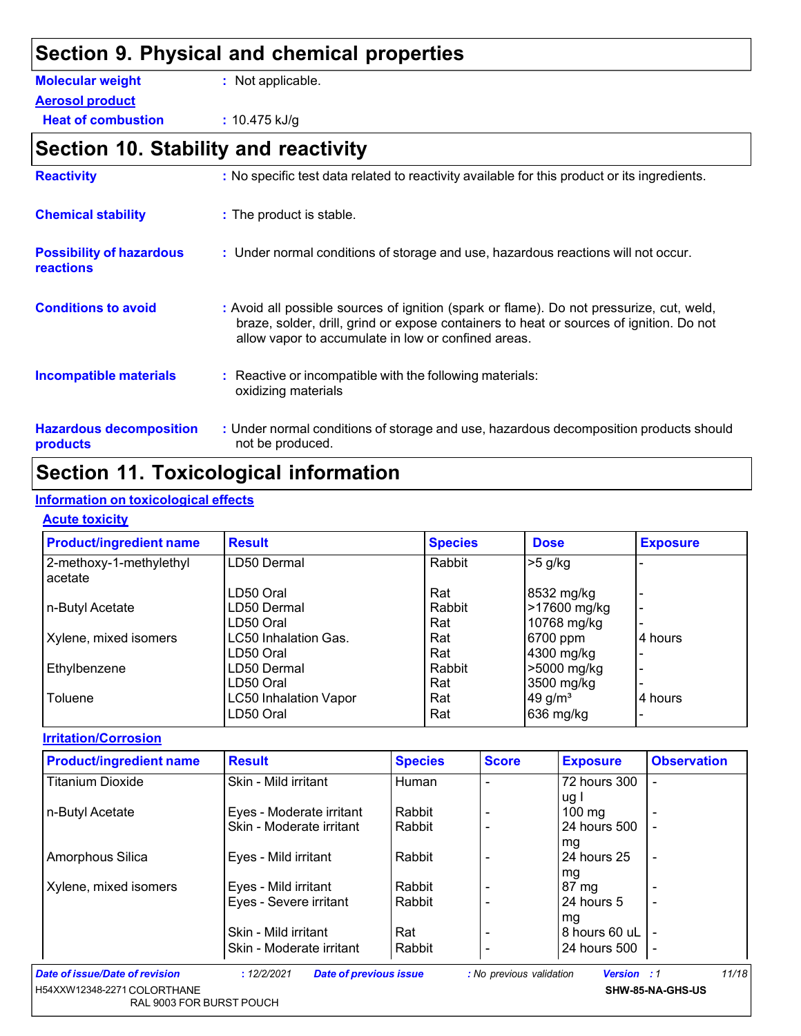# **Section 9. Physical and chemical properties**

**Aerosol product**

**Heat of combustion :** 10.475 kJ/g

# **Section 10. Stability and reactivity**

| <b>Reactivity</b>                                   | : No specific test data related to reactivity available for this product or its ingredients.                                                                                                                                               |
|-----------------------------------------------------|--------------------------------------------------------------------------------------------------------------------------------------------------------------------------------------------------------------------------------------------|
| <b>Chemical stability</b>                           | : The product is stable.                                                                                                                                                                                                                   |
| <b>Possibility of hazardous</b><br><b>reactions</b> | : Under normal conditions of storage and use, hazardous reactions will not occur.                                                                                                                                                          |
| <b>Conditions to avoid</b>                          | : Avoid all possible sources of ignition (spark or flame). Do not pressurize, cut, weld,<br>braze, solder, drill, grind or expose containers to heat or sources of ignition. Do not<br>allow vapor to accumulate in low or confined areas. |
| <b>Incompatible materials</b>                       | : Reactive or incompatible with the following materials:<br>oxidizing materials                                                                                                                                                            |
| <b>Hazardous decomposition</b><br>products          | : Under normal conditions of storage and use, hazardous decomposition products should<br>not be produced.                                                                                                                                  |

# **Section 11. Toxicological information**

### **Information on toxicological effects**

#### **Acute toxicity**

| <b>Product/ingredient name</b>     | <b>Result</b>                | <b>Species</b> | <b>Dose</b>           | <b>Exposure</b>          |
|------------------------------------|------------------------------|----------------|-----------------------|--------------------------|
| 2-methoxy-1-methylethyl<br>acetate | LD50 Dermal                  | Rabbit         | $>5$ g/kg             |                          |
|                                    | LD50 Oral                    | Rat            | 8532 mg/kg            | $\blacksquare$           |
| n-Butyl Acetate                    | LD50 Dermal                  | Rabbit         | >17600 mg/kg          | $\overline{\phantom{0}}$ |
|                                    | LD50 Oral                    | Rat            | 10768 mg/kg           |                          |
| Xylene, mixed isomers              | LC50 Inhalation Gas.         | Rat            | 6700 ppm              | 4 hours                  |
|                                    | LD50 Oral                    | Rat            | 4300 mg/kg            | $\overline{\phantom{0}}$ |
| Ethylbenzene                       | LD50 Dermal                  | Rabbit         | >5000 mg/kg           | $\overline{\phantom{0}}$ |
|                                    | LD50 Oral                    | Rat            | 3500 mg/kg            | $\blacksquare$           |
| Toluene                            | <b>LC50 Inhalation Vapor</b> | Rat            | $49$ g/m <sup>3</sup> | 4 hours                  |
|                                    | LD50 Oral                    | Rat            | 636 mg/kg             | ۰                        |

**Irritation/Corrosion**

| <b>Product/ingredient name</b> | <b>Result</b>            | <b>Species</b> | <b>Score</b>   | <b>Exposure</b>  | <b>Observation</b> |
|--------------------------------|--------------------------|----------------|----------------|------------------|--------------------|
| <b>Titanium Dioxide</b>        | Skin - Mild irritant     | Human          |                | 72 hours 300     |                    |
|                                |                          |                |                | ug l             |                    |
| n-Butyl Acetate                | Eyes - Moderate irritant | Rabbit         | $\blacksquare$ | $100 \text{ mg}$ |                    |
|                                | Skin - Moderate irritant | Rabbit         |                | 24 hours 500     |                    |
|                                |                          |                |                | mg               |                    |
| Amorphous Silica               | Eyes - Mild irritant     | Rabbit         |                | 24 hours 25      | $\blacksquare$     |
|                                |                          |                |                | mg               |                    |
| Xylene, mixed isomers          | Eyes - Mild irritant     | Rabbit         |                | 87 mg            |                    |
|                                | Eyes - Severe irritant   | Rabbit         | $\blacksquare$ | 24 hours 5       |                    |
|                                |                          |                |                | mg               |                    |
|                                | Skin - Mild irritant     | Rat            | $\blacksquare$ | 8 hours 60 uL    | ÷                  |
|                                | Skin - Moderate irritant | Rabbit         | $\blacksquare$ | 24 hours 500     | $\blacksquare$     |

**:** *12/2/2021 Date of previous issue : No previous validation Version : 1*

*11/18*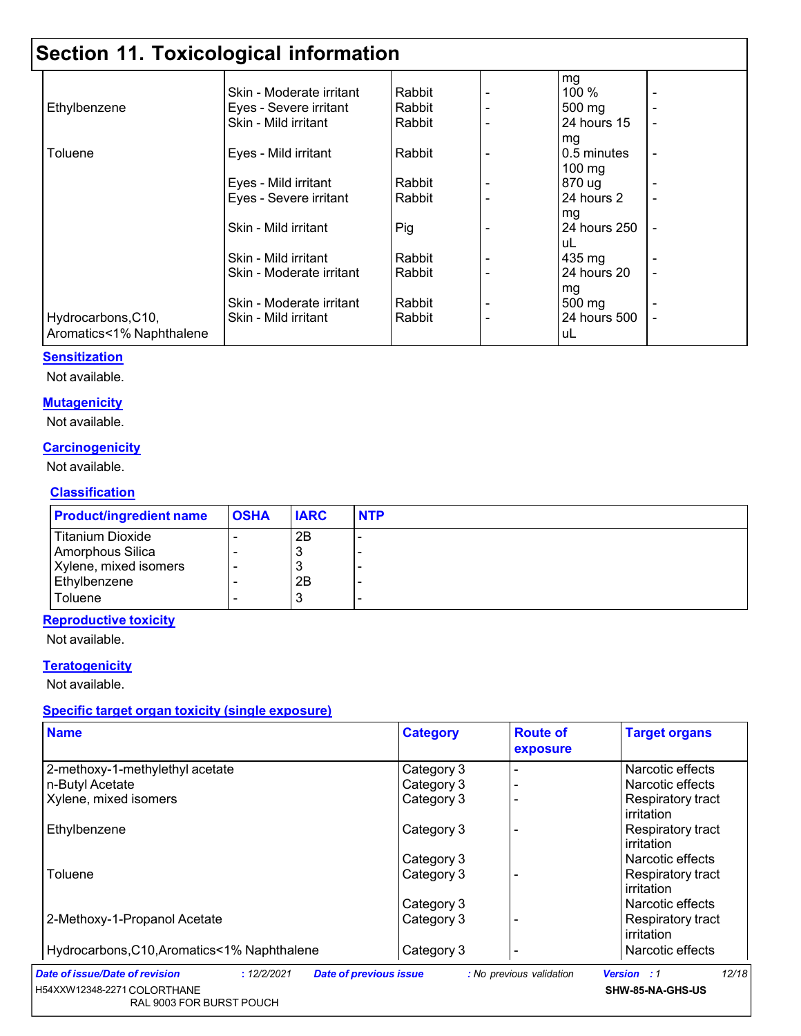|                          |                          |        |                          | mg               |  |
|--------------------------|--------------------------|--------|--------------------------|------------------|--|
|                          | Skin - Moderate irritant | Rabbit |                          | <b>100 %</b>     |  |
| Ethylbenzene             | Eyes - Severe irritant   | Rabbit |                          | 500 mg           |  |
|                          | Skin - Mild irritant     | Rabbit |                          | 24 hours 15      |  |
|                          |                          |        |                          | mg               |  |
| Toluene                  | Eyes - Mild irritant     | Rabbit |                          | 0.5 minutes      |  |
|                          |                          |        |                          | $100 \text{ mg}$ |  |
|                          | Eyes - Mild irritant     | Rabbit | $\overline{\phantom{a}}$ | 870 ug           |  |
|                          | Eyes - Severe irritant   | Rabbit | ٠                        | 24 hours 2       |  |
|                          |                          |        |                          | mg               |  |
|                          | Skin - Mild irritant     | Pig    |                          | 24 hours 250     |  |
|                          |                          |        |                          | uL               |  |
|                          | Skin - Mild irritant     | Rabbit |                          | 435 mg           |  |
|                          | Skin - Moderate irritant | Rabbit |                          | 24 hours 20      |  |
|                          |                          |        |                          | mg               |  |
|                          | Skin - Moderate irritant | Rabbit |                          | 500 mg           |  |
| Hydrocarbons, C10,       | Skin - Mild irritant     | Rabbit |                          | 24 hours 500     |  |
| Aromatics<1% Naphthalene |                          |        |                          | uL               |  |

#### **Sensitization**

Not available.

### **Mutagenicity**

Not available.

### **Carcinogenicity**

Not available.

#### **Classification**

| <b>Product/ingredient name</b> | <b>OSHA</b> | <b>IARC</b> | <b>NTP</b> |
|--------------------------------|-------------|-------------|------------|
| Titanium Dioxide               |             | 2B          | -          |
| Amorphous Silica               |             | 3           |            |
| Xylene, mixed isomers          |             | 3           |            |
| Ethylbenzene                   |             | 2B          |            |
| Toluene                        |             | 3           | -          |

### **Reproductive toxicity**

Not available.

### **Teratogenicity**

Not available.

### **Specific target organ toxicity (single exposure)**

| <b>Name</b>                                   | <b>Category</b>               | <b>Route of</b><br>exposure | <b>Target organs</b>            |
|-----------------------------------------------|-------------------------------|-----------------------------|---------------------------------|
| 2-methoxy-1-methylethyl acetate               | Category 3                    |                             | Narcotic effects                |
| n-Butyl Acetate                               | Category 3                    |                             | Narcotic effects                |
| Xylene, mixed isomers                         | Category 3                    |                             | Respiratory tract<br>irritation |
| Ethylbenzene                                  | Category 3                    |                             | Respiratory tract<br>irritation |
|                                               | Category 3                    |                             | Narcotic effects                |
| Toluene                                       | Category 3                    |                             | Respiratory tract<br>irritation |
|                                               | Category 3                    |                             | Narcotic effects                |
| 2-Methoxy-1-Propanol Acetate                  | Category 3                    |                             | Respiratory tract<br>irritation |
| Hydrocarbons, C10, Aromatics<1% Naphthalene   | Category 3                    |                             | l Narcotic effects              |
| Date of issue/Date of revision<br>: 12/2/2021 | <b>Date of previous issue</b> | : No previous validation    | 12/18<br><b>Version</b> : 1     |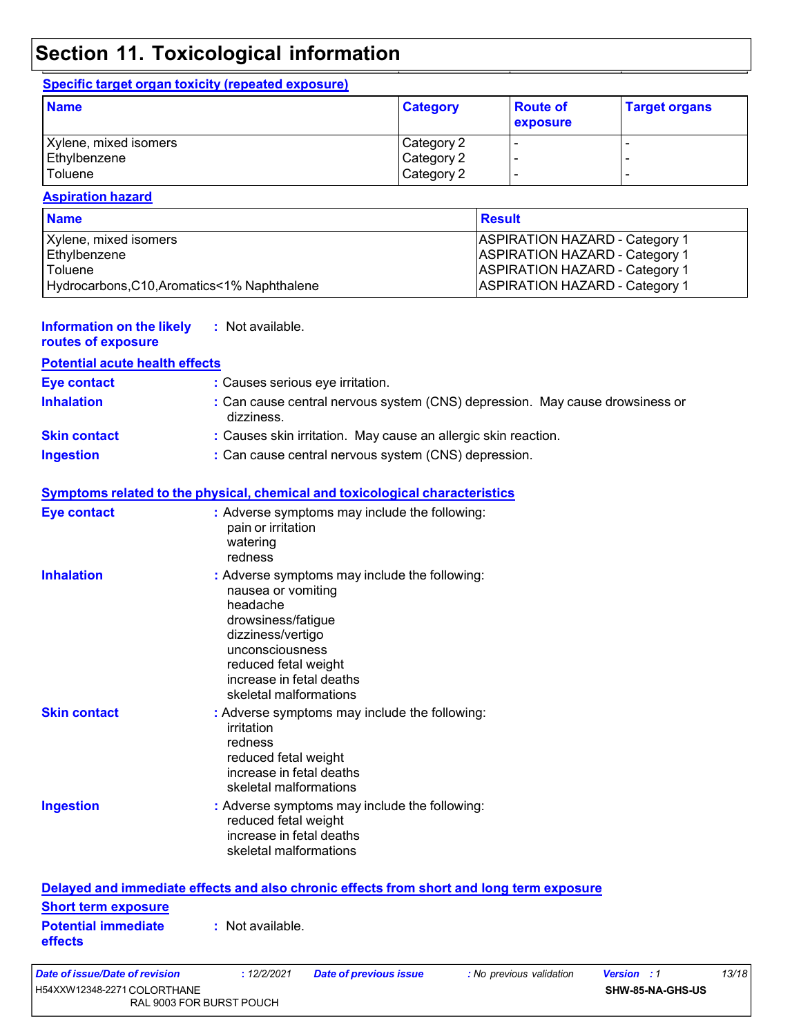### **Specific target organ toxicity (repeated exposure)**

| <b>Name</b>           | <b>Category</b> | <b>Route of</b><br><b>exposure</b> | <b>Target organs</b> |
|-----------------------|-----------------|------------------------------------|----------------------|
| Xylene, mixed isomers | Category 2      |                                    |                      |
| Ethylbenzene          | Category 2      |                                    |                      |
| Toluene               | Category 2      |                                    |                      |

#### **Aspiration hazard**

| <b>Name</b>                                 | <b>Result</b>                         |
|---------------------------------------------|---------------------------------------|
| Xylene, mixed isomers                       | <b>ASPIRATION HAZARD - Category 1</b> |
| Ethylbenzene                                | <b>ASPIRATION HAZARD - Category 1</b> |
| Toluene                                     | <b>ASPIRATION HAZARD - Category 1</b> |
| Hydrocarbons, C10, Aromatics<1% Naphthalene | <b>ASPIRATION HAZARD - Category 1</b> |

### **Information on the likely :** Not available.

| routes of exposure |  |  |  |
|--------------------|--|--|--|
|                    |  |  |  |

| <b>Potential acute health effects</b> |                                                                                            |
|---------------------------------------|--------------------------------------------------------------------------------------------|
| <b>Eye contact</b>                    | : Causes serious eye irritation.                                                           |
| <b>Inhalation</b>                     | : Can cause central nervous system (CNS) depression. May cause drowsiness or<br>dizziness. |
| <b>Skin contact</b>                   | : Causes skin irritation. May cause an allergic skin reaction.                             |
| <b>Ingestion</b>                      | : Can cause central nervous system (CNS) depression.                                       |

### **Symptoms related to the physical, chemical and toxicological characteristics**

| <b>Eye contact</b>                                                                       | pain or irritation<br>watering<br>redness                                                                                                                                  | : Adverse symptoms may include the following: |                          |                                        |
|------------------------------------------------------------------------------------------|----------------------------------------------------------------------------------------------------------------------------------------------------------------------------|-----------------------------------------------|--------------------------|----------------------------------------|
| <b>Inhalation</b>                                                                        | nausea or vomiting<br>headache<br>drowsiness/fatigue<br>dizziness/vertigo<br>unconsciousness<br>reduced fetal weight<br>increase in fetal deaths<br>skeletal malformations | : Adverse symptoms may include the following: |                          |                                        |
| <b>Skin contact</b>                                                                      | irritation<br>redness<br>reduced fetal weight<br>increase in fetal deaths<br>skeletal malformations                                                                        | : Adverse symptoms may include the following: |                          |                                        |
| <b>Ingestion</b>                                                                         | reduced fetal weight<br>increase in fetal deaths<br>skeletal malformations                                                                                                 | : Adverse symptoms may include the following: |                          |                                        |
| Delayed and immediate effects and also chronic effects from short and long term exposure |                                                                                                                                                                            |                                               |                          |                                        |
| <b>Short term exposure</b>                                                               |                                                                                                                                                                            |                                               |                          |                                        |
| <b>Potential immediate</b><br>effects                                                    | : Not available.                                                                                                                                                           |                                               |                          |                                        |
| Date of issue/Date of revision<br>H54XXW12348-2271 COLORTHANE                            | : 12/2/2021<br>RAL 9003 FOR BURST POUCH                                                                                                                                    | <b>Date of previous issue</b>                 | : No previous validation | <b>Version</b> : 1<br>SHW-85-NA-GHS-US |

*13/18*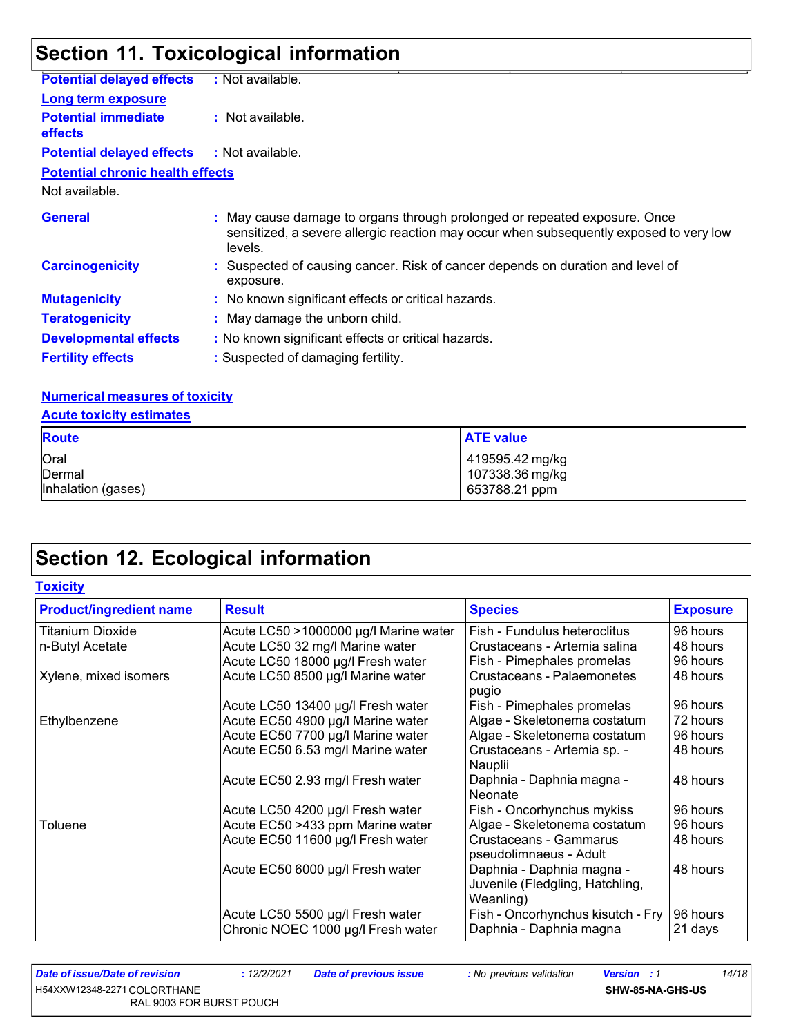| <b>Potential delayed effects</b>             | : Not available.                                                                                                                                                               |
|----------------------------------------------|--------------------------------------------------------------------------------------------------------------------------------------------------------------------------------|
| <b>Long term exposure</b>                    |                                                                                                                                                                                |
| <b>Potential immediate</b><br><b>effects</b> | : Not available.                                                                                                                                                               |
| <b>Potential delayed effects</b>             | : Not available.                                                                                                                                                               |
| <b>Potential chronic health effects</b>      |                                                                                                                                                                                |
| Not available.                               |                                                                                                                                                                                |
| <b>General</b>                               | : May cause damage to organs through prolonged or repeated exposure. Once<br>sensitized, a severe allergic reaction may occur when subsequently exposed to very low<br>levels. |
| <b>Carcinogenicity</b>                       | : Suspected of causing cancer. Risk of cancer depends on duration and level of<br>exposure.                                                                                    |
| <b>Mutagenicity</b>                          | : No known significant effects or critical hazards.                                                                                                                            |
| <b>Teratogenicity</b>                        | : May damage the unborn child.                                                                                                                                                 |
| <b>Developmental effects</b>                 | : No known significant effects or critical hazards.                                                                                                                            |
| <b>Fertility effects</b>                     | : Suspected of damaging fertility.                                                                                                                                             |

### **Numerical measures of toxicity**

| <b>Acute toxicity estimates</b> |                  |
|---------------------------------|------------------|
| <b>Route</b>                    | <b>ATE value</b> |
| Oral                            | 419595.42 mg/kg  |
| Dermal                          | 107338.36 mg/kg  |
| Inhalation (gases)              | 653788.21 ppm    |

# **Section 12. Ecological information**

| <b>Toxicity</b>                |                                       |                                                                           |                 |
|--------------------------------|---------------------------------------|---------------------------------------------------------------------------|-----------------|
| <b>Product/ingredient name</b> | <b>Result</b>                         | <b>Species</b>                                                            | <b>Exposure</b> |
| <b>Titanium Dioxide</b>        | Acute LC50 >1000000 µg/l Marine water | Fish - Fundulus heteroclitus                                              | 96 hours        |
| n-Butyl Acetate                | Acute LC50 32 mg/l Marine water       | Crustaceans - Artemia salina                                              | 48 hours        |
|                                | Acute LC50 18000 µg/l Fresh water     | Fish - Pimephales promelas                                                | 96 hours        |
| Xylene, mixed isomers          | Acute LC50 8500 µg/l Marine water     | Crustaceans - Palaemonetes<br>pugio                                       | 48 hours        |
|                                | Acute LC50 13400 µg/l Fresh water     | Fish - Pimephales promelas                                                | 96 hours        |
| Ethylbenzene                   | Acute EC50 4900 µg/l Marine water     | Algae - Skeletonema costatum                                              | 72 hours        |
|                                | Acute EC50 7700 µg/l Marine water     | Algae - Skeletonema costatum                                              | 96 hours        |
|                                | Acute EC50 6.53 mg/l Marine water     | Crustaceans - Artemia sp. -<br>Nauplii                                    | 48 hours        |
|                                | Acute EC50 2.93 mg/l Fresh water      | Daphnia - Daphnia magna -<br>Neonate                                      | 48 hours        |
|                                | Acute LC50 4200 µg/l Fresh water      | Fish - Oncorhynchus mykiss                                                | 96 hours        |
| Toluene                        | Acute EC50 >433 ppm Marine water      | Algae - Skeletonema costatum                                              | 96 hours        |
|                                | Acute EC50 11600 µg/l Fresh water     | Crustaceans - Gammarus<br>pseudolimnaeus - Adult                          | 48 hours        |
|                                | Acute EC50 6000 µg/l Fresh water      | Daphnia - Daphnia magna -<br>Juvenile (Fledgling, Hatchling,<br>Weanling) | 48 hours        |
|                                | Acute LC50 5500 µg/l Fresh water      | Fish - Oncorhynchus kisutch - Fry                                         | 96 hours        |
|                                | Chronic NOEC 1000 µg/l Fresh water    | Daphnia - Daphnia magna                                                   | 21 days         |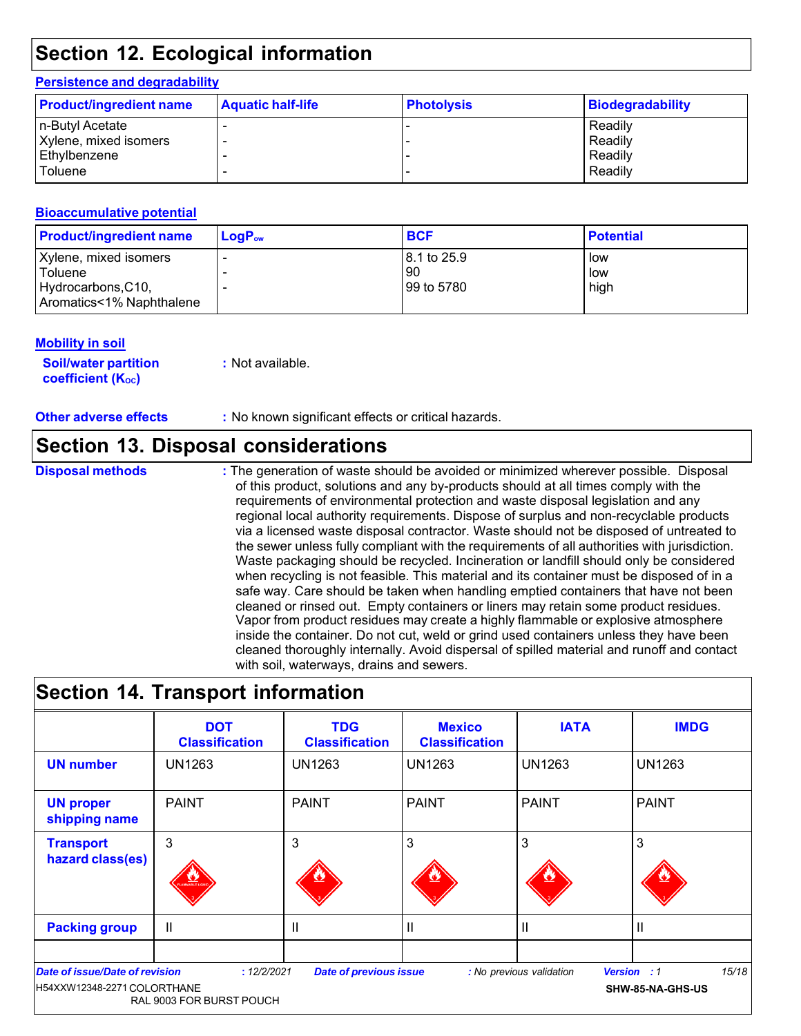### **Persistence and degradability**

| <b>Product/ingredient name</b> | <b>Aquatic half-life</b> | <b>Photolysis</b> | <b>Biodegradability</b> |
|--------------------------------|--------------------------|-------------------|-------------------------|
| n-Butyl Acetate                |                          |                   | Readily                 |
| Xylene, mixed isomers          |                          |                   | Readily                 |
| Ethylbenzene                   |                          |                   | Readily                 |
| Toluene                        |                          |                   | Readily                 |

### **Bioaccumulative potential**

| <b>Product/ingredient name</b> | $\mathsf{LogP}_\mathsf{ow}$ | <b>BCF</b>           | <b>Potential</b> |
|--------------------------------|-----------------------------|----------------------|------------------|
| Xylene, mixed isomers          |                             | l 8.1 to 25.9        | low              |
| Toluene<br>Hydrocarbons, C10,  |                             | 90<br>l 99 to 5780 l | low<br>high      |
| Aromatics<1% Naphthalene       |                             |                      |                  |

### **Mobility in soil**

**Soil/water partition coefficient** (K<sub>oc</sub>)

**:** Not available.

**Other adverse effects :** No known significant effects or critical hazards.

### **Section 13. Disposal considerations**

**Disposal methods** : The generation of waste should be avoided or minimized wherever possible. Disposal of this product, solutions and any by-products should at all times comply with the requirements of environmental protection and waste disposal legislation and any regional local authority requirements. Dispose of surplus and non-recyclable products via a licensed waste disposal contractor. Waste should not be disposed of untreated to the sewer unless fully compliant with the requirements of all authorities with jurisdiction. Waste packaging should be recycled. Incineration or landfill should only be considered when recycling is not feasible. This material and its container must be disposed of in a safe way. Care should be taken when handling emptied containers that have not been cleaned or rinsed out. Empty containers or liners may retain some product residues. Vapor from product residues may create a highly flammable or explosive atmosphere inside the container. Do not cut, weld or grind used containers unless they have been cleaned thoroughly internally. Avoid dispersal of spilled material and runoff and contact with soil, waterways, drains and sewers.

## **Section 14. Transport information**

|                                                               | <b>DOT</b><br><b>Classification</b>     | <b>TDG</b><br><b>Classification</b> | <b>Mexico</b><br><b>Classification</b> | <b>IATA</b>              | <b>IMDG</b>                                     |
|---------------------------------------------------------------|-----------------------------------------|-------------------------------------|----------------------------------------|--------------------------|-------------------------------------------------|
| <b>UN number</b>                                              | <b>UN1263</b>                           | <b>UN1263</b>                       | <b>UN1263</b>                          | <b>UN1263</b>            | <b>UN1263</b>                                   |
| <b>UN proper</b><br>shipping name                             | <b>PAINT</b>                            | <b>PAINT</b>                        | <b>PAINT</b>                           | <b>PAINT</b>             | <b>PAINT</b>                                    |
| <b>Transport</b><br>hazard class(es)                          | 3<br>$\frac{V}{\sqrt{2}}$               | 3                                   | 3                                      | 3                        | 3                                               |
| <b>Packing group</b>                                          | Ш                                       | $\mathbf{I}$                        | Ш                                      | Ш                        | Ш                                               |
| Date of issue/Date of revision<br>H54XXW12348-2271 COLORTHANE | : 12/2/2021<br>RAL 9003 FOR BURST POUCH | <b>Date of previous issue</b>       |                                        | : No previous validation | 15/18<br><b>Version : 1</b><br>SHW-85-NA-GHS-US |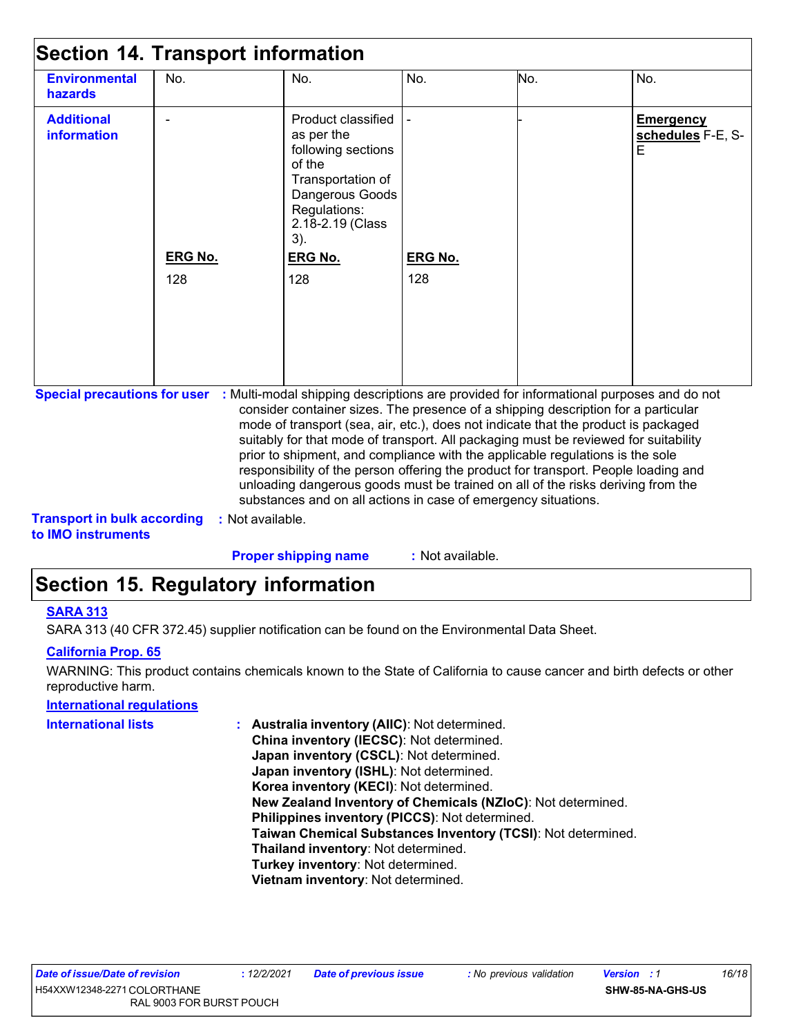| <b>Environmental</b><br>hazards  | No.                   | No.                                                                                                                                                                          | No.                   | No. | No.                                        |
|----------------------------------|-----------------------|------------------------------------------------------------------------------------------------------------------------------------------------------------------------------|-----------------------|-----|--------------------------------------------|
| <b>Additional</b><br>information | <b>ERG No.</b><br>128 | Product classified<br>as per the<br>following sections<br>of the<br>Transportation of<br>Dangerous Goods<br>Regulations:<br>2.18-2.19 (Class<br>3).<br><b>ERG No.</b><br>128 | <b>ERG No.</b><br>128 |     | <b>Emergency</b><br>schedules F-E, S-<br>E |

**Special precautions for user :** Multi-modal shipping descriptions are provided for informational purposes and do not consider container sizes. The presence of a shipping description for a particular mode of transport (sea, air, etc.), does not indicate that the product is packaged suitably for that mode of transport. All packaging must be reviewed for suitability prior to shipment, and compliance with the applicable regulations is the sole responsibility of the person offering the product for transport. People loading and unloading dangerous goods must be trained on all of the risks deriving from the substances and on all actions in case of emergency situations.

**Transport in bulk according to IMO instruments :** Not available.

**Proper shipping name :** Not available.

## **Section 15. Regulatory information**

### **SARA 313**

SARA 313 (40 CFR 372.45) supplier notification can be found on the Environmental Data Sheet.

### **California Prop. 65**

WARNING: This product contains chemicals known to the State of California to cause cancer and birth defects or other reproductive harm.

### **International regulations**

| <b>International lists</b> | : Australia inventory (AIIC): Not determined.                |
|----------------------------|--------------------------------------------------------------|
|                            | China inventory (IECSC): Not determined.                     |
|                            | Japan inventory (CSCL): Not determined.                      |
|                            | Japan inventory (ISHL): Not determined.                      |
|                            | Korea inventory (KECI): Not determined.                      |
|                            | New Zealand Inventory of Chemicals (NZIoC): Not determined.  |
|                            | Philippines inventory (PICCS): Not determined.               |
|                            | Taiwan Chemical Substances Inventory (TCSI): Not determined. |
|                            | Thailand inventory: Not determined.                          |
|                            | Turkey inventory: Not determined.                            |
|                            | Vietnam inventory: Not determined.                           |
|                            |                                                              |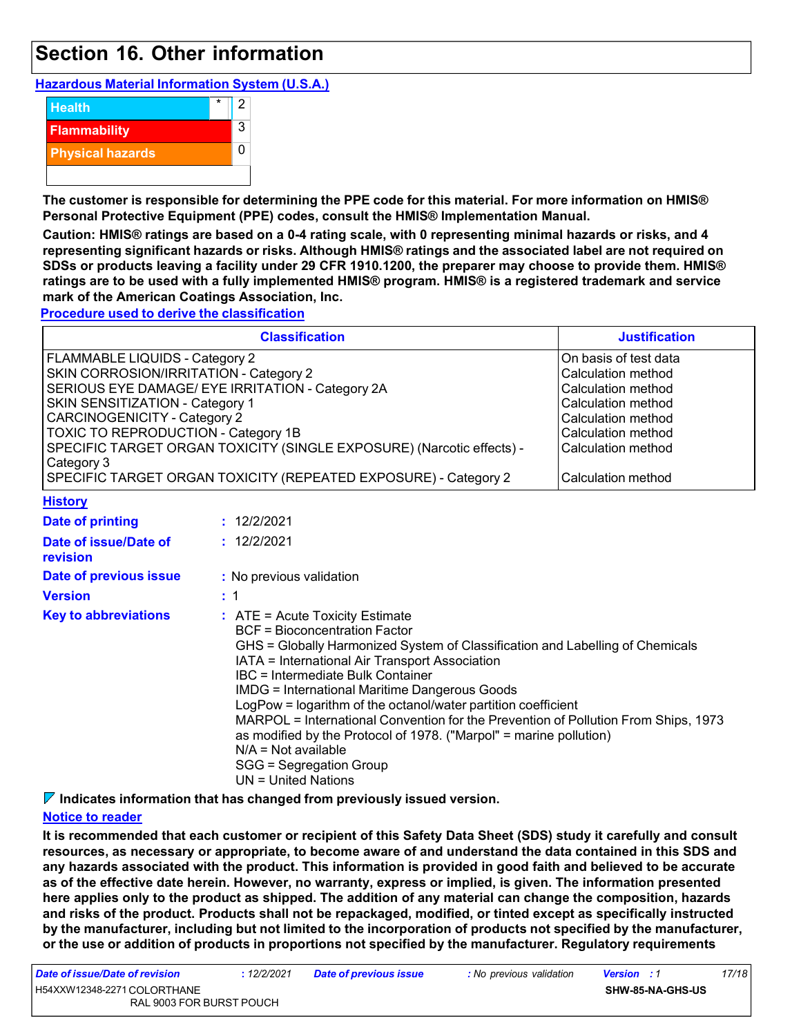### **Section 16. Other information**

### **Hazardous Material Information System (U.S.A.)**



**The customer is responsible for determining the PPE code for this material. For more information on HMIS® Personal Protective Equipment (PPE) codes, consult the HMIS® Implementation Manual.**

**Caution: HMIS® ratings are based on a 0-4 rating scale, with 0 representing minimal hazards or risks, and 4 representing significant hazards or risks. Although HMIS® ratings and the associated label are not required on SDSs or products leaving a facility under 29 CFR 1910.1200, the preparer may choose to provide them. HMIS® ratings are to be used with a fully implemented HMIS® program. HMIS® is a registered trademark and service mark of the American Coatings Association, Inc.**

**Procedure used to derive the classification**

|                                        | <b>Classification</b>                                                 | <b>Justification</b> |
|----------------------------------------|-----------------------------------------------------------------------|----------------------|
| FLAMMABLE LIQUIDS - Category 2         | On basis of test data                                                 |                      |
| SKIN CORROSION/IRRITATION - Category 2 |                                                                       | Calculation method   |
|                                        | SERIOUS EYE DAMAGE/ EYE IRRITATION - Category 2A                      | Calculation method   |
| SKIN SENSITIZATION - Category 1        |                                                                       | Calculation method   |
| CARCINOGENICITY - Category 2           |                                                                       | Calculation method   |
| TOXIC TO REPRODUCTION - Category 1B    |                                                                       | Calculation method   |
|                                        | SPECIFIC TARGET ORGAN TOXICITY (SINGLE EXPOSURE) (Narcotic effects) - | Calculation method   |
| Category 3                             |                                                                       |                      |
|                                        | SPECIFIC TARGET ORGAN TOXICITY (REPEATED EXPOSURE) - Category 2       | Calculation method   |
| <b>History</b>                         |                                                                       |                      |
| Date of printing                       | : 12/2/2021                                                           |                      |
| Date of issue/Date of<br>revision      | : 12/2/2021                                                           |                      |
| Date of previous issue                 | : No previous validation                                              |                      |

| <b>Version</b>              | $\pm$ 1                                                                                                                                                                                                                                                                                                                                                                                                                                                                                                                                                                                                      |
|-----------------------------|--------------------------------------------------------------------------------------------------------------------------------------------------------------------------------------------------------------------------------------------------------------------------------------------------------------------------------------------------------------------------------------------------------------------------------------------------------------------------------------------------------------------------------------------------------------------------------------------------------------|
| <b>Key to abbreviations</b> | $:$ ATE = Acute Toxicity Estimate<br>BCF = Bioconcentration Factor<br>GHS = Globally Harmonized System of Classification and Labelling of Chemicals<br>IATA = International Air Transport Association<br>IBC = Intermediate Bulk Container<br><b>IMDG</b> = International Maritime Dangerous Goods<br>LogPow = logarithm of the octanol/water partition coefficient<br>MARPOL = International Convention for the Prevention of Pollution From Ships, 1973<br>as modified by the Protocol of 1978. ("Marpol" = marine pollution)<br>$N/A = Not available$<br>SGG = Segregation Group<br>$UN = United Nations$ |

**Indicates information that has changed from previously issued version.**

### **Notice to reader**

**It is recommended that each customer or recipient of this Safety Data Sheet (SDS) study it carefully and consult resources, as necessary or appropriate, to become aware of and understand the data contained in this SDS and any hazards associated with the product. This information is provided in good faith and believed to be accurate as of the effective date herein. However, no warranty, express or implied, is given. The information presented here applies only to the product as shipped. The addition of any material can change the composition, hazards and risks of the product. Products shall not be repackaged, modified, or tinted except as specifically instructed** by the manufacturer, including but not limited to the incorporation of products not specified by the manufacturer, **or the use or addition of products in proportions not specified by the manufacturer. Regulatory requirements**

| Date of issue/Date of revision | : <i>12/2/2021</i> | <b>Date of previous issue</b> | : No previous validation | <b>Version</b> : 1      | 17/18 |
|--------------------------------|--------------------|-------------------------------|--------------------------|-------------------------|-------|
| H54XXW12348-2271 COLORTHANE    |                    |                               |                          | <b>SHW-85-NA-GHS-US</b> |       |
| RAL 9003 FOR BURST POUCH       |                    |                               |                          |                         |       |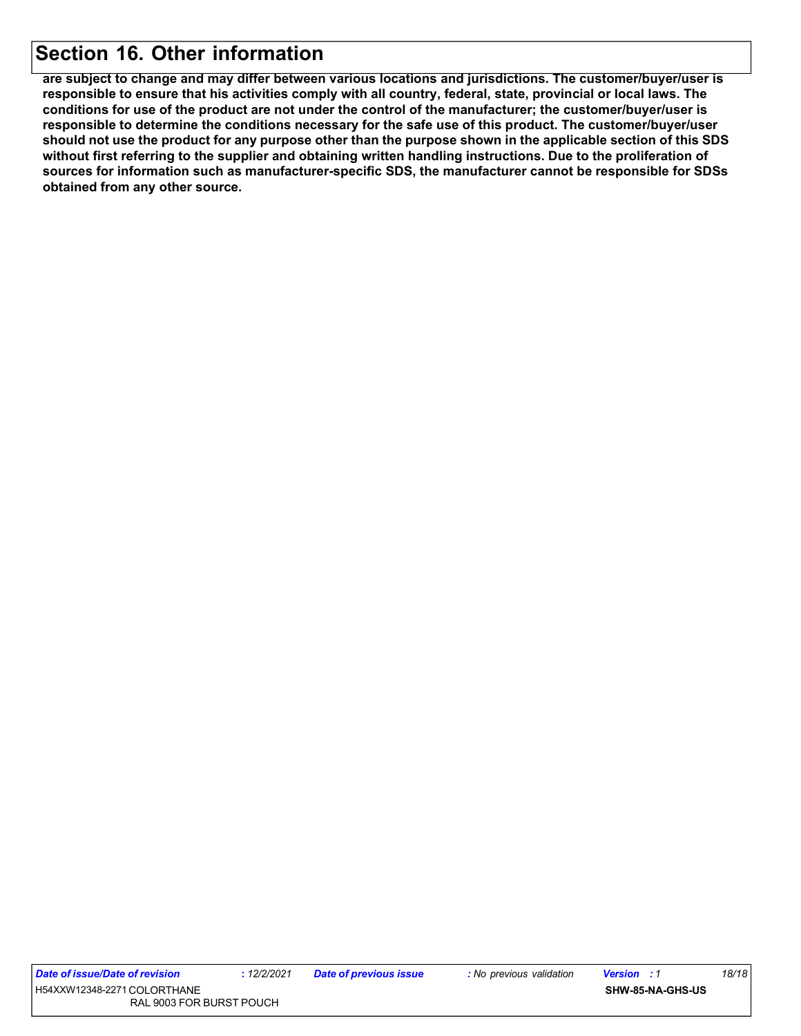### **Section 16. Other information**

**are subject to change and may differ between various locations and jurisdictions. The customer/buyer/user is responsible to ensure that his activities comply with all country, federal, state, provincial or local laws. The conditions for use of the product are not under the control of the manufacturer; the customer/buyer/user is responsible to determine the conditions necessary for the safe use of this product. The customer/buyer/user** should not use the product for any purpose other than the purpose shown in the applicable section of this SDS **without first referring to the supplier and obtaining written handling instructions. Due to the proliferation of sources for information such as manufacturer-specific SDS, the manufacturer cannot be responsible for SDSs obtained from any other source.**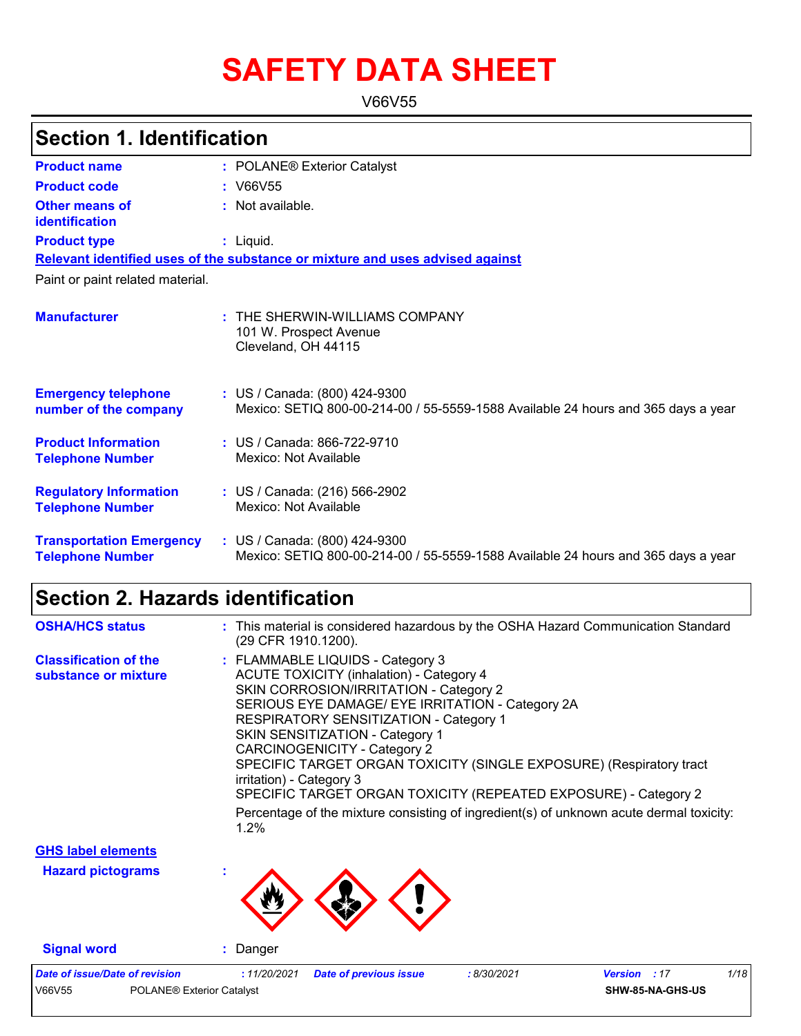# **SAFETY DATA SHEET**

V66V55

| <b>Section 1. Identification</b>                           |                                                                                                                    |
|------------------------------------------------------------|--------------------------------------------------------------------------------------------------------------------|
| <b>Product name</b>                                        | : POLANE <sup>®</sup> Exterior Catalyst                                                                            |
| <b>Product code</b>                                        | : V66V55                                                                                                           |
| Other means of<br>identification                           | : Not available.                                                                                                   |
| <b>Product type</b>                                        | $:$ Liquid.                                                                                                        |
|                                                            | Relevant identified uses of the substance or mixture and uses advised against                                      |
| Paint or paint related material.                           |                                                                                                                    |
| <b>Manufacturer</b>                                        | $:$ THE SHERWIN-WILLIAMS COMPANY<br>101 W. Prospect Avenue<br>Cleveland, OH 44115                                  |
| <b>Emergency telephone</b><br>number of the company        | : US / Canada: (800) 424-9300<br>Mexico: SETIQ 800-00-214-00 / 55-5559-1588 Available 24 hours and 365 days a year |
| <b>Product Information</b><br><b>Telephone Number</b>      | : US / Canada: 866-722-9710<br>Mexico: Not Available                                                               |
| <b>Regulatory Information</b><br><b>Telephone Number</b>   | : US / Canada: (216) 566-2902<br>Mexico: Not Available                                                             |
| <b>Transportation Emergency</b><br><b>Telephone Number</b> | : US / Canada: (800) 424-9300<br>Mexico: SETIQ 800-00-214-00 / 55-5559-1588 Available 24 hours and 365 days a year |

# **Section 2. Hazards identification**

| <b>OSHA/HCS status</b>                               | : This material is considered hazardous by the OSHA Hazard Communication Standard<br>(29 CFR 1910.1200).                                                                                                                                                                                                                                                                                                                                                                                                                                                                                     |
|------------------------------------------------------|----------------------------------------------------------------------------------------------------------------------------------------------------------------------------------------------------------------------------------------------------------------------------------------------------------------------------------------------------------------------------------------------------------------------------------------------------------------------------------------------------------------------------------------------------------------------------------------------|
| <b>Classification of the</b><br>substance or mixture | : FLAMMABLE LIQUIDS - Category 3<br><b>ACUTE TOXICITY (inhalation) - Category 4</b><br>SKIN CORROSION/IRRITATION - Category 2<br>SERIOUS EYE DAMAGE/ EYE IRRITATION - Category 2A<br><b>RESPIRATORY SENSITIZATION - Category 1</b><br><b>SKIN SENSITIZATION - Category 1</b><br><b>CARCINOGENICITY - Category 2</b><br>SPECIFIC TARGET ORGAN TOXICITY (SINGLE EXPOSURE) (Respiratory tract<br>irritation) - Category 3<br>SPECIFIC TARGET ORGAN TOXICITY (REPEATED EXPOSURE) - Category 2<br>Percentage of the mixture consisting of ingredient(s) of unknown acute dermal toxicity:<br>1.2% |
| <b>GHS label elements</b>                            |                                                                                                                                                                                                                                                                                                                                                                                                                                                                                                                                                                                              |
| <b>Hazard pictograms</b>                             |                                                                                                                                                                                                                                                                                                                                                                                                                                                                                                                                                                                              |

**Signal word :** Danger

| Date of issue/Date of revision |                                       | : <i>11/20/2021</i> | <b>Date of previous issue</b> | 8/30/2021 | <b>Version</b> : 17     | 1/18 |
|--------------------------------|---------------------------------------|---------------------|-------------------------------|-----------|-------------------------|------|
| V66V55                         | POLANE <sup>®</sup> Exterior Catalyst |                     |                               |           | <b>SHW-85-NA-GHS-US</b> |      |
|                                |                                       |                     |                               |           |                         |      |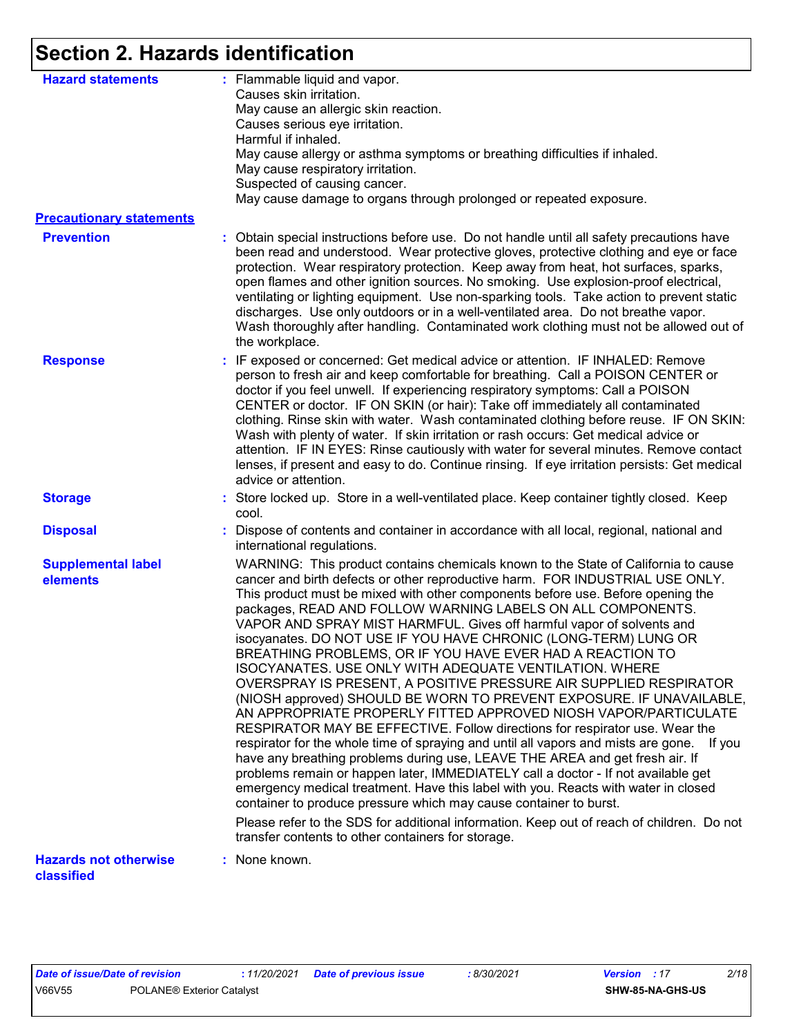# **Section 2. Hazards identification**

| <b>Hazard statements</b>                   | : Flammable liquid and vapor.<br>Causes skin irritation.<br>May cause an allergic skin reaction.<br>Causes serious eye irritation.<br>Harmful if inhaled.<br>May cause allergy or asthma symptoms or breathing difficulties if inhaled.<br>May cause respiratory irritation.<br>Suspected of causing cancer.<br>May cause damage to organs through prolonged or repeated exposure.                                                                                                                                                                                                                                                                                                                                                                                                                                                                                                                                                                                                                                                                                                                                                                                                                                                                                                                                                                                                                                                                                      |
|--------------------------------------------|-------------------------------------------------------------------------------------------------------------------------------------------------------------------------------------------------------------------------------------------------------------------------------------------------------------------------------------------------------------------------------------------------------------------------------------------------------------------------------------------------------------------------------------------------------------------------------------------------------------------------------------------------------------------------------------------------------------------------------------------------------------------------------------------------------------------------------------------------------------------------------------------------------------------------------------------------------------------------------------------------------------------------------------------------------------------------------------------------------------------------------------------------------------------------------------------------------------------------------------------------------------------------------------------------------------------------------------------------------------------------------------------------------------------------------------------------------------------------|
| <b>Precautionary statements</b>            |                                                                                                                                                                                                                                                                                                                                                                                                                                                                                                                                                                                                                                                                                                                                                                                                                                                                                                                                                                                                                                                                                                                                                                                                                                                                                                                                                                                                                                                                         |
| <b>Prevention</b>                          | : Obtain special instructions before use. Do not handle until all safety precautions have<br>been read and understood. Wear protective gloves, protective clothing and eye or face<br>protection. Wear respiratory protection. Keep away from heat, hot surfaces, sparks,<br>open flames and other ignition sources. No smoking. Use explosion-proof electrical,<br>ventilating or lighting equipment. Use non-sparking tools. Take action to prevent static<br>discharges. Use only outdoors or in a well-ventilated area. Do not breathe vapor.<br>Wash thoroughly after handling. Contaminated work clothing must not be allowed out of<br>the workplace.                                                                                                                                                                                                                                                                                                                                                                                                                                                                                                                                                                                                                                                                                                                                                                                                            |
| <b>Response</b>                            | : IF exposed or concerned: Get medical advice or attention. IF INHALED: Remove<br>person to fresh air and keep comfortable for breathing. Call a POISON CENTER or<br>doctor if you feel unwell. If experiencing respiratory symptoms: Call a POISON<br>CENTER or doctor. IF ON SKIN (or hair): Take off immediately all contaminated<br>clothing. Rinse skin with water. Wash contaminated clothing before reuse. IF ON SKIN:<br>Wash with plenty of water. If skin irritation or rash occurs: Get medical advice or<br>attention. IF IN EYES: Rinse cautiously with water for several minutes. Remove contact<br>lenses, if present and easy to do. Continue rinsing. If eye irritation persists: Get medical<br>advice or attention.                                                                                                                                                                                                                                                                                                                                                                                                                                                                                                                                                                                                                                                                                                                                  |
| <b>Storage</b>                             | : Store locked up. Store in a well-ventilated place. Keep container tightly closed. Keep<br>cool.                                                                                                                                                                                                                                                                                                                                                                                                                                                                                                                                                                                                                                                                                                                                                                                                                                                                                                                                                                                                                                                                                                                                                                                                                                                                                                                                                                       |
| <b>Disposal</b>                            | Dispose of contents and container in accordance with all local, regional, national and<br>international regulations.                                                                                                                                                                                                                                                                                                                                                                                                                                                                                                                                                                                                                                                                                                                                                                                                                                                                                                                                                                                                                                                                                                                                                                                                                                                                                                                                                    |
| <b>Supplemental label</b><br>elements      | WARNING: This product contains chemicals known to the State of California to cause<br>cancer and birth defects or other reproductive harm. FOR INDUSTRIAL USE ONLY.<br>This product must be mixed with other components before use. Before opening the<br>packages, READ AND FOLLOW WARNING LABELS ON ALL COMPONENTS.<br>VAPOR AND SPRAY MIST HARMFUL. Gives off harmful vapor of solvents and<br>isocyanates. DO NOT USE IF YOU HAVE CHRONIC (LONG-TERM) LUNG OR<br>BREATHING PROBLEMS, OR IF YOU HAVE EVER HAD A REACTION TO<br>ISOCYANATES. USE ONLY WITH ADEQUATE VENTILATION. WHERE<br>OVERSPRAY IS PRESENT, A POSITIVE PRESSURE AIR SUPPLIED RESPIRATOR<br>(NIOSH approved) SHOULD BE WORN TO PREVENT EXPOSURE. IF UNAVAILABLE,<br>AN APPROPRIATE PROPERLY FITTED APPROVED NIOSH VAPOR/PARTICULATE<br>RESPIRATOR MAY BE EFFECTIVE. Follow directions for respirator use. Wear the<br>respirator for the whole time of spraying and until all vapors and mists are gone. If you<br>have any breathing problems during use, LEAVE THE AREA and get fresh air. If<br>problems remain or happen later, IMMEDIATELY call a doctor - If not available get<br>emergency medical treatment. Have this label with you. Reacts with water in closed<br>container to produce pressure which may cause container to burst.<br>Please refer to the SDS for additional information. Keep out of reach of children. Do not<br>transfer contents to other containers for storage. |
| <b>Hazards not otherwise</b><br>classified | : None known.                                                                                                                                                                                                                                                                                                                                                                                                                                                                                                                                                                                                                                                                                                                                                                                                                                                                                                                                                                                                                                                                                                                                                                                                                                                                                                                                                                                                                                                           |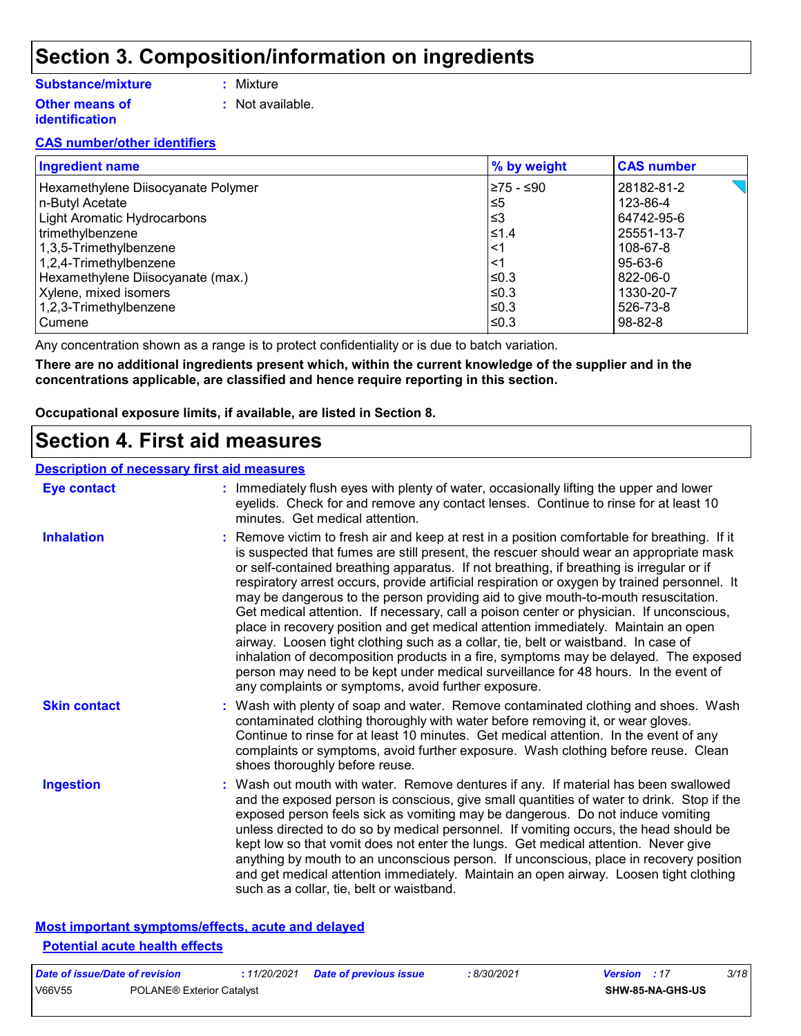# **Section 3. Composition/information on ingredients**

### **Substance/mixture**

- **:** Mixture
- **Other means of identification**
- 
- **:** Not available.

### **CAS number/other identifiers**

| <b>Ingredient name</b>             | % by weight | <b>CAS number</b> |
|------------------------------------|-------------|-------------------|
| Hexamethylene Diisocyanate Polymer | ≥75 - ≤90   | 28182-81-2        |
| n-Butyl Acetate                    | l≤5         | 123-86-4          |
| <b>Light Aromatic Hydrocarbons</b> | l≤3         | 64742-95-6        |
| trimethylbenzene                   | ≤1.4        | 25551-13-7        |
| 1,3,5-Trimethylbenzene             | $\leq$ 1    | 108-67-8          |
| 1,2,4-Trimethylbenzene             | ∣<1         | 95-63-6           |
| Hexamethylene Diisocyanate (max.)  | l≤0.3       | 822-06-0          |
| Xylene, mixed isomers              | ≤0.3        | 1330-20-7         |
| 1,2,3-Trimethylbenzene             | l≤0.3       | 526-73-8          |
| Cumene                             | ≤0.3        | 98-82-8           |

Any concentration shown as a range is to protect confidentiality or is due to batch variation.

**There are no additional ingredients present which, within the current knowledge of the supplier and in the concentrations applicable, are classified and hence require reporting in this section.**

**Occupational exposure limits, if available, are listed in Section 8.**

### **Section 4. First aid measures**

### **Description of necessary first aid measures**

| <b>Eye contact</b>  | : Immediately flush eyes with plenty of water, occasionally lifting the upper and lower<br>eyelids. Check for and remove any contact lenses. Continue to rinse for at least 10<br>minutes. Get medical attention.                                                                                                                                                                                                                                                                                                                                                                                                                                                                                                                                                                                                                                                                                                                                                                     |
|---------------------|---------------------------------------------------------------------------------------------------------------------------------------------------------------------------------------------------------------------------------------------------------------------------------------------------------------------------------------------------------------------------------------------------------------------------------------------------------------------------------------------------------------------------------------------------------------------------------------------------------------------------------------------------------------------------------------------------------------------------------------------------------------------------------------------------------------------------------------------------------------------------------------------------------------------------------------------------------------------------------------|
| <b>Inhalation</b>   | : Remove victim to fresh air and keep at rest in a position comfortable for breathing. If it<br>is suspected that fumes are still present, the rescuer should wear an appropriate mask<br>or self-contained breathing apparatus. If not breathing, if breathing is irregular or if<br>respiratory arrest occurs, provide artificial respiration or oxygen by trained personnel. It<br>may be dangerous to the person providing aid to give mouth-to-mouth resuscitation.<br>Get medical attention. If necessary, call a poison center or physician. If unconscious,<br>place in recovery position and get medical attention immediately. Maintain an open<br>airway. Loosen tight clothing such as a collar, tie, belt or waistband. In case of<br>inhalation of decomposition products in a fire, symptoms may be delayed. The exposed<br>person may need to be kept under medical surveillance for 48 hours. In the event of<br>any complaints or symptoms, avoid further exposure. |
| <b>Skin contact</b> | : Wash with plenty of soap and water. Remove contaminated clothing and shoes. Wash<br>contaminated clothing thoroughly with water before removing it, or wear gloves.<br>Continue to rinse for at least 10 minutes. Get medical attention. In the event of any<br>complaints or symptoms, avoid further exposure. Wash clothing before reuse. Clean<br>shoes thoroughly before reuse.                                                                                                                                                                                                                                                                                                                                                                                                                                                                                                                                                                                                 |
| <b>Ingestion</b>    | : Wash out mouth with water. Remove dentures if any. If material has been swallowed<br>and the exposed person is conscious, give small quantities of water to drink. Stop if the<br>exposed person feels sick as vomiting may be dangerous. Do not induce vomiting<br>unless directed to do so by medical personnel. If vomiting occurs, the head should be<br>kept low so that vomit does not enter the lungs. Get medical attention. Never give<br>anything by mouth to an unconscious person. If unconscious, place in recovery position<br>and get medical attention immediately. Maintain an open airway. Loosen tight clothing<br>such as a collar, tie, belt or waistband.                                                                                                                                                                                                                                                                                                     |

### **Most important symptoms/effects, acute and delayed Potential acute health effects**

| Date of issue/Date of revision |                                  | : 11/20/2021 Date of previous issue | 8/30/2021 | <b>Version</b> : 17 |                         | 3/18 |
|--------------------------------|----------------------------------|-------------------------------------|-----------|---------------------|-------------------------|------|
| V66V55                         | <b>POLANE® Exterior Catalyst</b> |                                     |           |                     | <b>SHW-85-NA-GHS-US</b> |      |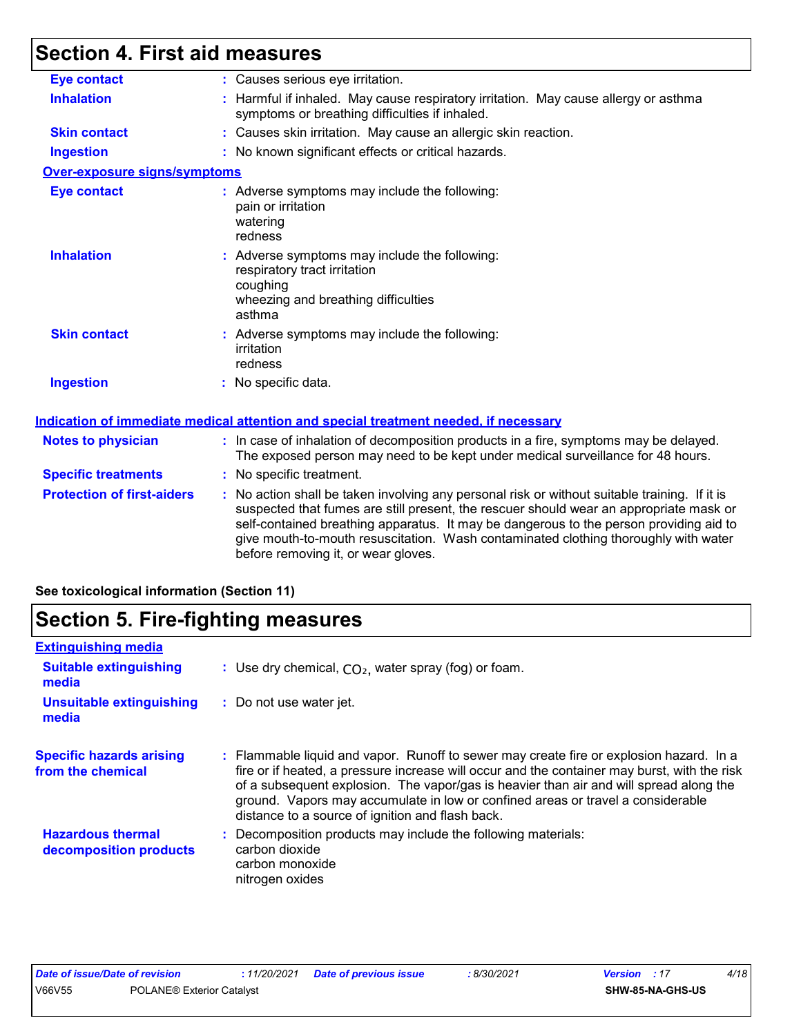# **Section 4. First aid measures**

| <b>Eye contact</b>                | : Causes serious eye irritation.                                                                                                                                                                                                                                                                                                                                                                                |
|-----------------------------------|-----------------------------------------------------------------------------------------------------------------------------------------------------------------------------------------------------------------------------------------------------------------------------------------------------------------------------------------------------------------------------------------------------------------|
| <b>Inhalation</b>                 | : Harmful if inhaled. May cause respiratory irritation. May cause allergy or asthma<br>symptoms or breathing difficulties if inhaled.                                                                                                                                                                                                                                                                           |
| <b>Skin contact</b>               | : Causes skin irritation. May cause an allergic skin reaction.                                                                                                                                                                                                                                                                                                                                                  |
| <b>Ingestion</b>                  | : No known significant effects or critical hazards.                                                                                                                                                                                                                                                                                                                                                             |
| Over-exposure signs/symptoms      |                                                                                                                                                                                                                                                                                                                                                                                                                 |
| <b>Eye contact</b>                | : Adverse symptoms may include the following:<br>pain or irritation<br>watering<br>redness                                                                                                                                                                                                                                                                                                                      |
| <b>Inhalation</b>                 | : Adverse symptoms may include the following:<br>respiratory tract irritation<br>coughing<br>wheezing and breathing difficulties<br>asthma                                                                                                                                                                                                                                                                      |
| <b>Skin contact</b>               | : Adverse symptoms may include the following:<br>irritation<br>redness                                                                                                                                                                                                                                                                                                                                          |
| <b>Ingestion</b>                  | : No specific data.                                                                                                                                                                                                                                                                                                                                                                                             |
|                                   | <u>Indication of immediate medical attention and special treatment needed, if necessary</u>                                                                                                                                                                                                                                                                                                                     |
| <b>Notes to physician</b>         | : In case of inhalation of decomposition products in a fire, symptoms may be delayed.<br>The exposed person may need to be kept under medical surveillance for 48 hours.                                                                                                                                                                                                                                        |
| <b>Specific treatments</b>        | : No specific treatment.                                                                                                                                                                                                                                                                                                                                                                                        |
| <b>Protection of first-aiders</b> | : No action shall be taken involving any personal risk or without suitable training. If it is<br>suspected that fumes are still present, the rescuer should wear an appropriate mask or<br>self-contained breathing apparatus. It may be dangerous to the person providing aid to<br>give mouth-to-mouth resuscitation. Wash contaminated clothing thoroughly with water<br>before removing it, or wear gloves. |

### **See toxicological information (Section 11)**

# **Section 5. Fire-fighting measures**

| <b>Extinguishing media</b>                           |                                                                                                                                                                                                                                                                                                                                                                                                                          |  |  |  |  |
|------------------------------------------------------|--------------------------------------------------------------------------------------------------------------------------------------------------------------------------------------------------------------------------------------------------------------------------------------------------------------------------------------------------------------------------------------------------------------------------|--|--|--|--|
| <b>Suitable extinguishing</b><br>media               | : Use dry chemical, $CO2$ , water spray (fog) or foam.                                                                                                                                                                                                                                                                                                                                                                   |  |  |  |  |
| <b>Unsuitable extinguishing</b><br>media             | : Do not use water jet.                                                                                                                                                                                                                                                                                                                                                                                                  |  |  |  |  |
| <b>Specific hazards arising</b><br>from the chemical | : Flammable liquid and vapor. Runoff to sewer may create fire or explosion hazard. In a<br>fire or if heated, a pressure increase will occur and the container may burst, with the risk<br>of a subsequent explosion. The vapor/gas is heavier than air and will spread along the<br>ground. Vapors may accumulate in low or confined areas or travel a considerable<br>distance to a source of ignition and flash back. |  |  |  |  |
| <b>Hazardous thermal</b><br>decomposition products   | Decomposition products may include the following materials:<br>carbon dioxide<br>carbon monoxide<br>nitrogen oxides                                                                                                                                                                                                                                                                                                      |  |  |  |  |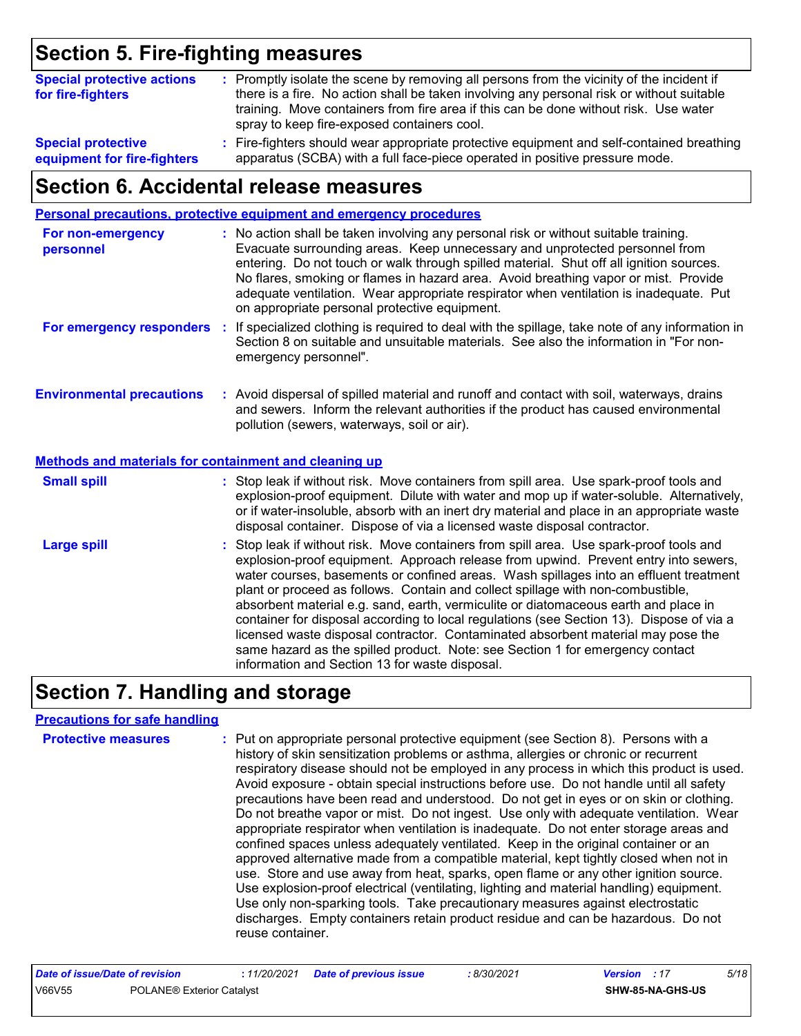# **Section 5. Fire-fighting measures**

| <b>Special protective actions</b><br>for fire-fighters | : Promptly isolate the scene by removing all persons from the vicinity of the incident if<br>there is a fire. No action shall be taken involving any personal risk or without suitable<br>training. Move containers from fire area if this can be done without risk. Use water<br>spray to keep fire-exposed containers cool. |
|--------------------------------------------------------|-------------------------------------------------------------------------------------------------------------------------------------------------------------------------------------------------------------------------------------------------------------------------------------------------------------------------------|
| <b>Special protective</b>                              | : Fire-fighters should wear appropriate protective equipment and self-contained breathing                                                                                                                                                                                                                                     |
| equipment for fire-fighters                            | apparatus (SCBA) with a full face-piece operated in positive pressure mode.                                                                                                                                                                                                                                                   |

# **Section 6. Accidental release measures**

|                                                       | Personal precautions, protective equipment and emergency procedures                                                                                                                                                                                                                                                                                                                                                                                                                                                                                                                                                                                                                                                                                                  |
|-------------------------------------------------------|----------------------------------------------------------------------------------------------------------------------------------------------------------------------------------------------------------------------------------------------------------------------------------------------------------------------------------------------------------------------------------------------------------------------------------------------------------------------------------------------------------------------------------------------------------------------------------------------------------------------------------------------------------------------------------------------------------------------------------------------------------------------|
| For non-emergency<br>personnel                        | : No action shall be taken involving any personal risk or without suitable training.<br>Evacuate surrounding areas. Keep unnecessary and unprotected personnel from<br>entering. Do not touch or walk through spilled material. Shut off all ignition sources.<br>No flares, smoking or flames in hazard area. Avoid breathing vapor or mist. Provide<br>adequate ventilation. Wear appropriate respirator when ventilation is inadequate. Put<br>on appropriate personal protective equipment.                                                                                                                                                                                                                                                                      |
| For emergency responders :                            | If specialized clothing is required to deal with the spillage, take note of any information in<br>Section 8 on suitable and unsuitable materials. See also the information in "For non-<br>emergency personnel".                                                                                                                                                                                                                                                                                                                                                                                                                                                                                                                                                     |
| <b>Environmental precautions</b>                      | : Avoid dispersal of spilled material and runoff and contact with soil, waterways, drains<br>and sewers. Inform the relevant authorities if the product has caused environmental<br>pollution (sewers, waterways, soil or air).                                                                                                                                                                                                                                                                                                                                                                                                                                                                                                                                      |
| Methods and materials for containment and cleaning up |                                                                                                                                                                                                                                                                                                                                                                                                                                                                                                                                                                                                                                                                                                                                                                      |
| <b>Small spill</b>                                    | : Stop leak if without risk. Move containers from spill area. Use spark-proof tools and<br>explosion-proof equipment. Dilute with water and mop up if water-soluble. Alternatively,<br>or if water-insoluble, absorb with an inert dry material and place in an appropriate waste<br>disposal container. Dispose of via a licensed waste disposal contractor.                                                                                                                                                                                                                                                                                                                                                                                                        |
| <b>Large spill</b>                                    | : Stop leak if without risk. Move containers from spill area. Use spark-proof tools and<br>explosion-proof equipment. Approach release from upwind. Prevent entry into sewers,<br>water courses, basements or confined areas. Wash spillages into an effluent treatment<br>plant or proceed as follows. Contain and collect spillage with non-combustible,<br>absorbent material e.g. sand, earth, vermiculite or diatomaceous earth and place in<br>container for disposal according to local regulations (see Section 13). Dispose of via a<br>licensed waste disposal contractor. Contaminated absorbent material may pose the<br>same hazard as the spilled product. Note: see Section 1 for emergency contact<br>information and Section 13 for waste disposal. |

# **Section 7. Handling and storage**

### **Precautions for safe handling**

| <b>Protective measures</b> | : Put on appropriate personal protective equipment (see Section 8). Persons with a<br>history of skin sensitization problems or asthma, allergies or chronic or recurrent<br>respiratory disease should not be employed in any process in which this product is used.<br>Avoid exposure - obtain special instructions before use. Do not handle until all safety<br>precautions have been read and understood. Do not get in eyes or on skin or clothing.<br>Do not breathe vapor or mist. Do not ingest. Use only with adequate ventilation. Wear<br>appropriate respirator when ventilation is inadequate. Do not enter storage areas and<br>confined spaces unless adequately ventilated. Keep in the original container or an<br>approved alternative made from a compatible material, kept tightly closed when not in<br>use. Store and use away from heat, sparks, open flame or any other ignition source.<br>Use explosion-proof electrical (ventilating, lighting and material handling) equipment.<br>Use only non-sparking tools. Take precautionary measures against electrostatic<br>discharges. Empty containers retain product residue and can be hazardous. Do not |
|----------------------------|------------------------------------------------------------------------------------------------------------------------------------------------------------------------------------------------------------------------------------------------------------------------------------------------------------------------------------------------------------------------------------------------------------------------------------------------------------------------------------------------------------------------------------------------------------------------------------------------------------------------------------------------------------------------------------------------------------------------------------------------------------------------------------------------------------------------------------------------------------------------------------------------------------------------------------------------------------------------------------------------------------------------------------------------------------------------------------------------------------------------------------------------------------------------------------|
|                            | reuse container.                                                                                                                                                                                                                                                                                                                                                                                                                                                                                                                                                                                                                                                                                                                                                                                                                                                                                                                                                                                                                                                                                                                                                                   |

| Date of issue/Date of revision |                                  | : 11/20/2021 Date of previous issue | 8/30/2021 | <b>Version</b> : 17 |                         | 5/18 |
|--------------------------------|----------------------------------|-------------------------------------|-----------|---------------------|-------------------------|------|
| V66V55                         | <b>POLANE® Exterior Catalyst</b> |                                     |           |                     | <b>SHW-85-NA-GHS-US</b> |      |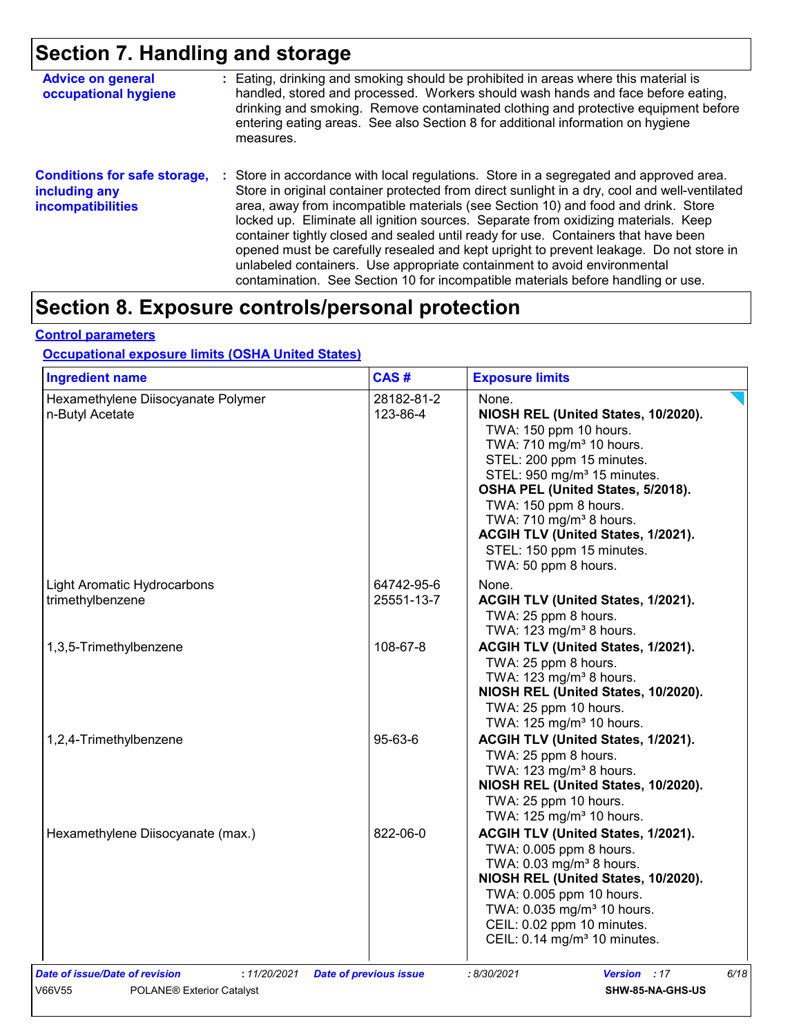# **Section 7. Handling and storage**

| <b>Advice on general</b><br>occupational hygiene                                 | : Eating, drinking and smoking should be prohibited in areas where this material is<br>handled, stored and processed. Workers should wash hands and face before eating,<br>drinking and smoking. Remove contaminated clothing and protective equipment before<br>entering eating areas. See also Section 8 for additional information on hygiene<br>measures.                                                                                                                                                                                                                                                                                                                                                          |
|----------------------------------------------------------------------------------|------------------------------------------------------------------------------------------------------------------------------------------------------------------------------------------------------------------------------------------------------------------------------------------------------------------------------------------------------------------------------------------------------------------------------------------------------------------------------------------------------------------------------------------------------------------------------------------------------------------------------------------------------------------------------------------------------------------------|
| <b>Conditions for safe storage,</b><br>including any<br><b>incompatibilities</b> | Store in accordance with local regulations. Store in a segregated and approved area.<br>÷.<br>Store in original container protected from direct sunlight in a dry, cool and well-ventilated<br>area, away from incompatible materials (see Section 10) and food and drink. Store<br>locked up. Eliminate all ignition sources. Separate from oxidizing materials. Keep<br>container tightly closed and sealed until ready for use. Containers that have been<br>opened must be carefully resealed and kept upright to prevent leakage. Do not store in<br>unlabeled containers. Use appropriate containment to avoid environmental<br>contamination. See Section 10 for incompatible materials before handling or use. |

# **Section 8. Exposure controls/personal protection**

#### **Control parameters**

### **Occupational exposure limits (OSHA United States)**

| <b>Ingredient name</b>                                | CAS#                          | <b>Exposure limits</b>                                                                                                                                                                                                                                                                                                                                                                 |
|-------------------------------------------------------|-------------------------------|----------------------------------------------------------------------------------------------------------------------------------------------------------------------------------------------------------------------------------------------------------------------------------------------------------------------------------------------------------------------------------------|
| Hexamethylene Diisocyanate Polymer<br>n-Butyl Acetate | 28182-81-2<br>123-86-4        | None.<br>NIOSH REL (United States, 10/2020).<br>TWA: 150 ppm 10 hours.<br>TWA: 710 mg/m <sup>3</sup> 10 hours.<br>STEL: 200 ppm 15 minutes.<br>STEL: 950 mg/m <sup>3</sup> 15 minutes.<br>OSHA PEL (United States, 5/2018).<br>TWA: 150 ppm 8 hours.<br>TWA: 710 mg/m <sup>3</sup> 8 hours.<br>ACGIH TLV (United States, 1/2021).<br>STEL: 150 ppm 15 minutes.<br>TWA: 50 ppm 8 hours. |
| Light Aromatic Hydrocarbons<br>trimethylbenzene       | 64742-95-6<br>25551-13-7      | None.<br>ACGIH TLV (United States, 1/2021).<br>TWA: 25 ppm 8 hours.<br>TWA: $123 \text{ mg/m}^3$ 8 hours.                                                                                                                                                                                                                                                                              |
| 1,3,5-Trimethylbenzene                                | 108-67-8                      | ACGIH TLV (United States, 1/2021).<br>TWA: 25 ppm 8 hours.<br>TWA: 123 mg/m <sup>3</sup> 8 hours.<br>NIOSH REL (United States, 10/2020).<br>TWA: 25 ppm 10 hours.<br>TWA: 125 mg/m <sup>3</sup> 10 hours.                                                                                                                                                                              |
| 1,2,4-Trimethylbenzene                                | 95-63-6                       | ACGIH TLV (United States, 1/2021).<br>TWA: 25 ppm 8 hours.<br>TWA: 123 mg/m <sup>3</sup> 8 hours.<br>NIOSH REL (United States, 10/2020).<br>TWA: 25 ppm 10 hours.<br>TWA: 125 mg/m <sup>3</sup> 10 hours.                                                                                                                                                                              |
| Hexamethylene Diisocyanate (max.)                     | 822-06-0                      | ACGIH TLV (United States, 1/2021).<br>TWA: 0.005 ppm 8 hours.<br>TWA: 0.03 mg/m <sup>3</sup> 8 hours.<br>NIOSH REL (United States, 10/2020).<br>TWA: 0.005 ppm 10 hours.<br>TWA: 0.035 mg/m <sup>3</sup> 10 hours.<br>CEIL: 0.02 ppm 10 minutes.<br>CEIL: 0.14 mg/m <sup>3</sup> 10 minutes.                                                                                           |
| Date of issue/Date of revision<br>: 11/20/2021        | <b>Date of previous issue</b> | 6/18<br>:8/30/2021<br><b>Version</b> : 17<br>SHW-85-NA-GHS-US                                                                                                                                                                                                                                                                                                                          |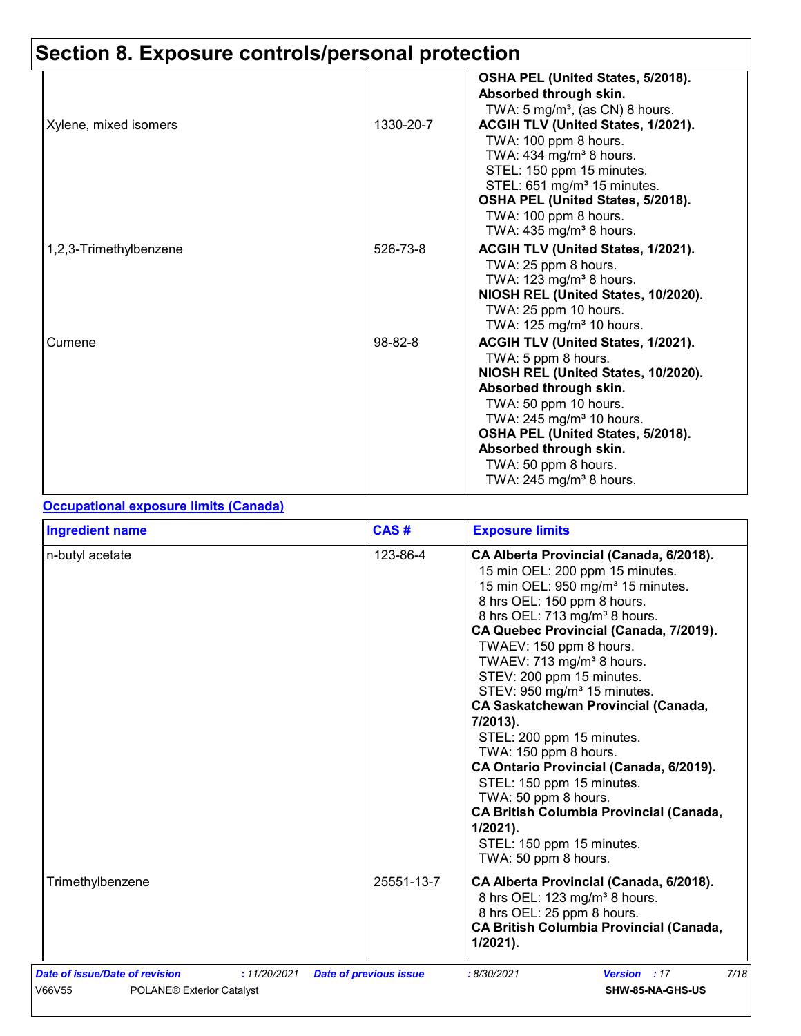| Xylene, mixed isomers  | 1330-20-7 | OSHA PEL (United States, 5/2018).<br>Absorbed through skin.<br>TWA: 5 mg/m <sup>3</sup> , (as CN) 8 hours.<br>ACGIH TLV (United States, 1/2021).                                                                                                                                                                            |
|------------------------|-----------|-----------------------------------------------------------------------------------------------------------------------------------------------------------------------------------------------------------------------------------------------------------------------------------------------------------------------------|
|                        |           | TWA: 100 ppm 8 hours.<br>TWA: 434 mg/m <sup>3</sup> 8 hours.<br>STEL: 150 ppm 15 minutes.<br>STEL: 651 mg/m <sup>3</sup> 15 minutes.<br>OSHA PEL (United States, 5/2018).<br>TWA: 100 ppm 8 hours.<br>TWA: $435 \text{ mg/m}^3$ 8 hours.                                                                                    |
| 1,2,3-Trimethylbenzene | 526-73-8  | ACGIH TLV (United States, 1/2021).<br>TWA: 25 ppm 8 hours.<br>TWA: $123 \text{ mg/m}^3$ 8 hours.<br>NIOSH REL (United States, 10/2020).<br>TWA: 25 ppm 10 hours.<br>TWA: 125 mg/m <sup>3</sup> 10 hours.                                                                                                                    |
| Cumene                 | 98-82-8   | ACGIH TLV (United States, 1/2021).<br>TWA: 5 ppm 8 hours.<br>NIOSH REL (United States, 10/2020).<br>Absorbed through skin.<br>TWA: 50 ppm 10 hours.<br>TWA: 245 mg/m <sup>3</sup> 10 hours.<br>OSHA PEL (United States, 5/2018).<br>Absorbed through skin.<br>TWA: 50 ppm 8 hours.<br>TWA: $245$ mg/m <sup>3</sup> 8 hours. |

### **Occupational exposure limits (Canada)**

| <b>Ingredient name</b>                                                                | CAS#                          | <b>Exposure limits</b>                                                                                                                                                                                                                                                                                                                                                                                                                                                                                                                                                                                                                                                                                                              |
|---------------------------------------------------------------------------------------|-------------------------------|-------------------------------------------------------------------------------------------------------------------------------------------------------------------------------------------------------------------------------------------------------------------------------------------------------------------------------------------------------------------------------------------------------------------------------------------------------------------------------------------------------------------------------------------------------------------------------------------------------------------------------------------------------------------------------------------------------------------------------------|
| n-butyl acetate                                                                       | 123-86-4                      | CA Alberta Provincial (Canada, 6/2018).<br>15 min OEL: 200 ppm 15 minutes.<br>15 min OEL: 950 mg/m <sup>3</sup> 15 minutes.<br>8 hrs OEL: 150 ppm 8 hours.<br>8 hrs OEL: 713 mg/m <sup>3</sup> 8 hours.<br>CA Quebec Provincial (Canada, 7/2019).<br>TWAEV: 150 ppm 8 hours.<br>TWAEV: 713 mg/m <sup>3</sup> 8 hours.<br>STEV: 200 ppm 15 minutes.<br>STEV: 950 mg/m <sup>3</sup> 15 minutes.<br><b>CA Saskatchewan Provincial (Canada,</b><br>7/2013).<br>STEL: 200 ppm 15 minutes.<br>TWA: 150 ppm 8 hours.<br>CA Ontario Provincial (Canada, 6/2019).<br>STEL: 150 ppm 15 minutes.<br>TWA: 50 ppm 8 hours.<br><b>CA British Columbia Provincial (Canada,</b><br>$1/2021$ ).<br>STEL: 150 ppm 15 minutes.<br>TWA: 50 ppm 8 hours. |
| Trimethylbenzene                                                                      | 25551-13-7                    | CA Alberta Provincial (Canada, 6/2018).<br>8 hrs OEL: 123 mg/m <sup>3</sup> 8 hours.<br>8 hrs OEL: 25 ppm 8 hours.<br><b>CA British Columbia Provincial (Canada,</b><br>$1/2021$ ).                                                                                                                                                                                                                                                                                                                                                                                                                                                                                                                                                 |
| Date of issue/Date of revision<br>: 11/20/2021<br>V66V55<br>POLANE® Exterior Catalyst | <b>Date of previous issue</b> | 7/18<br>: 8/30/2021<br><b>Version</b> : 17<br>SHW-85-NA-GHS-US                                                                                                                                                                                                                                                                                                                                                                                                                                                                                                                                                                                                                                                                      |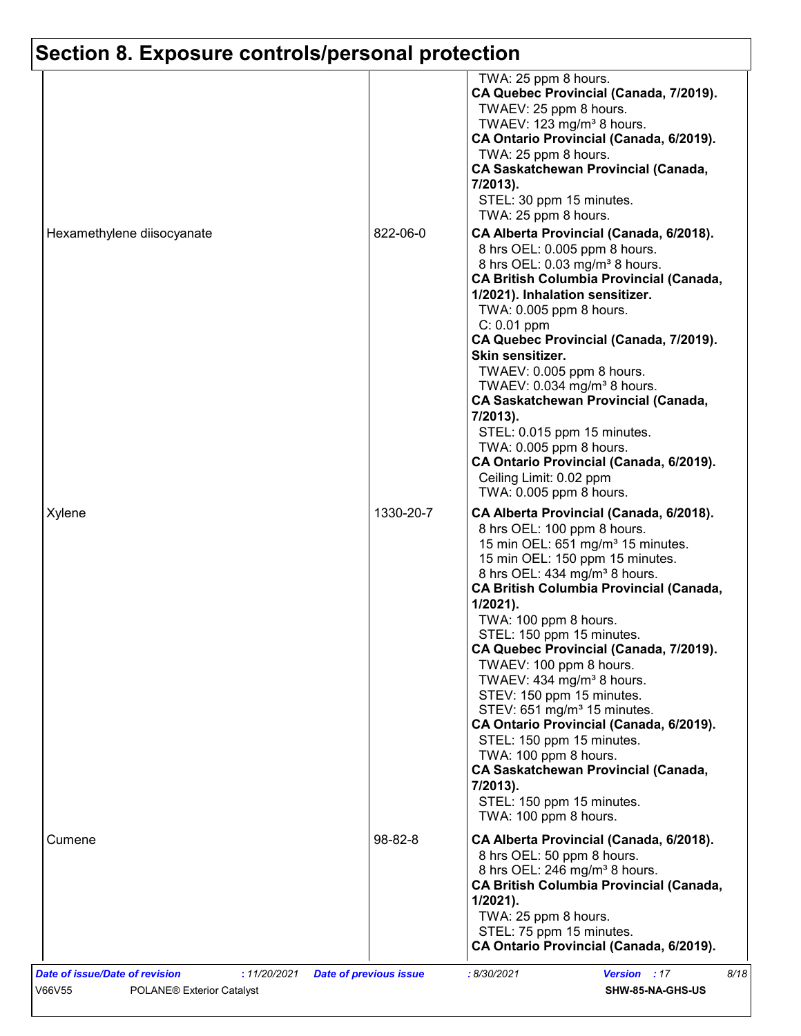| TWA: 25 ppm 8 hours.<br>CA Quebec Provincial (Canada, 7/2019).<br>TWAEV: 25 ppm 8 hours.<br>TWAEV: 123 mg/m <sup>3</sup> 8 hours.<br>CA Ontario Provincial (Canada, 6/2019).<br>TWA: 25 ppm 8 hours.<br><b>CA Saskatchewan Provincial (Canada,</b><br>7/2013).<br>STEL: 30 ppm 15 minutes.<br>TWA: 25 ppm 8 hours.<br>Hexamethylene diisocyanate<br>822-06-0<br>CA Alberta Provincial (Canada, 6/2018).<br>8 hrs OEL: 0.005 ppm 8 hours.<br>8 hrs OEL: 0.03 mg/m <sup>3</sup> 8 hours.<br><b>CA British Columbia Provincial (Canada,</b><br>1/2021). Inhalation sensitizer.<br>TWA: 0.005 ppm 8 hours.<br>$C: 0.01$ ppm<br>CA Quebec Provincial (Canada, 7/2019).<br>Skin sensitizer.<br>TWAEV: 0.005 ppm 8 hours.<br>TWAEV: 0.034 mg/m <sup>3</sup> 8 hours.<br><b>CA Saskatchewan Provincial (Canada,</b><br>7/2013).<br>STEL: 0.015 ppm 15 minutes.<br>TWA: 0.005 ppm 8 hours.<br>CA Ontario Provincial (Canada, 6/2019).<br>Ceiling Limit: 0.02 ppm<br>TWA: 0.005 ppm 8 hours.<br>1330-20-7<br>Xylene<br>CA Alberta Provincial (Canada, 6/2018).<br>8 hrs OEL: 100 ppm 8 hours.<br>15 min OEL: 651 mg/m <sup>3</sup> 15 minutes.<br>15 min OEL: 150 ppm 15 minutes.<br>8 hrs OEL: 434 mg/m <sup>3</sup> 8 hours.<br><b>CA British Columbia Provincial (Canada,</b><br>$1/2021$ ).<br>TWA: 100 ppm 8 hours.<br>STEL: 150 ppm 15 minutes.<br>CA Quebec Provincial (Canada, 7/2019).<br>TWAEV: 100 ppm 8 hours.<br>TWAEV: 434 mg/m <sup>3</sup> 8 hours.<br>STEV: 150 ppm 15 minutes.<br>STEV: 651 mg/m <sup>3</sup> 15 minutes.<br>CA Ontario Provincial (Canada, 6/2019).<br>STEL: 150 ppm 15 minutes.<br>TWA: 100 ppm 8 hours.<br><b>CA Saskatchewan Provincial (Canada,</b><br>7/2013).<br>STEL: 150 ppm 15 minutes.<br>TWA: 100 ppm 8 hours.<br>98-82-8<br>CA Alberta Provincial (Canada, 6/2018).<br>Cumene<br>8 hrs OEL: 50 ppm 8 hours.<br>8 hrs OEL: 246 mg/m <sup>3</sup> 8 hours.<br><b>CA British Columbia Provincial (Canada,</b><br>$1/2021$ ).<br>TWA: 25 ppm 8 hours.<br>STEL: 75 ppm 15 minutes.<br>CA Ontario Provincial (Canada, 6/2019). |  |  |
|---------------------------------------------------------------------------------------------------------------------------------------------------------------------------------------------------------------------------------------------------------------------------------------------------------------------------------------------------------------------------------------------------------------------------------------------------------------------------------------------------------------------------------------------------------------------------------------------------------------------------------------------------------------------------------------------------------------------------------------------------------------------------------------------------------------------------------------------------------------------------------------------------------------------------------------------------------------------------------------------------------------------------------------------------------------------------------------------------------------------------------------------------------------------------------------------------------------------------------------------------------------------------------------------------------------------------------------------------------------------------------------------------------------------------------------------------------------------------------------------------------------------------------------------------------------------------------------------------------------------------------------------------------------------------------------------------------------------------------------------------------------------------------------------------------------------------------------------------------------------------------------------------------------------------------------------------------------------------------------------------------------------------------------------------------------|--|--|
|                                                                                                                                                                                                                                                                                                                                                                                                                                                                                                                                                                                                                                                                                                                                                                                                                                                                                                                                                                                                                                                                                                                                                                                                                                                                                                                                                                                                                                                                                                                                                                                                                                                                                                                                                                                                                                                                                                                                                                                                                                                               |  |  |
|                                                                                                                                                                                                                                                                                                                                                                                                                                                                                                                                                                                                                                                                                                                                                                                                                                                                                                                                                                                                                                                                                                                                                                                                                                                                                                                                                                                                                                                                                                                                                                                                                                                                                                                                                                                                                                                                                                                                                                                                                                                               |  |  |
|                                                                                                                                                                                                                                                                                                                                                                                                                                                                                                                                                                                                                                                                                                                                                                                                                                                                                                                                                                                                                                                                                                                                                                                                                                                                                                                                                                                                                                                                                                                                                                                                                                                                                                                                                                                                                                                                                                                                                                                                                                                               |  |  |
|                                                                                                                                                                                                                                                                                                                                                                                                                                                                                                                                                                                                                                                                                                                                                                                                                                                                                                                                                                                                                                                                                                                                                                                                                                                                                                                                                                                                                                                                                                                                                                                                                                                                                                                                                                                                                                                                                                                                                                                                                                                               |  |  |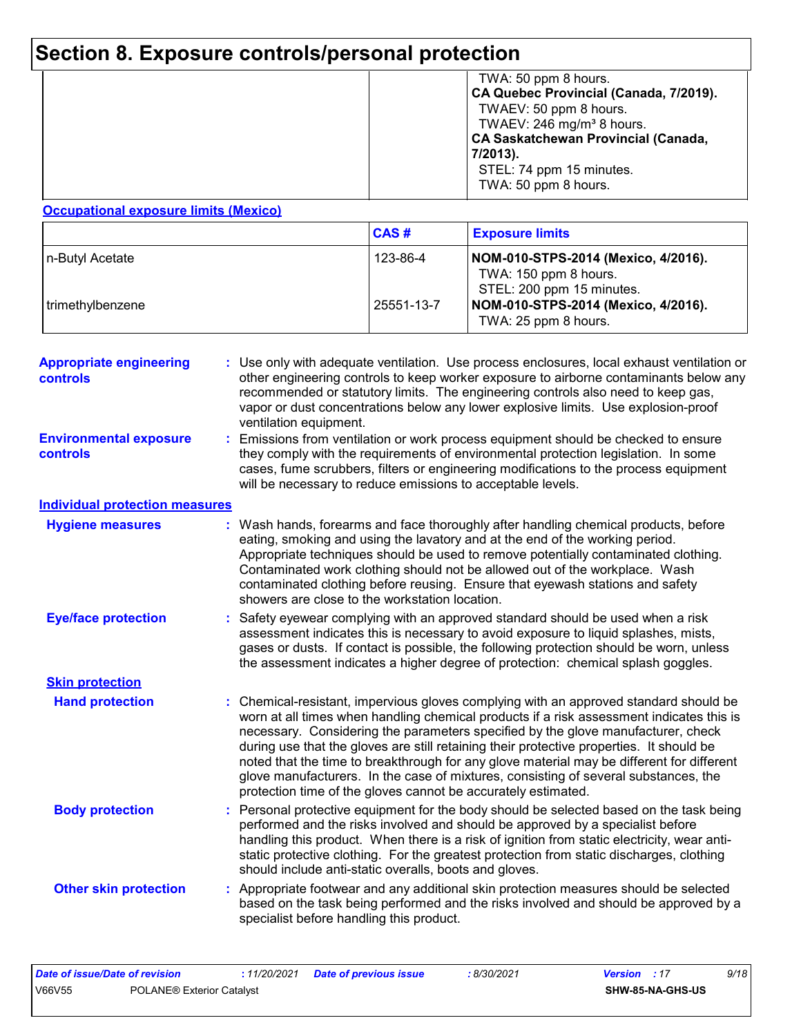|  | TWA: 50 ppm 8 hours.<br>CA Quebec Provincial (Canada, 7/2019).<br>TWAEV: 50 ppm 8 hours.<br>TWAEV: 246 mg/m <sup>3</sup> 8 hours.<br><b>CA Saskatchewan Provincial (Canada,</b><br>7/2013).<br>STEL: 74 ppm 15 minutes.<br>TWA: 50 ppm 8 hours. |
|--|-------------------------------------------------------------------------------------------------------------------------------------------------------------------------------------------------------------------------------------------------|
|--|-------------------------------------------------------------------------------------------------------------------------------------------------------------------------------------------------------------------------------------------------|

### **Occupational exposure limits (Mexico)**

|                  | CAS#       | <b>Exposure limits</b>                                                                    |
|------------------|------------|-------------------------------------------------------------------------------------------|
| In-Butyl Acetate | 123-86-4   | NOM-010-STPS-2014 (Mexico, 4/2016).<br>TWA: 150 ppm 8 hours.<br>STEL: 200 ppm 15 minutes. |
| trimethylbenzene | 25551-13-7 | NOM-010-STPS-2014 (Mexico, 4/2016).<br>TWA: 25 ppm 8 hours.                               |

| <b>Appropriate engineering</b><br><b>controls</b> | : Use only with adequate ventilation. Use process enclosures, local exhaust ventilation or<br>other engineering controls to keep worker exposure to airborne contaminants below any<br>recommended or statutory limits. The engineering controls also need to keep gas,<br>vapor or dust concentrations below any lower explosive limits. Use explosion-proof<br>ventilation equipment.                                                                                                                                                                                                                                |  |
|---------------------------------------------------|------------------------------------------------------------------------------------------------------------------------------------------------------------------------------------------------------------------------------------------------------------------------------------------------------------------------------------------------------------------------------------------------------------------------------------------------------------------------------------------------------------------------------------------------------------------------------------------------------------------------|--|
| <b>Environmental exposure</b><br>controls         | : Emissions from ventilation or work process equipment should be checked to ensure<br>they comply with the requirements of environmental protection legislation. In some<br>cases, fume scrubbers, filters or engineering modifications to the process equipment<br>will be necessary to reduce emissions to acceptable levels.                                                                                                                                                                                                                                                                                        |  |
| <b>Individual protection measures</b>             |                                                                                                                                                                                                                                                                                                                                                                                                                                                                                                                                                                                                                        |  |
| <b>Hygiene measures</b>                           | : Wash hands, forearms and face thoroughly after handling chemical products, before<br>eating, smoking and using the lavatory and at the end of the working period.<br>Appropriate techniques should be used to remove potentially contaminated clothing.<br>Contaminated work clothing should not be allowed out of the workplace. Wash<br>contaminated clothing before reusing. Ensure that eyewash stations and safety<br>showers are close to the workstation location.                                                                                                                                            |  |
| <b>Eye/face protection</b>                        | : Safety eyewear complying with an approved standard should be used when a risk<br>assessment indicates this is necessary to avoid exposure to liquid splashes, mists,<br>gases or dusts. If contact is possible, the following protection should be worn, unless<br>the assessment indicates a higher degree of protection: chemical splash goggles.                                                                                                                                                                                                                                                                  |  |
| <b>Skin protection</b>                            |                                                                                                                                                                                                                                                                                                                                                                                                                                                                                                                                                                                                                        |  |
| <b>Hand protection</b>                            | : Chemical-resistant, impervious gloves complying with an approved standard should be<br>worn at all times when handling chemical products if a risk assessment indicates this is<br>necessary. Considering the parameters specified by the glove manufacturer, check<br>during use that the gloves are still retaining their protective properties. It should be<br>noted that the time to breakthrough for any glove material may be different for different<br>glove manufacturers. In the case of mixtures, consisting of several substances, the<br>protection time of the gloves cannot be accurately estimated. |  |
| <b>Body protection</b>                            | : Personal protective equipment for the body should be selected based on the task being<br>performed and the risks involved and should be approved by a specialist before<br>handling this product. When there is a risk of ignition from static electricity, wear anti-<br>static protective clothing. For the greatest protection from static discharges, clothing<br>should include anti-static overalls, boots and gloves.                                                                                                                                                                                         |  |
| <b>Other skin protection</b>                      | : Appropriate footwear and any additional skin protection measures should be selected<br>based on the task being performed and the risks involved and should be approved by a<br>specialist before handling this product.                                                                                                                                                                                                                                                                                                                                                                                              |  |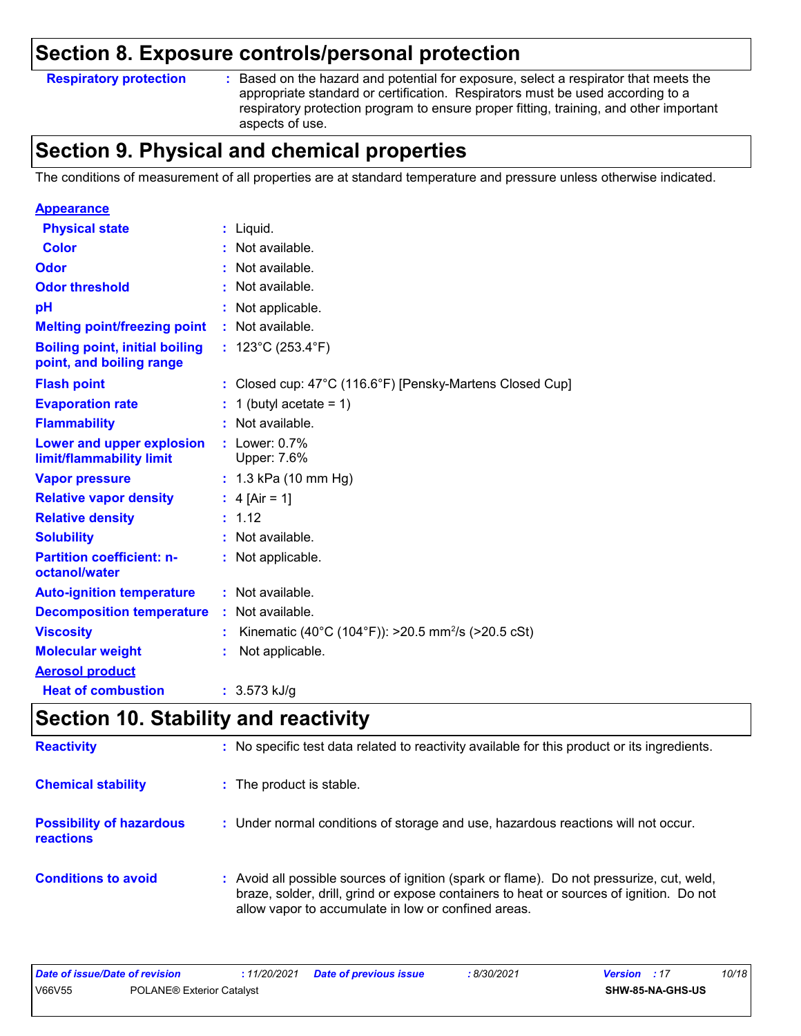### **Respiratory protection :**

: Based on the hazard and potential for exposure, select a respirator that meets the appropriate standard or certification. Respirators must be used according to a respiratory protection program to ensure proper fitting, training, and other important aspects of use.

### **Section 9. Physical and chemical properties**

The conditions of measurement of all properties are at standard temperature and pressure unless otherwise indicated.

| <b>Appearance</b>                                                 |                                                                    |
|-------------------------------------------------------------------|--------------------------------------------------------------------|
| <b>Physical state</b>                                             | $:$ Liquid.                                                        |
| Color                                                             | : Not available.                                                   |
| Odor                                                              | Not available.                                                     |
| <b>Odor threshold</b>                                             | Not available.                                                     |
| рH                                                                | Not applicable.                                                    |
| <b>Melting point/freezing point</b>                               | : Not available.                                                   |
| <b>Boiling point, initial boiling</b><br>point, and boiling range | : $123^{\circ}$ C (253.4 $^{\circ}$ F)                             |
| <b>Flash point</b>                                                | : Closed cup: $47^{\circ}$ C (116.6°F) [Pensky-Martens Closed Cup] |
| <b>Evaporation rate</b>                                           | 1 (butyl acetate = $1$ )                                           |
| <b>Flammability</b>                                               | : Not available.                                                   |
| Lower and upper explosion<br>limit/flammability limit             | $:$ Lower: $0.7\%$<br>Upper: 7.6%                                  |
| <b>Vapor pressure</b>                                             | : 1.3 kPa (10 mm Hg)                                               |
| <b>Relative vapor density</b>                                     | : $4$ [Air = 1]                                                    |
| <b>Relative density</b>                                           | : 1.12                                                             |
| <b>Solubility</b>                                                 | : Not available.                                                   |
| <b>Partition coefficient: n-</b><br>octanol/water                 | Not applicable.                                                    |
| <b>Auto-ignition temperature</b>                                  | : Not available.                                                   |
| <b>Decomposition temperature</b>                                  | Not available.                                                     |
| <b>Viscosity</b>                                                  | Kinematic (40°C (104°F)): >20.5 mm <sup>2</sup> /s (>20.5 cSt)     |
| <b>Molecular weight</b>                                           | Not applicable.                                                    |
| <b>Aerosol product</b>                                            |                                                                    |
| <b>Heat of combustion</b>                                         | : $3.573$ kJ/g                                                     |

# **Section 10. Stability and reactivity**

| <b>Reactivity</b>                            | : No specific test data related to reactivity available for this product or its ingredients.                                                                                                                                               |
|----------------------------------------------|--------------------------------------------------------------------------------------------------------------------------------------------------------------------------------------------------------------------------------------------|
| <b>Chemical stability</b>                    | : The product is stable.                                                                                                                                                                                                                   |
| <b>Possibility of hazardous</b><br>reactions | : Under normal conditions of storage and use, hazardous reactions will not occur.                                                                                                                                                          |
| <b>Conditions to avoid</b>                   | : Avoid all possible sources of ignition (spark or flame). Do not pressurize, cut, weld,<br>braze, solder, drill, grind or expose containers to heat or sources of ignition. Do not<br>allow vapor to accumulate in low or confined areas. |

| Date of issue/Date of revision |                                  | : 11/20/2021 Date of previous issue | 8/30/2021 | <b>Version</b> : 17 |                         | 10/18 |
|--------------------------------|----------------------------------|-------------------------------------|-----------|---------------------|-------------------------|-------|
| V66V55                         | <b>POLANE® Exterior Catalvst</b> |                                     |           |                     | <b>SHW-85-NA-GHS-US</b> |       |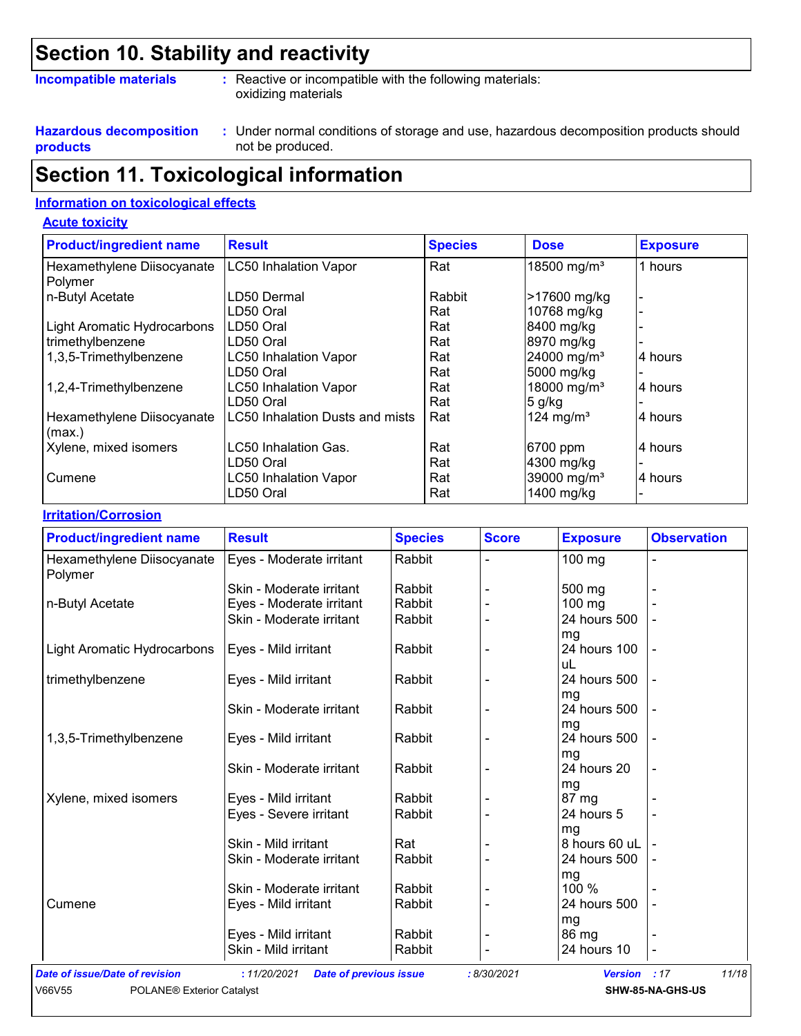# **Section 10. Stability and reactivity**

### **Incompatible materials :**

: Reactive or incompatible with the following materials: oxidizing materials

**Hazardous decomposition products**

Under normal conditions of storage and use, hazardous decomposition products should **:** not be produced.

# **Section 11. Toxicological information**

### **Information on toxicological effects**

#### **Acute toxicity**

| <b>Product/ingredient name</b>        | <b>Result</b>                   | <b>Species</b> | <b>Dose</b>             | <b>Exposure</b> |
|---------------------------------------|---------------------------------|----------------|-------------------------|-----------------|
| Hexamethylene Diisocyanate<br>Polymer | <b>LC50 Inhalation Vapor</b>    | Rat            | 18500 mg/m <sup>3</sup> | 1 hours         |
| n-Butyl Acetate                       | LD50 Dermal                     | Rabbit         | >17600 mg/kg            |                 |
|                                       | LD50 Oral                       | Rat            | 10768 mg/kg             |                 |
| Light Aromatic Hydrocarbons           | LD50 Oral                       | Rat            | 8400 mg/kg              |                 |
| trimethylbenzene                      | LD50 Oral                       | Rat            | 8970 mg/kg              |                 |
| 1,3,5-Trimethylbenzene                | <b>LC50 Inhalation Vapor</b>    | Rat            | 24000 mg/m <sup>3</sup> | 4 hours         |
|                                       | LD50 Oral                       | Rat            | 5000 mg/kg              |                 |
| 1,2,4-Trimethylbenzene                | <b>LC50 Inhalation Vapor</b>    | Rat            | 18000 mg/m <sup>3</sup> | 4 hours         |
|                                       | LD50 Oral                       | Rat            | 5 g/kg                  |                 |
| Hexamethylene Diisocyanate<br>(max.)  | LC50 Inhalation Dusts and mists | Rat            | 124 mg/m <sup>3</sup>   | 4 hours         |
| Xylene, mixed isomers                 | LC50 Inhalation Gas.            | Rat            | 6700 ppm                | 4 hours         |
|                                       | LD50 Oral                       | Rat            | 4300 mg/kg              |                 |
| Cumene                                | <b>LC50 Inhalation Vapor</b>    | Rat            | 39000 mg/m <sup>3</sup> | 4 hours         |
|                                       | LD50 Oral                       | Rat            | 1400 mg/kg              |                 |

### **Irritation/Corrosion**

| <b>Product/ingredient name</b>        | <b>Result</b>            | <b>Species</b> | <b>Score</b> | <b>Exposure</b>    | <b>Observation</b> |
|---------------------------------------|--------------------------|----------------|--------------|--------------------|--------------------|
| Hexamethylene Diisocyanate<br>Polymer | Eyes - Moderate irritant | Rabbit         |              | 100 mg             |                    |
|                                       | Skin - Moderate irritant | Rabbit         |              | 500 mg             |                    |
| n-Butyl Acetate                       | Eyes - Moderate irritant | Rabbit         |              | 100 mg             |                    |
|                                       | Skin - Moderate irritant | Rabbit         |              | 24 hours 500<br>mg |                    |
| Light Aromatic Hydrocarbons           | Eyes - Mild irritant     | Rabbit         | ÷            | 24 hours 100<br>uL |                    |
| trimethylbenzene                      | Eyes - Mild irritant     | Rabbit         | ٠            | 24 hours 500       |                    |
|                                       | Skin - Moderate irritant | Rabbit         | ٠            | mg<br>24 hours 500 |                    |
| 1,3,5-Trimethylbenzene                | Eyes - Mild irritant     | Rabbit         |              | mg<br>24 hours 500 |                    |
|                                       | Skin - Moderate irritant | Rabbit         |              | mg<br>24 hours 20  |                    |
|                                       |                          |                |              | mg                 |                    |
| Xylene, mixed isomers                 | Eyes - Mild irritant     | Rabbit         |              | 87 mg              |                    |
|                                       | Eyes - Severe irritant   | Rabbit         |              | 24 hours 5<br>mg   |                    |
|                                       | Skin - Mild irritant     | Rat            |              | 8 hours 60 uL      |                    |
|                                       | Skin - Moderate irritant | Rabbit         |              | 24 hours 500<br>mg |                    |
|                                       | Skin - Moderate irritant | Rabbit         |              | 100 %              |                    |
| Cumene                                | Eyes - Mild irritant     | Rabbit         | Ē,           | 24 hours 500       |                    |
|                                       |                          |                |              | mg                 |                    |
|                                       | Eyes - Mild irritant     | Rabbit         |              | 86 mg              |                    |
|                                       | Skin - Mild irritant     | Rabbit         |              | 24 hours 10        | -                  |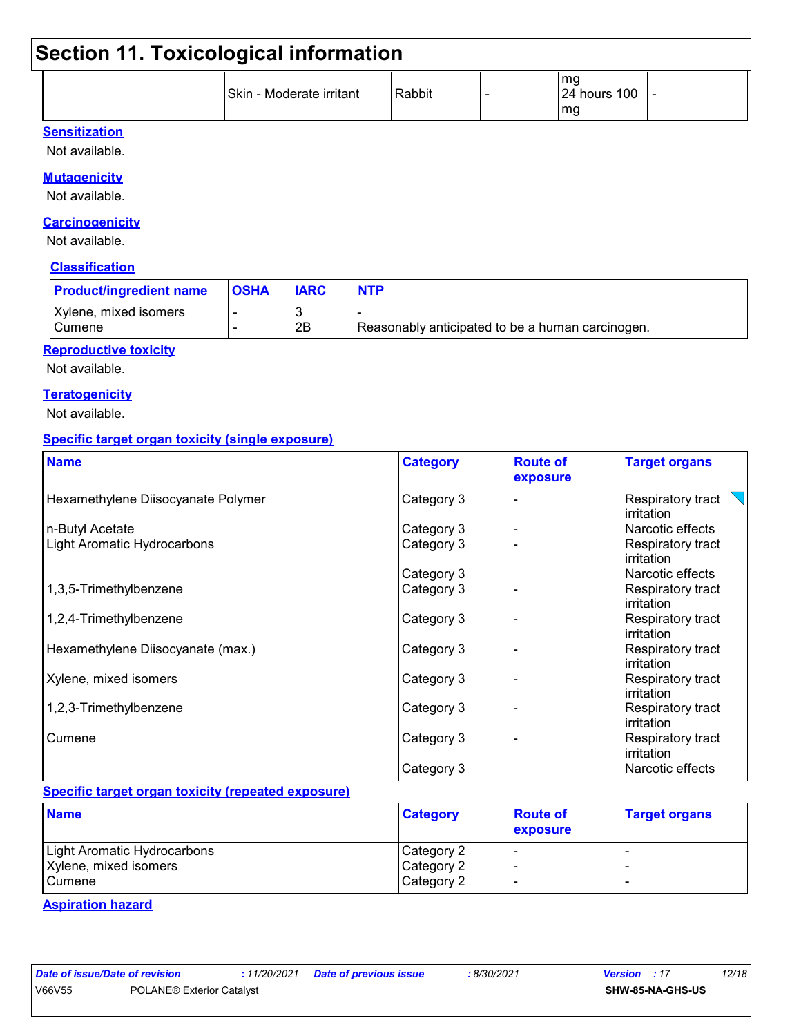|  | Skin - Moderate irritant | Rabbit |  | mg<br><b>24 hours 100</b><br>mg | - |
|--|--------------------------|--------|--|---------------------------------|---|
|--|--------------------------|--------|--|---------------------------------|---|

### **Sensitization**

Not available.

### **Mutagenicity**

Not available.

### **Carcinogenicity**

Not available.

### **Classification**

| <b>Product/ingredient name</b>  | <b>OSHA</b> | <b>IARC</b> | <b>NTP</b>                                       |
|---------------------------------|-------------|-------------|--------------------------------------------------|
| Xylene, mixed isomers<br>Cumene |             | 2B          | Reasonably anticipated to be a human carcinogen. |

### **Reproductive toxicity**

Not available.

### **Teratogenicity**

Not available.

### **Specific target organ toxicity (single exposure)**

| <b>Name</b>                        | <b>Category</b> | <b>Route of</b><br>exposure | <b>Target organs</b>            |
|------------------------------------|-----------------|-----------------------------|---------------------------------|
| Hexamethylene Diisocyanate Polymer | Category 3      |                             | Respiratory tract<br>irritation |
| n-Butyl Acetate                    | Category 3      |                             | Narcotic effects                |
| Light Aromatic Hydrocarbons        | Category 3      |                             | Respiratory tract<br>irritation |
|                                    | Category 3      |                             | Narcotic effects                |
| 1,3,5-Trimethylbenzene             | Category 3      |                             | Respiratory tract<br>irritation |
| 1,2,4-Trimethylbenzene             | Category 3      |                             | Respiratory tract<br>irritation |
| Hexamethylene Diisocyanate (max.)  | Category 3      |                             | Respiratory tract<br>irritation |
| Xylene, mixed isomers              | Category 3      |                             | Respiratory tract<br>irritation |
| 1,2,3-Trimethylbenzene             | Category 3      |                             | Respiratory tract<br>irritation |
| Cumene                             | Category 3      |                             | Respiratory tract<br>irritation |
|                                    | Category 3      |                             | Narcotic effects                |

### **Specific target organ toxicity (repeated exposure)**

| <b>Name</b>                 | <b>Category</b> | <b>Route of</b><br><b>exposure</b> | <b>Target organs</b> |
|-----------------------------|-----------------|------------------------------------|----------------------|
| Light Aromatic Hydrocarbons | Category 2      |                                    |                      |
| Xylene, mixed isomers       | Category 2      |                                    |                      |
| Cumene                      | Category 2      |                                    |                      |

### **Aspiration hazard**

|        | ate of issue/Dat |  |  |
|--------|------------------|--|--|
| 001155 |                  |  |  |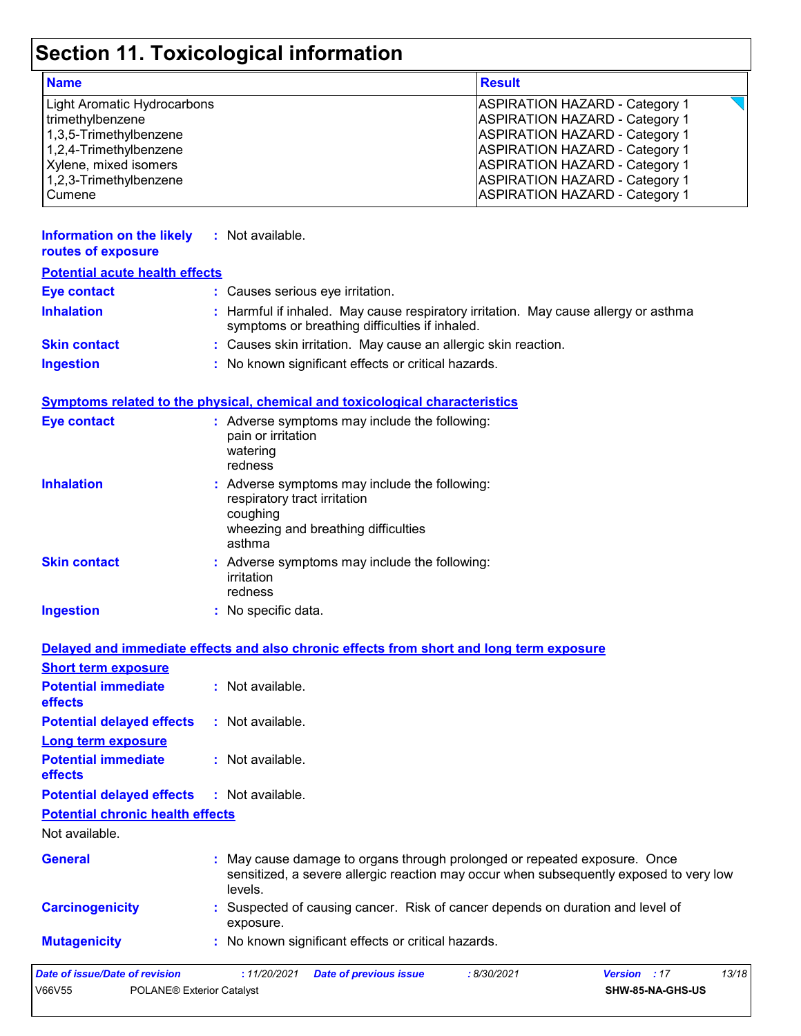| <b>Name</b>                 | <b>Result</b>                         |
|-----------------------------|---------------------------------------|
| Light Aromatic Hydrocarbons | <b>ASPIRATION HAZARD - Category 1</b> |
| trimethylbenzene            | <b>ASPIRATION HAZARD - Category 1</b> |
| 1,3,5-Trimethylbenzene      | <b>ASPIRATION HAZARD - Category 1</b> |
| 1,2,4-Trimethylbenzene      | <b>ASPIRATION HAZARD - Category 1</b> |
| Xylene, mixed isomers       | <b>ASPIRATION HAZARD - Category 1</b> |
| 1,2,3-Trimethylbenzene      | <b>ASPIRATION HAZARD - Category 1</b> |
| <b>Cumene</b>               | <b>ASPIRATION HAZARD - Category 1</b> |

| Information on the likely<br>routes of exposure | : Not available.                                                                                                                      |
|-------------------------------------------------|---------------------------------------------------------------------------------------------------------------------------------------|
| <b>Potential acute health effects</b>           |                                                                                                                                       |
| <b>Eye contact</b>                              | : Causes serious eye irritation.                                                                                                      |
| <b>Inhalation</b>                               | : Harmful if inhaled. May cause respiratory irritation. May cause allergy or asthma<br>symptoms or breathing difficulties if inhaled. |
| <b>Skin contact</b>                             | : Causes skin irritation. May cause an allergic skin reaction.                                                                        |
| <b>Ingestion</b>                                | : No known significant effects or critical hazards.                                                                                   |
|                                                 | <b>Symptoms related to the physical, chemical and toxicological characteristics</b>                                                   |
| <b>Eye contact</b>                              | : Adverse symptoms may include the following:<br>nain ar imitatian                                                                    |

|                     | pain or irritation<br>watering<br>redness                                                                                                  |
|---------------------|--------------------------------------------------------------------------------------------------------------------------------------------|
| <b>Inhalation</b>   | : Adverse symptoms may include the following:<br>respiratory tract irritation<br>coughing<br>wheezing and breathing difficulties<br>asthma |
| <b>Skin contact</b> | : Adverse symptoms may include the following:<br>irritation<br>redness                                                                     |
| <b>Ingestion</b>    | $:$ No specific data.                                                                                                                      |

|                                              | Delayed and immediate effects and also chronic effects from short and long term exposure                                                                                       |
|----------------------------------------------|--------------------------------------------------------------------------------------------------------------------------------------------------------------------------------|
| <b>Short term exposure</b>                   |                                                                                                                                                                                |
| <b>Potential immediate</b><br>effects        | $\therefore$ Not available.                                                                                                                                                    |
| <b>Potential delayed effects</b>             | : Not available.                                                                                                                                                               |
| <b>Long term exposure</b>                    |                                                                                                                                                                                |
| <b>Potential immediate</b><br><b>effects</b> | : Not available.                                                                                                                                                               |
| <b>Potential delayed effects</b>             | : Not available.                                                                                                                                                               |
| <b>Potential chronic health effects</b>      |                                                                                                                                                                                |
| Not available.                               |                                                                                                                                                                                |
| <b>General</b>                               | : May cause damage to organs through prolonged or repeated exposure. Once<br>sensitized, a severe allergic reaction may occur when subsequently exposed to very low<br>levels. |
| <b>Carcinogenicity</b>                       | : Suspected of causing cancer. Risk of cancer depends on duration and level of<br>exposure.                                                                                    |
| <b>Mutagenicity</b>                          | : No known significant effects or critical hazards.                                                                                                                            |
| Date of issue/Date of revision               | 13/18<br>:11/20/2021<br><b>Date of previous issue</b><br>: 8/30/2021<br><b>Version</b> : 17                                                                                    |
| <b>POLANE® Exterior Catalyst</b><br>V66V55   | SHW-85-NA-GHS-US                                                                                                                                                               |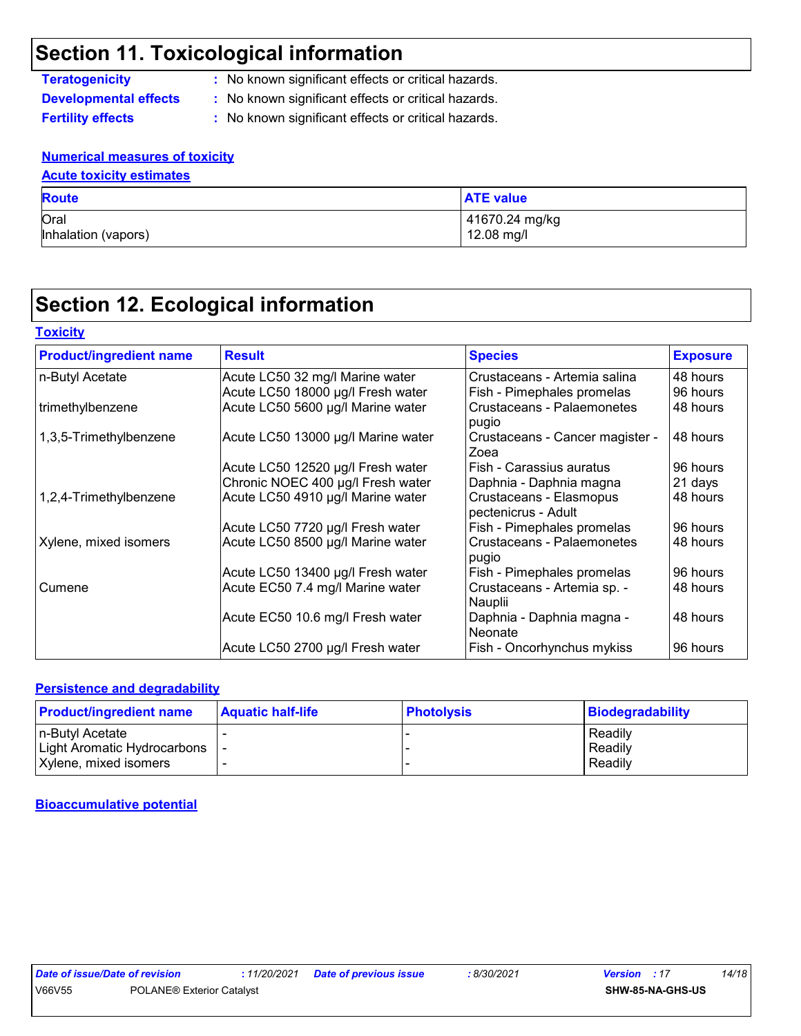- **Teratogenicity :** No known significant effects or critical hazards.
- **Developmental effects :** No known significant effects or critical hazards.
- **Fertility effects :** No known significant effects or critical hazards.

### **Numerical measures of toxicity**

### **Acute toxicity estimates**

| <b>Route</b>        | <b>ATE value</b> |
|---------------------|------------------|
| Oral                | 41670.24 mg/kg   |
| Inhalation (vapors) | 12.08 mg/l       |

# **Section 12. Ecological information**

| <b>Product/ingredient name</b> | <b>Result</b>                      | <b>Species</b>                                 | <b>Exposure</b> |
|--------------------------------|------------------------------------|------------------------------------------------|-----------------|
| n-Butyl Acetate                | Acute LC50 32 mg/l Marine water    | Crustaceans - Artemia salina                   | 48 hours        |
|                                | Acute LC50 18000 µg/l Fresh water  | Fish - Pimephales promelas                     | 96 hours        |
| trimethylbenzene               | Acute LC50 5600 µg/l Marine water  | Crustaceans - Palaemonetes<br>pugio            | 48 hours        |
| 1,3,5-Trimethylbenzene         | Acute LC50 13000 µg/l Marine water | Crustaceans - Cancer magister -<br>Zoea        | 48 hours        |
|                                | Acute LC50 12520 µg/l Fresh water  | Fish - Carassius auratus                       | 96 hours        |
|                                | Chronic NOEC 400 µg/l Fresh water  | Daphnia - Daphnia magna                        | 21 days         |
| 1,2,4-Trimethylbenzene         | Acute LC50 4910 µg/l Marine water  | Crustaceans - Elasmopus<br>pectenicrus - Adult | 48 hours        |
|                                | Acute LC50 7720 µg/l Fresh water   | Fish - Pimephales promelas                     | 96 hours        |
| Xylene, mixed isomers          | Acute LC50 8500 µg/l Marine water  | Crustaceans - Palaemonetes<br>pugio            | 48 hours        |
|                                | Acute LC50 13400 µg/l Fresh water  | Fish - Pimephales promelas                     | 96 hours        |
| Cumene                         | Acute EC50 7.4 mg/l Marine water   | Crustaceans - Artemia sp. -<br>Nauplii         | 48 hours        |
|                                | Acute EC50 10.6 mg/l Fresh water   | Daphnia - Daphnia magna -<br>l Neonate         | 48 hours        |
|                                | Acute LC50 2700 µg/l Fresh water   | Fish - Oncorhynchus mykiss                     | 96 hours        |

### **Persistence and degradability**

| <b>Product/ingredient name</b> | <b>Aquatic half-life</b> | <b>Photolysis</b> | Biodegradability |
|--------------------------------|--------------------------|-------------------|------------------|
| In-Butvl Acetate               |                          |                   | Readily          |
| Light Aromatic Hydrocarbons    |                          |                   | Readily          |
| Xylene, mixed isomers          |                          |                   | Readily          |

### **Bioaccumulative potential**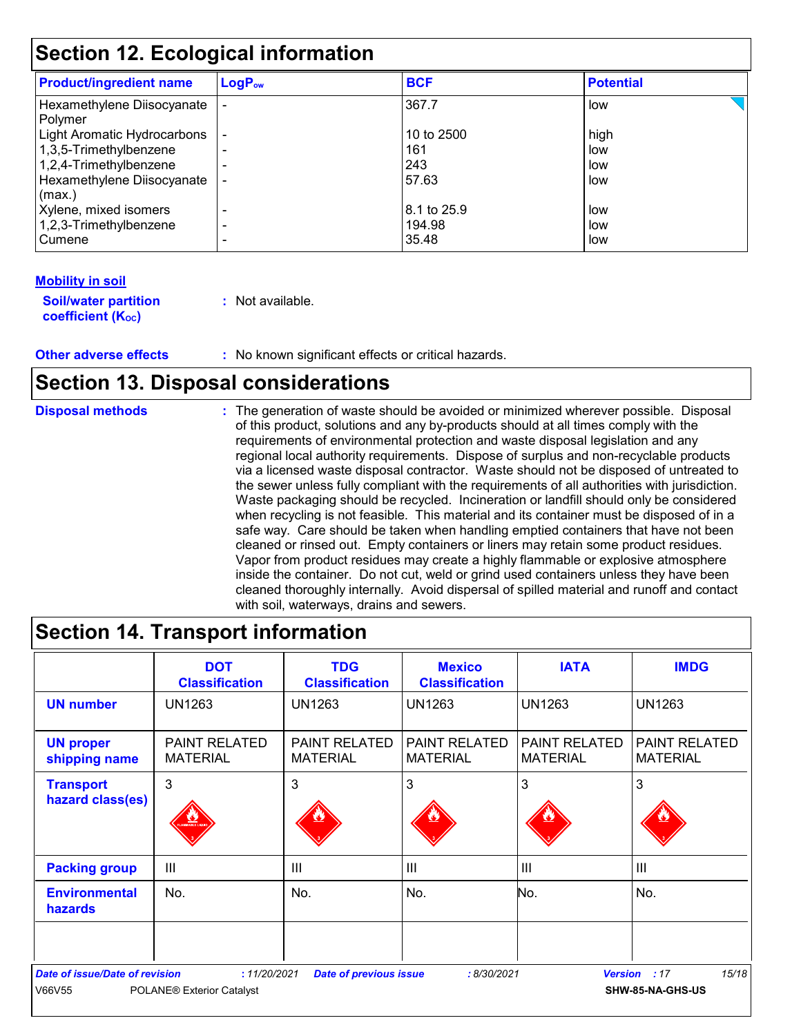| <b>Product/ingredient name</b>        | $LogP_{ow}$    | <b>BCF</b>  | <b>Potential</b> |
|---------------------------------------|----------------|-------------|------------------|
| Hexamethylene Diisocyanate<br>Polymer |                | 367.7       | low              |
| Light Aromatic Hydrocarbons           |                | 10 to 2500  | high             |
| 1,3,5-Trimethylbenzene                |                | 161         | low              |
| 1,2,4-Trimethylbenzene                |                | 243         | low              |
| Hexamethylene Diisocyanate            |                | 57.63       | low              |
| (max.)                                |                |             |                  |
| Xylene, mixed isomers                 |                | 8.1 to 25.9 | low              |
| 1,2,3-Trimethylbenzene                | $\blacksquare$ | 194.98      | low              |
| Cumene                                |                | 35.48       | low              |

### **Mobility in soil**

| <b>Soil/water partition</b> | : Not available. |
|-----------------------------|------------------|
| coefficient $(K_{oc})$      |                  |

### **Other adverse effects :** No known significant effects or critical hazards.

### **Section 13. Disposal considerations**

The generation of waste should be avoided or minimized wherever possible. Disposal of this product, solutions and any by-products should at all times comply with the requirements of environmental protection and waste disposal legislation and any regional local authority requirements. Dispose of surplus and non-recyclable products via a licensed waste disposal contractor. Waste should not be disposed of untreated to the sewer unless fully compliant with the requirements of all authorities with jurisdiction. Waste packaging should be recycled. Incineration or landfill should only be considered when recycling is not feasible. This material and its container must be disposed of in a safe way. Care should be taken when handling emptied containers that have not been cleaned or rinsed out. Empty containers or liners may retain some product residues. Vapor from product residues may create a highly flammable or explosive atmosphere inside the container. Do not cut, weld or grind used containers unless they have been cleaned thoroughly internally. Avoid dispersal of spilled material and runoff and contact with soil, waterways, drains and sewers. **Disposal methods :**

|                                                 | <b>DOT</b><br><b>Classification</b>              | <b>TDG</b><br><b>Classification</b>     | <b>Mexico</b><br><b>Classification</b>  | <b>IATA</b>                             | <b>IMDG</b>                      |
|-------------------------------------------------|--------------------------------------------------|-----------------------------------------|-----------------------------------------|-----------------------------------------|----------------------------------|
| <b>UN number</b>                                | <b>UN1263</b>                                    | <b>UN1263</b>                           | UN1263                                  | <b>UN1263</b>                           | <b>UN1263</b>                    |
| <b>UN proper</b><br>shipping name               | <b>PAINT RELATED</b><br><b>MATERIAL</b>          | <b>PAINT RELATED</b><br><b>MATERIAL</b> | <b>PAINT RELATED</b><br><b>MATERIAL</b> | <b>PAINT RELATED</b><br><b>MATERIAL</b> | PAINT RELATED<br><b>MATERIAL</b> |
| <b>Transport</b><br>hazard class(es)            | 3<br><b>MABLE LIQU</b>                           | 3                                       | 3                                       | 3                                       | 3                                |
| <b>Packing group</b>                            | $\mathbf{III}$                                   | III                                     | III                                     | III                                     | $\mathbf{III}$                   |
| <b>Environmental</b><br>hazards                 | No.                                              | No.                                     | No.                                     | No.                                     | No.                              |
|                                                 |                                                  |                                         |                                         |                                         |                                  |
| <b>Date of issue/Date of revision</b><br>V66V55 | : 11/20/2021<br><b>POLANE® Exterior Catalyst</b> | <b>Date of previous issue</b>           | : 8/30/2021                             | <b>Version</b>                          | 15/18<br>:17<br>SHW-85-NA-GHS-US |

## **Section 14. Transport information**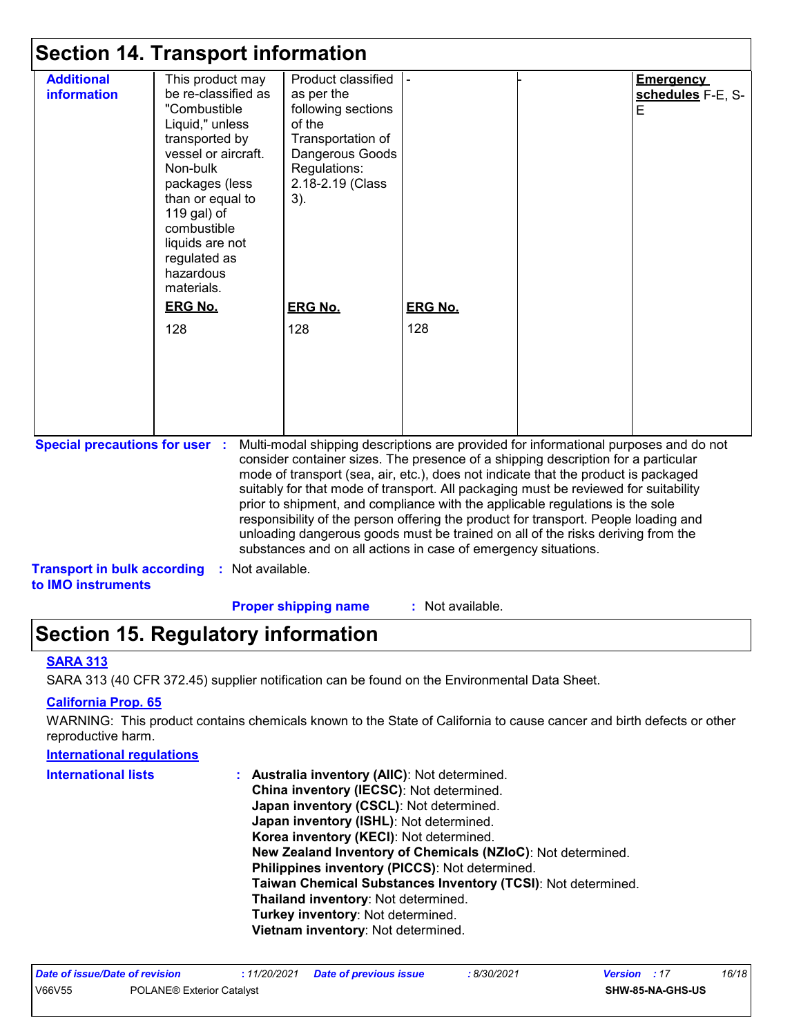| <b>Additional</b><br><b>information</b> | This product may<br>be re-classified as<br>"Combustible<br>Liquid," unless<br>transported by<br>vessel or aircraft.<br>Non-bulk<br>packages (less<br>than or equal to<br>119 gal) of<br>combustible<br>liquids are not<br>regulated as<br>hazardous<br>materials. | Product classified<br>as per the<br>following sections<br>of the<br>Transportation of<br>Dangerous Goods<br>Regulations:<br>2.18-2.19 (Class<br>$3)$ . |                | <b>Emergency</b><br>schedules F-E, S-<br>E |
|-----------------------------------------|-------------------------------------------------------------------------------------------------------------------------------------------------------------------------------------------------------------------------------------------------------------------|--------------------------------------------------------------------------------------------------------------------------------------------------------|----------------|--------------------------------------------|
|                                         | <b>ERG No.</b>                                                                                                                                                                                                                                                    | <b>ERG No.</b>                                                                                                                                         | <b>ERG No.</b> |                                            |
|                                         | 128                                                                                                                                                                                                                                                               | 128                                                                                                                                                    | 128            |                                            |
|                                         |                                                                                                                                                                                                                                                                   |                                                                                                                                                        |                |                                            |
|                                         |                                                                                                                                                                                                                                                                   |                                                                                                                                                        |                |                                            |
|                                         |                                                                                                                                                                                                                                                                   |                                                                                                                                                        |                |                                            |
|                                         |                                                                                                                                                                                                                                                                   |                                                                                                                                                        |                |                                            |

consider container sizes. The presence of a shipping description for a particular mode of transport (sea, air, etc.), does not indicate that the product is packaged suitably for that mode of transport. All packaging must be reviewed for suitability prior to shipment, and compliance with the applicable regulations is the sole responsibility of the person offering the product for transport. People loading and unloading dangerous goods must be trained on all of the risks deriving from the substances and on all actions in case of emergency situations.

**Transport in bulk according :** Not available.

**to IMO instruments**

**Proper shipping name :**

: Not available.

# **Section 15. Regulatory information**

### **SARA 313**

SARA 313 (40 CFR 372.45) supplier notification can be found on the Environmental Data Sheet.

### **California Prop. 65**

WARNING: This product contains chemicals known to the State of California to cause cancer and birth defects or other reproductive harm.

#### **Australia inventory (AIIC)**: Not determined. **China inventory (IECSC)**: Not determined. **Japan inventory (CSCL)**: Not determined. **Japan inventory (ISHL)**: Not determined. **Korea inventory (KECI)**: Not determined. **New Zealand Inventory of Chemicals (NZIoC)**: Not determined. **Philippines inventory (PICCS)**: Not determined. **Taiwan Chemical Substances Inventory (TCSI)**: Not determined. **Thailand inventory**: Not determined. **Turkey inventory**: Not determined. **Vietnam inventory**: Not determined. **International regulations International lists :**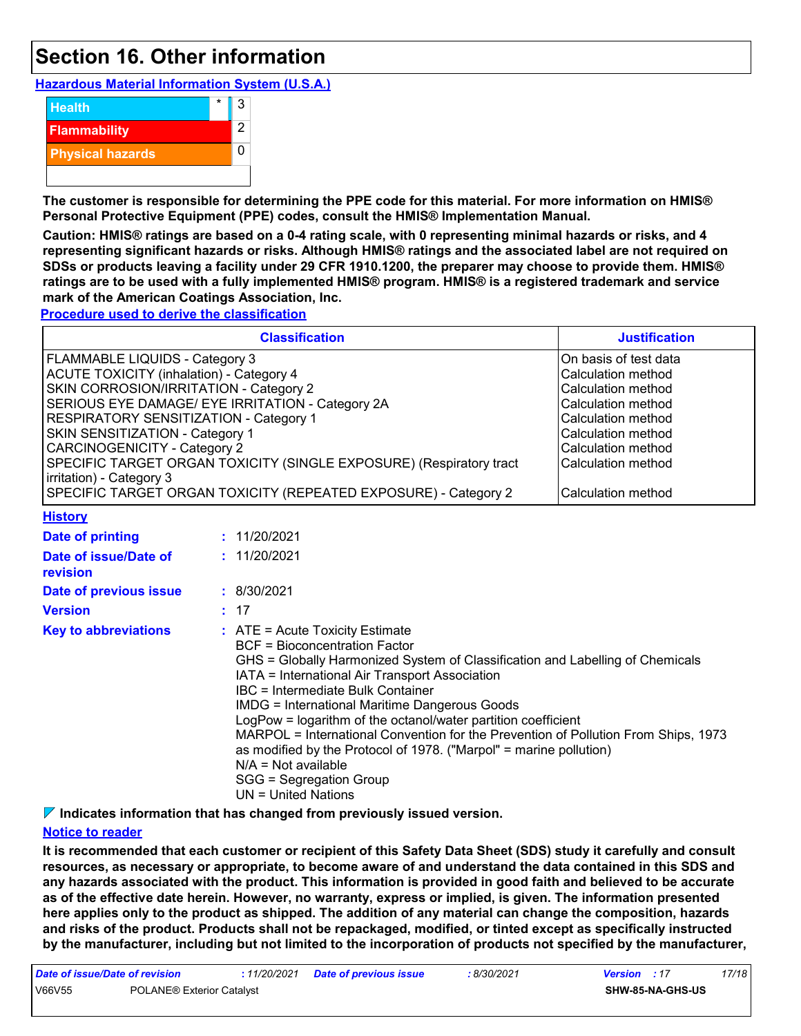# **Section 16. Other information**

**Hazardous Material Information System (U.S.A.)**



**The customer is responsible for determining the PPE code for this material. For more information on HMIS® Personal Protective Equipment (PPE) codes, consult the HMIS® Implementation Manual.**

**Caution: HMIS® ratings are based on a 0-4 rating scale, with 0 representing minimal hazards or risks, and 4 representing significant hazards or risks. Although HMIS® ratings and the associated label are not required on SDSs or products leaving a facility under 29 CFR 1910.1200, the preparer may choose to provide them. HMIS® ratings are to be used with a fully implemented HMIS® program. HMIS® is a registered trademark and service mark of the American Coatings Association, Inc.**

**Procedure used to derive the classification**

|                                                                                                                                                                                                                                                                                    | <b>Justification</b>                                                                                                                                                                                                                                                                                                                                                                                                                                                                                                                                                                                              |                                                                                                                                                                                                       |
|------------------------------------------------------------------------------------------------------------------------------------------------------------------------------------------------------------------------------------------------------------------------------------|-------------------------------------------------------------------------------------------------------------------------------------------------------------------------------------------------------------------------------------------------------------------------------------------------------------------------------------------------------------------------------------------------------------------------------------------------------------------------------------------------------------------------------------------------------------------------------------------------------------------|-------------------------------------------------------------------------------------------------------------------------------------------------------------------------------------------------------|
| FLAMMABLE LIQUIDS - Category 3<br><b>ACUTE TOXICITY (inhalation) - Category 4</b><br>SKIN CORROSION/IRRITATION - Category 2<br><b>RESPIRATORY SENSITIZATION - Category 1</b><br>SKIN SENSITIZATION - Category 1<br><b>CARCINOGENICITY - Category 2</b><br>irritation) - Category 3 | SERIOUS EYE DAMAGE/ EYE IRRITATION - Category 2A<br>SPECIFIC TARGET ORGAN TOXICITY (SINGLE EXPOSURE) (Respiratory tract<br>SPECIFIC TARGET ORGAN TOXICITY (REPEATED EXPOSURE) - Category 2                                                                                                                                                                                                                                                                                                                                                                                                                        | On basis of test data<br>Calculation method<br>Calculation method<br>Calculation method<br>Calculation method<br>Calculation method<br>Calculation method<br>Calculation method<br>Calculation method |
| <b>History</b>                                                                                                                                                                                                                                                                     |                                                                                                                                                                                                                                                                                                                                                                                                                                                                                                                                                                                                                   |                                                                                                                                                                                                       |
| <b>Date of printing</b>                                                                                                                                                                                                                                                            | : 11/20/2021                                                                                                                                                                                                                                                                                                                                                                                                                                                                                                                                                                                                      |                                                                                                                                                                                                       |
| Date of issue/Date of<br>revision                                                                                                                                                                                                                                                  | : 11/20/2021                                                                                                                                                                                                                                                                                                                                                                                                                                                                                                                                                                                                      |                                                                                                                                                                                                       |
| Date of previous issue                                                                                                                                                                                                                                                             | : 8/30/2021                                                                                                                                                                                                                                                                                                                                                                                                                                                                                                                                                                                                       |                                                                                                                                                                                                       |
| <b>Version</b>                                                                                                                                                                                                                                                                     | : 17                                                                                                                                                                                                                                                                                                                                                                                                                                                                                                                                                                                                              |                                                                                                                                                                                                       |
| <b>Key to abbreviations</b>                                                                                                                                                                                                                                                        | $:$ ATE = Acute Toxicity Estimate<br><b>BCF</b> = Bioconcentration Factor<br>GHS = Globally Harmonized System of Classification and Labelling of Chemicals<br>IATA = International Air Transport Association<br>IBC = Intermediate Bulk Container<br><b>IMDG = International Maritime Dangerous Goods</b><br>LogPow = logarithm of the octanol/water partition coefficient<br>MARPOL = International Convention for the Prevention of Pollution From Ships, 1973<br>as modified by the Protocol of 1978. ("Marpol" = marine pollution)<br>$N/A = Not available$<br>SGG = Segregation Group<br>UN = United Nations |                                                                                                                                                                                                       |

**Indicates information that has changed from previously issued version.**

### **Notice to reader**

**It is recommended that each customer or recipient of this Safety Data Sheet (SDS) study it carefully and consult resources, as necessary or appropriate, to become aware of and understand the data contained in this SDS and any hazards associated with the product. This information is provided in good faith and believed to be accurate as of the effective date herein. However, no warranty, express or implied, is given. The information presented here applies only to the product as shipped. The addition of any material can change the composition, hazards and risks of the product. Products shall not be repackaged, modified, or tinted except as specifically instructed by the manufacturer, including but not limited to the incorporation of products not specified by the manufacturer,**

| Date of issue/Date of revision |                                  | : 11/20/2021 Date of previous issue | : 8/30/2021 | <b>Version</b> : 17 |                         | 17/18 |
|--------------------------------|----------------------------------|-------------------------------------|-------------|---------------------|-------------------------|-------|
| V66V55                         | <b>POLANE® Exterior Catalyst</b> |                                     |             |                     | <b>SHW-85-NA-GHS-US</b> |       |